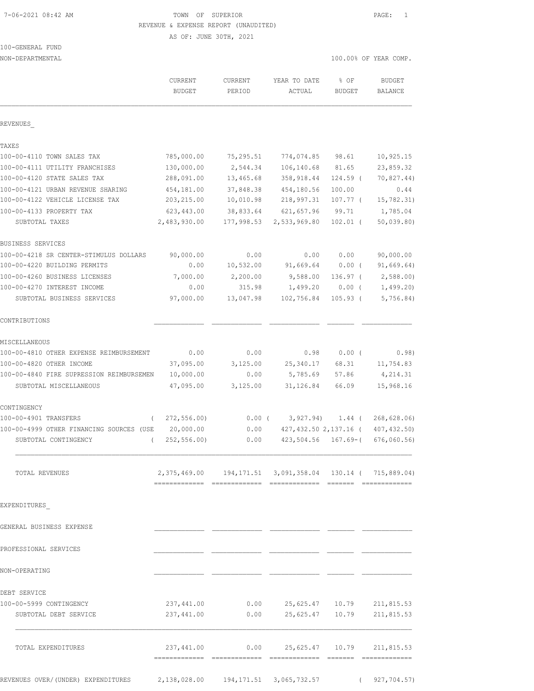# 7-06-2021 08:42 AM TOWN OF SUPERIOR PAGE: 1 REVENUE & EXPENSE REPORT (UNAUDITED)

AS OF: JUNE 30TH, 2021

# 100-GENERAL FUND

| NON-DEPARTMENTAL                                                 |                                                                 |                         |                             |                          | 100.00% OF YEAR COMP.       |
|------------------------------------------------------------------|-----------------------------------------------------------------|-------------------------|-----------------------------|--------------------------|-----------------------------|
|                                                                  | CURRENT<br><b>BUDGET</b>                                        | CURRENT<br>PERIOD       | YEAR TO DATE<br>ACTUAL      | % OF<br><b>BUDGET</b>    | <b>BUDGET</b><br>BALANCE    |
| REVENUES                                                         |                                                                 |                         |                             |                          |                             |
| TAXES                                                            |                                                                 |                         |                             |                          |                             |
| 100-00-4110 TOWN SALES TAX                                       | 785,000.00                                                      | 75,295.51               | 774,074.85                  | 98.61                    | 10,925.15                   |
| 100-00-4111 UTILITY FRANCHISES                                   | 130,000.00                                                      | 2,544.34                | 106,140.68                  | 81.65                    | 23,859.32                   |
| 100-00-4120 STATE SALES TAX                                      | 288,091.00                                                      | 13,465.68               | 358,918.44                  | 124.59 (                 | 70,827.44)                  |
| 100-00-4121 URBAN REVENUE SHARING                                | 454,181.00                                                      | 37,848.38               | 454,180.56                  | 100.00                   | 0.44                        |
| 100-00-4122 VEHICLE LICENSE TAX                                  | 203, 215.00                                                     | 10,010.98               | 218,997.31                  | 107.77 (                 | 15,782.31)                  |
| 100-00-4133 PROPERTY TAX<br>SUBTOTAL TAXES                       | 623, 443.00<br>2,483,930.00                                     | 38,833.64<br>177,998.53 | 621, 657.96<br>2,533,969.80 | 99.71<br>$102.01$ (      | 1,785.04<br>50,039.80       |
| BUSINESS SERVICES                                                |                                                                 |                         |                             |                          |                             |
| 100-00-4218 SR CENTER-STIMULUS DOLLARS                           | 90,000.00                                                       | 0.00                    | 0.00                        | 0.00                     | 90,000.00                   |
| 100-00-4220 BUILDING PERMITS                                     | 0.00                                                            | 10,532.00               | 91,669.64                   | $0.00$ (                 | 91,669.64)                  |
| 100-00-4260 BUSINESS LICENSES                                    | 7,000.00                                                        | 2,200.00                | 9,588.00                    | 136.97 (                 | 2,588.00)                   |
| 100-00-4270 INTEREST INCOME                                      | 0.00                                                            | 315.98                  | 1,499.20                    | $0.00$ (                 | 1,499.20)                   |
| SUBTOTAL BUSINESS SERVICES                                       | 97,000.00                                                       | 13,047.98               | 102,756.84                  | $105.93$ (               | 5,756.84)                   |
| CONTRIBUTIONS                                                    |                                                                 |                         |                             |                          |                             |
| MISCELLANEOUS                                                    |                                                                 |                         |                             |                          |                             |
| 100-00-4810 OTHER EXPENSE REIMBURSEMENT                          | 0.00                                                            | 0.00                    | 0.98                        | $0.00$ (                 | 0.98)                       |
| 100-00-4820 OTHER INCOME                                         | 37,095.00                                                       | 3,125.00                | 25,340.17                   | 68.31                    | 11,754.83                   |
| 100-00-4840 FIRE SUPRESSION REIMBURSEMEN                         | 10,000.00                                                       | 0.00                    | 5,785.69                    | 57.86                    | 4,214.31                    |
| SUBTOTAL MISCELLANEOUS                                           | 47,095.00                                                       | 3,125.00                | 31, 126.84                  | 66.09                    | 15,968.16                   |
| CONTINGENCY                                                      |                                                                 |                         |                             |                          |                             |
| 100-00-4901 TRANSFERS<br>$\left($                                | 272, 556.00                                                     |                         | $0.00$ ( $3,927.94$ )       |                          | 1.44(268,628.06)            |
| 100-00-4999 OTHER FINANCING SOURCES (USE<br>SUBTOTAL CONTINGENCY | 20,000.00<br>252, 556.00<br>$\sqrt{2}$                          | 0.00<br>0.00            | 427,432.50 2,137.16 (       | $423,504.56$ $167.69-$ ( | 407, 432.50)<br>676,060.56) |
| TOTAL REVENUES                                                   | 2, 375, 469.00 194, 171.51 3, 091, 358.04 130.14 ( 715, 889.04) |                         |                             |                          |                             |
| EXPENDITURES                                                     |                                                                 |                         |                             |                          |                             |
| GENERAL BUSINESS EXPENSE                                         |                                                                 |                         |                             |                          |                             |
| PROFESSIONAL SERVICES                                            |                                                                 |                         |                             |                          |                             |
| NON-OPERATING                                                    |                                                                 |                         |                             |                          |                             |
| DEBT SERVICE                                                     |                                                                 |                         |                             |                          |                             |
| 100-00-5999 CONTINGENCY                                          | 237,441.00                                                      | 0.00                    | 25,625.47                   | 10.79                    | 211,815.53                  |
| SUBTOTAL DEBT SERVICE                                            | 237,441.00                                                      | 0.00                    | 25,625.47                   | 10.79                    | 211,815.53                  |
| TOTAL EXPENDITURES                                               | 237,441.00                                                      | 0.00                    |                             | 25,625.47 10.79          | 211,815.53                  |
|                                                                  |                                                                 |                         |                             |                          |                             |

REVENUES OVER/(UNDER) EXPENDITURES 2,138,028.00 194,171.51 3,065,732.57 ( 927,704.57)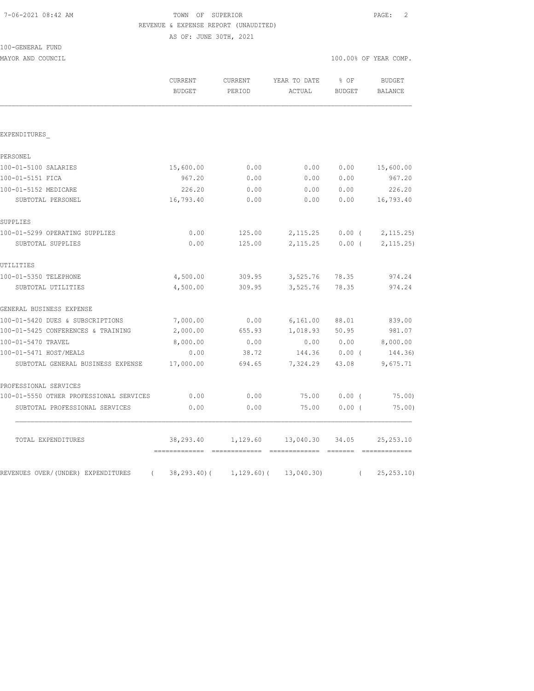# TOWN OF SUPERIOR **PAGE:** 2 REVENUE & EXPENSE REPORT (UNAUDITED)

AS OF: JUNE 30TH, 2021

|  | 100-GENERAL FUND |  |
|--|------------------|--|
|  |                  |  |

MAYOR AND COUNCIL COUNCIL COUNCIL COMP.

|                                                  | <b>CURRENT</b><br><b>BUDGET</b>             | CURRENT<br>PERIOD        | YEAR TO DATE<br>ACTUAL            | % OF<br><b>BUDGET</b> | <b>BUDGET</b><br><b>BALANCE</b> |
|--------------------------------------------------|---------------------------------------------|--------------------------|-----------------------------------|-----------------------|---------------------------------|
| EXPENDITURES                                     |                                             |                          |                                   |                       |                                 |
| PERSONEL                                         |                                             |                          |                                   |                       |                                 |
| 100-01-5100 SALARIES                             | 15,600.00                                   | 0.00                     | 0.00                              | 0.00                  | 15,600.00                       |
| 100-01-5151 FICA                                 | 967.20                                      | 0.00                     | 0.00                              | 0.00                  | 967.20                          |
| 100-01-5152 MEDICARE                             | 226.20                                      | 0.00                     | 0.00                              | 0.00                  | 226.20                          |
| SUBTOTAL PERSONEL                                | 16,793.40                                   | 0.00                     | 0.00                              | 0.00                  | 16,793.40                       |
| SUPPLIES                                         |                                             |                          |                                   |                       |                                 |
| 100-01-5299 OPERATING SUPPLIES                   | 0.00                                        | 125.00                   | 2, 115.25                         | $0.00$ (              | 2, 115.25                       |
| SUBTOTAL SUPPLIES                                | 0.00                                        | 125.00                   | 2, 115.25                         | $0.00$ (              | 2, 115.25)                      |
| UTILITIES                                        |                                             |                          |                                   |                       |                                 |
| 100-01-5350 TELEPHONE                            | 4,500.00                                    | 309.95                   | 3,525.76                          | 78.35                 | 974.24                          |
| SUBTOTAL UTILITIES                               | 4,500.00                                    | 309.95                   | 3,525.76                          | 78.35                 | 974.24                          |
| GENERAL BUSINESS EXPENSE                         |                                             |                          |                                   |                       |                                 |
| 100-01-5420 DUES & SUBSCRIPTIONS                 | 7,000.00                                    | 0.00                     | 6,161.00                          | 88.01                 | 839.00                          |
| 100-01-5425 CONFERENCES & TRAINING               | 2,000.00                                    | 655.93                   | 1,018.93                          | 50.95                 | 981.07                          |
| 100-01-5470 TRAVEL                               | 8,000.00                                    | 0.00                     | 0.00                              | 0.00                  | 8,000.00                        |
| 100-01-5471 HOST/MEALS                           | 0.00                                        | 38.72                    |                                   | 144.36 0.00 (         | 144.36)                         |
| SUBTOTAL GENERAL BUSINESS EXPENSE                | 17,000.00                                   | 694.65                   | 7,324.29                          | 43.08                 | 9,675.71                        |
| PROFESSIONAL SERVICES                            |                                             |                          |                                   |                       |                                 |
| 100-01-5550 OTHER PROFESSIONAL SERVICES          | 0.00                                        | 0.00                     | 75.00                             | 0.00(                 | 75.00                           |
| SUBTOTAL PROFESSIONAL SERVICES                   | 0.00                                        | 0.00                     | 75.00                             | 0.00(                 | 75.00)                          |
| TOTAL EXPENDITURES                               | 38,293.40<br>============================== | 1,129.60                 | 13,040.30<br>essessessesse essess | 34.05                 | 25, 253.10<br>=============     |
| REVENUES OVER/(UNDER) EXPENDITURES<br>$\sqrt{2}$ |                                             | 38,293.40) ( 1,129.60) ( | 13,040.30)                        | $\left($              | 25, 253.10                      |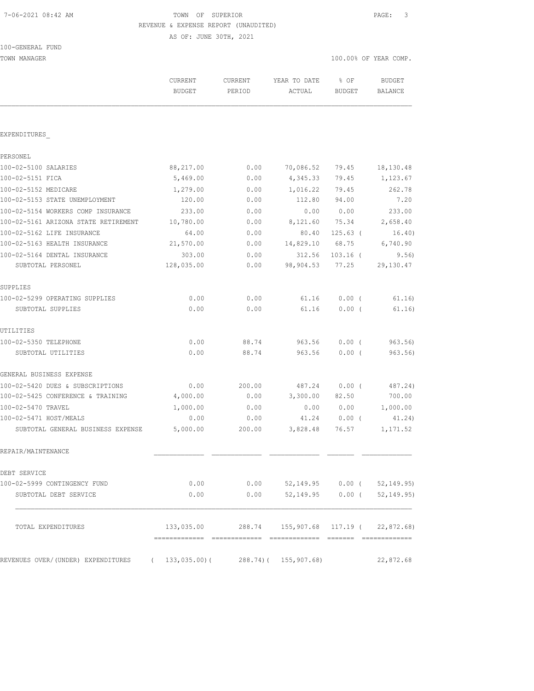TOWN OF SUPERIOR **PAGE:** 3 REVENUE & EXPENSE REPORT (UNAUDITED)

AS OF: JUNE 30TH, 2021

| TOWN MANAGER                         |                            |                   |                            |                         | 100.00% OF YEAR COMP. |
|--------------------------------------|----------------------------|-------------------|----------------------------|-------------------------|-----------------------|
|                                      | CURRENT<br><b>BUDGET</b>   | CURRENT<br>PERIOD | YEAR TO DATE<br>ACTUAL     | $8$ OF<br><b>BUDGET</b> | BUDGET<br>BALANCE     |
|                                      |                            |                   |                            |                         |                       |
| EXPENDITURES                         |                            |                   |                            |                         |                       |
| PERSONEL                             |                            |                   |                            |                         |                       |
| 100-02-5100 SALARIES                 | 88,217.00                  | 0.00              | 70,086.52                  | 79.45                   | 18,130.48             |
| 100-02-5151 FICA                     | 5,469.00                   | 0.00              | 4,345.33                   | 79.45                   | 1,123.67              |
| 100-02-5152 MEDICARE                 | 1,279.00                   | 0.00              | 1,016.22                   | 79.45                   | 262.78                |
| 100-02-5153 STATE UNEMPLOYMENT       | 120.00                     | 0.00              | 112.80                     | 94.00                   | 7.20                  |
| 100-02-5154 WORKERS COMP INSURANCE   | 233.00                     | 0.00              | 0.00                       | 0.00                    | 233.00                |
| 100-02-5161 ARIZONA STATE RETIREMENT | 10,780.00                  | 0.00              | 8,121.60                   | 75.34                   | 2,658.40              |
| 100-02-5162 LIFE INSURANCE           | 64.00                      | 0.00              | 80.40                      | $125.63$ (              | 16.40)                |
| 100-02-5163 HEALTH INSURANCE         | 21,570.00                  | 0.00              | 14,829.10                  | 68.75                   | 6,740.90              |
| 100-02-5164 DENTAL INSURANCE         | 303.00                     | 0.00              | 312.56                     | $103.16$ (              | 9.56)                 |
| SUBTOTAL PERSONEL                    | 128,035.00                 | 0.00              | 98,904.53                  | 77.25                   | 29, 130.47            |
| SUPPLIES                             |                            |                   |                            |                         |                       |
| 100-02-5299 OPERATING SUPPLIES       | 0.00                       | 0.00              | 61.16                      | $0.00$ (                | 61.16)                |
| SUBTOTAL SUPPLIES                    | 0.00                       | 0.00              | 61.16                      | 0.00(                   | 61.16)                |
| UTILITIES                            |                            |                   |                            |                         |                       |
| 100-02-5350 TELEPHONE                | 0.00                       | 88.74             | 963.56                     | $0.00$ (                | 963.56                |
| SUBTOTAL UTILITIES                   | 0.00                       | 88.74             | 963.56                     | 0.00(                   | 963.56                |
| GENERAL BUSINESS EXPENSE             |                            |                   |                            |                         |                       |
| 100-02-5420 DUES & SUBSCRIPTIONS     | 0.00                       | 200.00            | 487.24                     | 0.00(                   | 487.24)               |
| 100-02-5425 CONFERENCE & TRAINING    | 4,000.00                   | 0.00              | 3,300.00                   | 82.50                   | 700.00                |
| 100-02-5470 TRAVEL                   | 1,000.00                   | 0.00              | 0.00                       | 0.00                    | 1,000.00              |
| 100-02-5471 HOST/MEALS               | 0.00                       | 0.00              | 41.24                      | 0.00(                   | 41.24)                |
| SUBTOTAL GENERAL BUSINESS EXPENSE    | 5,000.00                   | 200.00            | 3,828.48                   | 76.57                   | 1,171.52              |
| REPAIR/MAINTENANCE                   |                            |                   |                            |                         |                       |
| DEBT SERVICE                         |                            |                   |                            |                         |                       |
| 100-02-5999 CONTINGENCY FUND         | 0.00                       | 0.00              | 52,149.95 0.00 (           |                         | 52,149.95)            |
| SUBTOTAL DEBT SERVICE                | 0.00                       | 0.00              | 52,149.95                  | $0.00$ (                | 52, 149.95)           |
| TOTAL EXPENDITURES                   | 133,035.00                 |                   | 288.74 155,907.68 117.19 ( |                         | 22,872.68)            |
| REVENUES OVER/(UNDER) EXPENDITURES   | 133,035.00)(<br>$\sqrt{2}$ |                   | 288.74) ( 155,907.68)      |                         | 22,872.68             |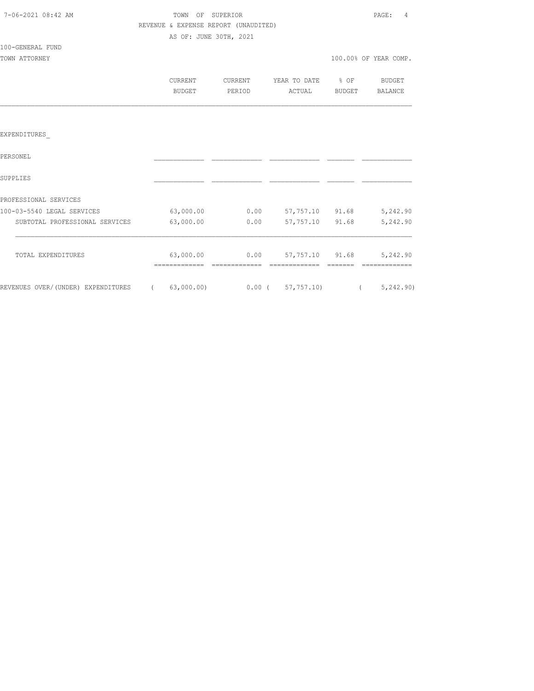| 7-06-2021 08:42 AM |  |
|--------------------|--|

# TOWN OF SUPERIOR **PAGE:** 4 REVENUE & EXPENSE REPORT (UNAUDITED) AS OF: JUNE 30TH, 2021

#### 100-GENERAL FUND

| TOWN ATTORNEY | 100.00% OF YEAR COMP. |
|---------------|-----------------------|
|               |                       |

| CURRENT | CURRENT | YEAR TO DATE % OF |        | <b>BUDGET</b> |
|---------|---------|-------------------|--------|---------------|
| BUDGET  | PERIOD  | ACTUAL            | BUDGET | BALANCE       |

### EXPENDITURES\_

| PERSONEL                           |            |          |           |       |             |
|------------------------------------|------------|----------|-----------|-------|-------------|
| SUPPLIES                           |            |          |           |       |             |
| PROFESSIONAL SERVICES              |            |          |           |       |             |
| 100-03-5540 LEGAL SERVICES         | 63,000.00  | 0.00     | 57,757.10 | 91.68 | 5,242.90    |
| SUBTOTAL PROFESSIONAL SERVICES     | 63,000.00  | 0.00     | 57,757.10 | 91.68 | 5,242.90    |
| TOTAL EXPENDITURES                 | 63,000.00  | 0.00     | 57,757.10 | 91.68 | 5,242.90    |
| REVENUES OVER/(UNDER) EXPENDITURES | 63,000.00) | $0.00$ ( | 57,757.10 |       | 5, 242, 90) |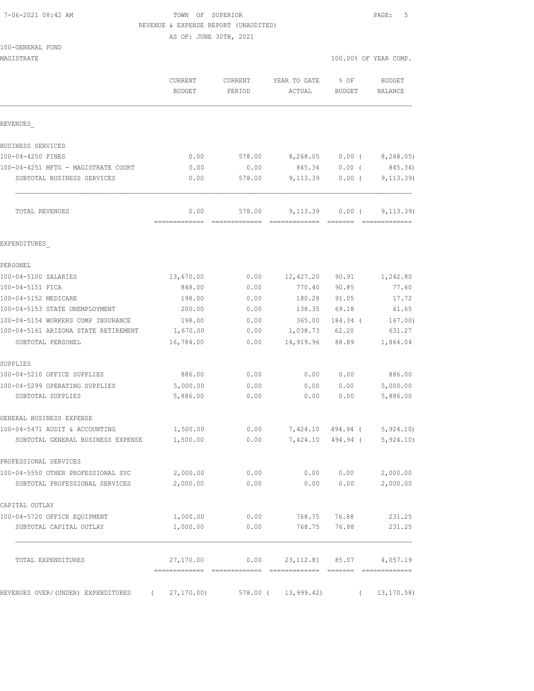### TOWN OF SUPERIOR **PAGE:** 5 REVENUE & EXPENSE REPORT (UNAUDITED)

AS OF: JUNE 30TH, 2021

| 100-GENERAL FUND |  |
|------------------|--|
|------------------|--|

| TOO-GEMEKAT LOMD<br>MAGISTRATE                                       |                                 |                        |                                      |                       | 100.00% OF YEAR COMP.                                                                                                                                                                                                                                                                                                                                                                                                                                                                                |
|----------------------------------------------------------------------|---------------------------------|------------------------|--------------------------------------|-----------------------|------------------------------------------------------------------------------------------------------------------------------------------------------------------------------------------------------------------------------------------------------------------------------------------------------------------------------------------------------------------------------------------------------------------------------------------------------------------------------------------------------|
|                                                                      |                                 |                        |                                      |                       |                                                                                                                                                                                                                                                                                                                                                                                                                                                                                                      |
|                                                                      | <b>CURRENT</b><br><b>BUDGET</b> | CURRENT<br>PERIOD      | YEAR TO DATE<br>ACTUAL               | % OF<br><b>BUDGET</b> | <b>BUDGET</b><br><b>BALANCE</b>                                                                                                                                                                                                                                                                                                                                                                                                                                                                      |
| REVENUES                                                             |                                 |                        |                                      |                       |                                                                                                                                                                                                                                                                                                                                                                                                                                                                                                      |
| BUSINESS SERVICES                                                    |                                 |                        |                                      |                       |                                                                                                                                                                                                                                                                                                                                                                                                                                                                                                      |
| 100-04-4250 FINES                                                    | 0.00                            | 578.00                 | 8,268.05                             | $0.00$ (              | 8,268.05)                                                                                                                                                                                                                                                                                                                                                                                                                                                                                            |
| 100-04-4251 MFTG - MAGISTRATE COURT                                  | 0.00                            | 0.00                   | 845.34                               | 0.00(                 | 845.34)                                                                                                                                                                                                                                                                                                                                                                                                                                                                                              |
| SUBTOTAL BUSINESS SERVICES                                           | 0.00                            | 578.00                 | 9,113.39                             | $0.00$ (              | 9, 113.39)                                                                                                                                                                                                                                                                                                                                                                                                                                                                                           |
| TOTAL REVENUES                                                       | 0.00<br>=============           | 578.00<br>FEEEEEEEEEEE | 9,113.39<br>======================== | $0.00$ (              | 9, 113.39)<br>$\begin{array}{cccccccccc} \multicolumn{2}{c}{} & \multicolumn{2}{c}{} & \multicolumn{2}{c}{} & \multicolumn{2}{c}{} & \multicolumn{2}{c}{} & \multicolumn{2}{c}{} & \multicolumn{2}{c}{} & \multicolumn{2}{c}{} & \multicolumn{2}{c}{} & \multicolumn{2}{c}{} & \multicolumn{2}{c}{} & \multicolumn{2}{c}{} & \multicolumn{2}{c}{} & \multicolumn{2}{c}{} & \multicolumn{2}{c}{} & \multicolumn{2}{c}{} & \multicolumn{2}{c}{} & \multicolumn{2}{c}{} & \multicolumn{2}{c}{} & \mult$ |
| EXPENDITURES                                                         |                                 |                        |                                      |                       |                                                                                                                                                                                                                                                                                                                                                                                                                                                                                                      |
| PERSONEL                                                             |                                 |                        |                                      |                       |                                                                                                                                                                                                                                                                                                                                                                                                                                                                                                      |
| 100-04-5100 SALARIES                                                 | 13,670.00                       | 0.00                   | 12,427.20                            | 90.91                 | 1,242.80                                                                                                                                                                                                                                                                                                                                                                                                                                                                                             |
| 100-04-5151 FICA                                                     | 848.00                          | 0.00                   | 770.40                               | 90.85                 | 77.60                                                                                                                                                                                                                                                                                                                                                                                                                                                                                                |
| 100-04-5152 MEDICARE                                                 | 198.00                          | 0.00                   | 180.28                               | 91.05                 | 17.72                                                                                                                                                                                                                                                                                                                                                                                                                                                                                                |
| 100-04-5153 STATE UNEMPLOYMENT                                       | 200.00                          | 0.00                   | 138.35                               | 69.18                 | 61.65                                                                                                                                                                                                                                                                                                                                                                                                                                                                                                |
| 100-04-5154 WORKERS COMP INSURANCE                                   | 198.00                          | 0.00                   | 365.00                               | 184.34 (              | 167.00)                                                                                                                                                                                                                                                                                                                                                                                                                                                                                              |
| 100-04-5161 ARIZONA STATE RETIREMENT                                 | 1,670.00                        | 0.00                   | 1,038.73                             | 62.20                 | 631.27                                                                                                                                                                                                                                                                                                                                                                                                                                                                                               |
| SUBTOTAL PERSONEL                                                    | 16,784.00                       | 0.00                   | 14,919.96                            | 88.89                 | 1,864.04                                                                                                                                                                                                                                                                                                                                                                                                                                                                                             |
| SUPPLIES                                                             |                                 |                        |                                      |                       |                                                                                                                                                                                                                                                                                                                                                                                                                                                                                                      |
| 100-04-5210 OFFICE SUPPLIES                                          | 886.00                          | 0.00                   | 0.00                                 | 0.00                  | 886.00                                                                                                                                                                                                                                                                                                                                                                                                                                                                                               |
| 100-04-5299 OPERATING SUPPLIES                                       | 5,000.00                        | 0.00                   | 0.00                                 | 0.00                  | 5,000.00                                                                                                                                                                                                                                                                                                                                                                                                                                                                                             |
| SUBTOTAL SUPPLIES                                                    | 5,886.00                        | 0.00                   | 0.00                                 | 0.00                  | 5,886.00                                                                                                                                                                                                                                                                                                                                                                                                                                                                                             |
| GENERAL BUSINESS EXPENSE                                             |                                 |                        |                                      |                       |                                                                                                                                                                                                                                                                                                                                                                                                                                                                                                      |
| 100-04-5471 AUDIT & ACCOUNTING                                       | 1,500.00                        | 0.00                   | 7,424.10 494.94 (                    |                       | 5,924.10                                                                                                                                                                                                                                                                                                                                                                                                                                                                                             |
| SUBTOTAL GENERAL BUSINESS EXPENSE                                    | 1,500.00                        | 0.00                   | 7,424.10 494.94 (                    |                       | 5,924.10)                                                                                                                                                                                                                                                                                                                                                                                                                                                                                            |
| PROFESSIONAL SERVICES                                                |                                 |                        |                                      |                       |                                                                                                                                                                                                                                                                                                                                                                                                                                                                                                      |
| 100-04-5550 OTHER PROFESSIONAL SVC<br>SUBTOTAL PROFESSIONAL SERVICES | 2,000.00<br>2,000.00            | 0.00<br>0.00           | 0.00<br>0.00                         | 0.00<br>0.00          | 2,000.00<br>2,000.00                                                                                                                                                                                                                                                                                                                                                                                                                                                                                 |
| CAPITAL OUTLAY                                                       |                                 |                        |                                      |                       |                                                                                                                                                                                                                                                                                                                                                                                                                                                                                                      |
| 100-04-5720 OFFICE EQUIPMENT                                         | 1,000.00                        | 0.00                   | 768.75                               | 76.88                 | 231.25                                                                                                                                                                                                                                                                                                                                                                                                                                                                                               |
| SUBTOTAL CAPITAL OUTLAY                                              | 1,000.00                        | 0.00                   | 768.75                               | 76.88                 | 231.25                                                                                                                                                                                                                                                                                                                                                                                                                                                                                               |
| TOTAL EXPENDITURES                                                   | 27,170.00                       | 0.00                   | 23, 112.81 85.07                     |                       | 4,057.19                                                                                                                                                                                                                                                                                                                                                                                                                                                                                             |
| REVENUES OVER/ (UNDER) EXPENDITURES                                  | 27, 170.00                      |                        | 578.00 ( 13,999.42)                  | $\sqrt{2}$            | 13, 170.58)                                                                                                                                                                                                                                                                                                                                                                                                                                                                                          |
|                                                                      |                                 |                        |                                      |                       |                                                                                                                                                                                                                                                                                                                                                                                                                                                                                                      |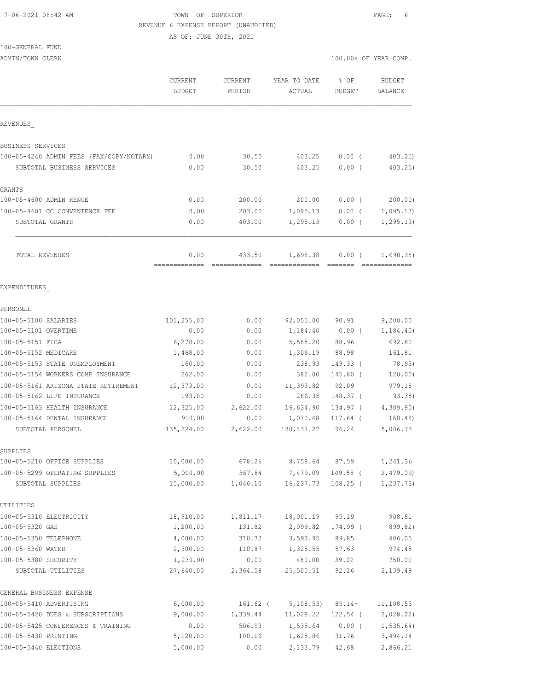## 7-06-2021 08:42 AM TOWN OF SUPERIOR PAGE: 6 REVENUE & EXPENSE REPORT (UNAUDITED)

AS OF: JUNE 30TH, 2021

# 100-GENERAL FUND

ADMIN/TOWN CLERK 100.00% OF YEAR COMP.

|                                                            | <b>CURRENT</b><br><b>BUDGET</b> | <b>CURRENT</b><br>PERIOD | YEAR TO DATE<br>ACTUAL             | % OF<br>BUDGET  | <b>BUDGET</b><br>BALANCE |
|------------------------------------------------------------|---------------------------------|--------------------------|------------------------------------|-----------------|--------------------------|
| REVENUES                                                   |                                 |                          |                                    |                 |                          |
| BUSINESS SERVICES                                          |                                 |                          |                                    |                 |                          |
| 100-05-4240 ADMIN FEES (FAX/COPY/NOTARY)                   | 0.00                            | 30.50                    | 403.25                             | $0.00$ (        | 403.25                   |
| SUBTOTAL BUSINESS SERVICES                                 | 0.00                            | 30.50                    | 403.25                             | 0.00(           | 403.25                   |
| GRANTS                                                     |                                 |                          |                                    |                 |                          |
| 100-05-4600 ADMIN RENUE                                    | 0.00                            | 200.00                   | 200.00                             | $0.00$ (        | 200.00)                  |
| 100-05-4601 CC CONVENIENCE FEE                             | 0.00                            | 203.00                   | 1,095.13                           | $0.00$ (        | 1,095.13                 |
| SUBTOTAL GRANTS                                            | 0.00                            | 403.00                   | 1,295.13                           | $0.00$ (        | 1, 295.13)               |
| TOTAL REVENUES                                             | 0.00                            | 433.50                   | 1,698.38                           | $0.00$ (        | 1,698.38)                |
| EXPENDITURES                                               |                                 |                          |                                    |                 |                          |
| PERSONEL                                                   |                                 |                          |                                    |                 |                          |
| 100-05-5100 SALARIES                                       | 101,255.00                      | 0.00                     | 92,055.00 90.91                    |                 | 9,200.00                 |
| 100-05-5101 OVERTIME                                       | 0.00                            | 0.00                     | 1,184.40                           | $0.00$ (        | 1,184.40)                |
| 100-05-5151 FICA                                           | 6, 278.00                       | 0.00                     | 5,585.20                           | 88.96           | 692.80                   |
| 100-05-5152 MEDICARE                                       | 1,468.00                        | 0.00                     | 1,306.19                           | 88.98           | 161.81                   |
| 100-05-5153 STATE UNEMPLOYMENT                             | 160.00                          | 0.00                     | 238.93                             | $149.33$ (      | 78.93)                   |
| 100-05-5154 WORKERS COMP INSURANCE                         | 262.00                          | 0.00                     | 382.00                             | $145.80$ (      | 120.00)                  |
| 100-05-5161 ARIZONA STATE RETIREMENT                       | 12,373.00                       | 0.00                     | 11,393.82                          | 92.09           | 979.18                   |
| 100-05-5162 LIFE INSURANCE                                 | 193.00                          | 0.00                     | 286.35                             | 148.37 (        | 93.35)                   |
| 100-05-5163 HEALTH INSURANCE                               | 12,325.00                       | 2,622.00                 | 16,634.90                          | 134.97 (        | 4,309.90)                |
| 100-05-5164 DENTAL INSURANCE                               | 910.00                          | 0.00                     | 1,070.48                           | 117.64 (        | 160.48)                  |
| SUBTOTAL PERSONEL                                          | 135,224.00                      | 2,622.00                 | 130, 137.27                        | 96.24           | 5,086.73                 |
| SUPPLIES                                                   |                                 |                          |                                    |                 |                          |
| 100-05-5210 OFFICE SUPPLIES                                | 10,000.00                       | 678.26                   | 8,758.64                           | 87.59           | 1,241.36                 |
| 100-05-5299 OPERATING SUPPLIES                             | 5,000.00                        |                          | 367.84 7,479.09 149.58 ( 2,479.09) |                 |                          |
| SUBTOTAL SUPPLIES                                          | 15,000.00                       | 1,046.10                 | 16,237.73                          |                 | $108.25$ ( 1,237.73)     |
| UTILITIES                                                  |                                 |                          |                                    |                 |                          |
| 100-05-5310 ELECTRICITY                                    | 18,910.00                       |                          | 1,811.17 18,001.19                 | 95.19           | 908.81                   |
| 100-05-5320 GAS                                            | 1,200.00                        | 131.82                   | 2,099.82                           | 174.99 (        | 899.82)                  |
| 100-05-5350 TELEPHONE                                      | 4,000.00                        | 310.72                   | 3,593.95                           | 89.85           | 406.05                   |
| 100-05-5360 WATER                                          | 2,300.00                        | 110.87                   | 1,325.55                           | 57.63           | 974.45                   |
| 100-05-5380 SECURITY                                       | 1,230.00                        | 0.00                     | 480.00                             | 39.02           | 750.00                   |
| SUBTOTAL UTILITIES                                         | 27,640.00                       | 2,364.58                 |                                    | 25,500.51 92.26 | 2,139.49                 |
| GENERAL BUSINESS EXPENSE                                   |                                 |                          |                                    |                 |                          |
| 100-05-5410 ADVERTISING                                    | 6,000.00                        |                          | 161.62 ( 5,108.53) 85.14-          |                 | 11, 108.53               |
| 100-05-5420 DUES & SUBSCRIPTIONS                           | 9,000.00                        | 1,339.44                 | 11,028.22                          | 122.54 (        | 2,028.22)                |
| 100-05-5425 CONFERENCES & TRAINING<br>100-05-5430 PRINTING | 0.00<br>5,120.00                | 506.93                   | 1,535.64<br>1,625.86               | 0.00(           | 1, 535.64)               |
| 100-05-5440 ELECTIONS                                      | 5,000.00                        | 100.16<br>0.00           | 2,133.79                           | 31.76<br>42.68  | 3,494.14<br>2,866.21     |
|                                                            |                                 |                          |                                    |                 |                          |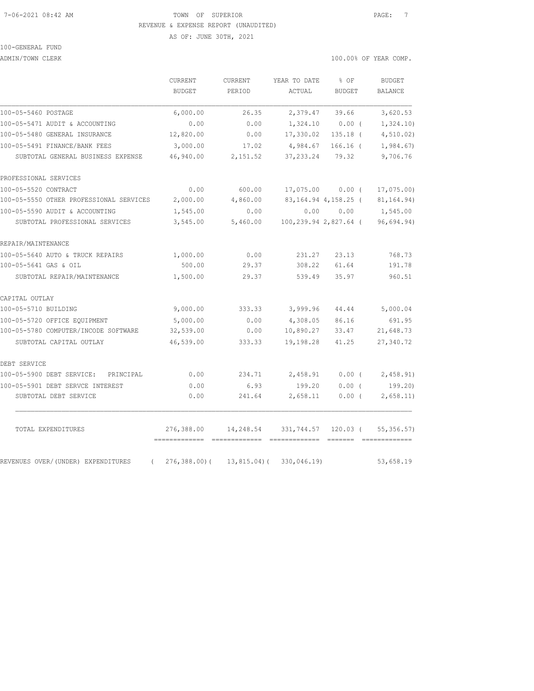#### 7-06-2021 08:42 AM TOWN OF SUPERIOR PAGE: 7 REVENUE & EXPENSE REPORT (UNAUDITED)

AS OF: JUNE 30TH, 2021

# 100-GENERAL FUND

ADMIN/TOWN CLERK 100.00% OF YEAR COMP.

|                                                | CURRENT<br><b>BUDGET</b>    | CURRENT<br>PERIOD | YEAR TO DATE<br>ACTUAL | % OF<br><b>BUDGET</b>    | <b>BUDGET</b><br>BALANCE |
|------------------------------------------------|-----------------------------|-------------------|------------------------|--------------------------|--------------------------|
| 100-05-5460 POSTAGE                            | 6,000.00                    | 26.35             | 2,379.47               | 39.66                    | 3,620.53                 |
| 100-05-5471 AUDIT & ACCOUNTING                 | 0.00                        | 0.00              | 1,324.10               | $0.00$ (                 | 1,324.10)                |
| 100-05-5480 GENERAL INSURANCE                  | 12,820.00                   | 0.00              | 17,330.02              | $135.18$ (               | 4, 510.02                |
| 100-05-5491 FINANCE/BANK FEES                  | 3,000.00                    | 17.02             | 4,984.67               | $166.16$ (               | 1,984.67                 |
| SUBTOTAL GENERAL BUSINESS EXPENSE              | 46,940.00                   | 2,151.52          | 37, 233.24             | 79.32                    | 9,706.76                 |
| PROFESSIONAL SERVICES                          |                             |                   |                        |                          |                          |
| 100-05-5520 CONTRACT                           | 0.00                        | 600.00            |                        | 17,075.00 0.00 (         | 17,075.00)               |
| 100-05-5550 OTHER PROFESSIONAL SERVICES        | 2,000.00                    | 4,860.00          |                        | 83, 164. 94 4, 158. 25 ( | 81, 164. 94)             |
| 100-05-5590 AUDIT & ACCOUNTING                 | 1,545.00                    | 0.00              |                        | 0.00 0.00                | 1,545.00                 |
| SUBTOTAL PROFESSIONAL SERVICES                 | 3,545.00                    | 5,460.00          |                        | 100,239.94 2,827.64 (    | 96,694.94)               |
| REPAIR/MAINTENANCE                             |                             |                   |                        |                          |                          |
| 100-05-5640 AUTO & TRUCK REPAIRS               | 1,000.00                    | 0.00              | 231.27                 | 23.13                    | 768.73                   |
| 100-05-5641 GAS & OIL                          | 500.00                      | 29.37             | 308.22                 | 61.64                    | 191.78                   |
| SUBTOTAL REPAIR/MAINTENANCE                    | 1,500.00                    | 29.37             | 539.49                 | 35.97                    | 960.51                   |
| CAPITAL OUTLAY                                 |                             |                   |                        |                          |                          |
| 100-05-5710 BUILDING                           | 9,000.00                    | 333.33            | 3,999.96               | 44.44                    | 5,000.04                 |
| 100-05-5720 OFFICE EOUIPMENT                   | 5,000.00                    | 0.00              | 4,308.05               | 86.16                    | 691.95                   |
| 100-05-5780 COMPUTER/INCODE SOFTWARE           | 32,539.00                   | 0.00              | 10,890.27              | 33.47                    | 21,648.73                |
| SUBTOTAL CAPITAL OUTLAY                        | 46,539.00                   | 333.33            | 19,198.28              | 41.25                    | 27,340.72                |
| DEBT SERVICE                                   |                             |                   |                        |                          |                          |
| 100-05-5900 DEBT SERVICE:<br>PRINCIPAL         | 0.00                        | 234.71            | 2,458.91               | $0.00$ (                 | 2,458.91)                |
| 100-05-5901 DEBT SERVCE INTEREST               | 0.00                        | 6.93              | 199.20                 | 0.00(                    | 199.20                   |
| SUBTOTAL DEBT SERVICE                          | 0.00                        | 241.64            | 2,658.11               | $0.00$ (                 | 2,658.11)                |
| TOTAL EXPENDITURES                             | 276,388.00<br>============= | 14,248.54         | 331,744.57             | $120.03$ (               | 55, 356.57               |
| REVENUES OVER/(UNDER) EXPENDITURES<br>$\left($ | 276,388.00)(                | $13,815.04$ (     | 330,046.19)            |                          | 53,658.19                |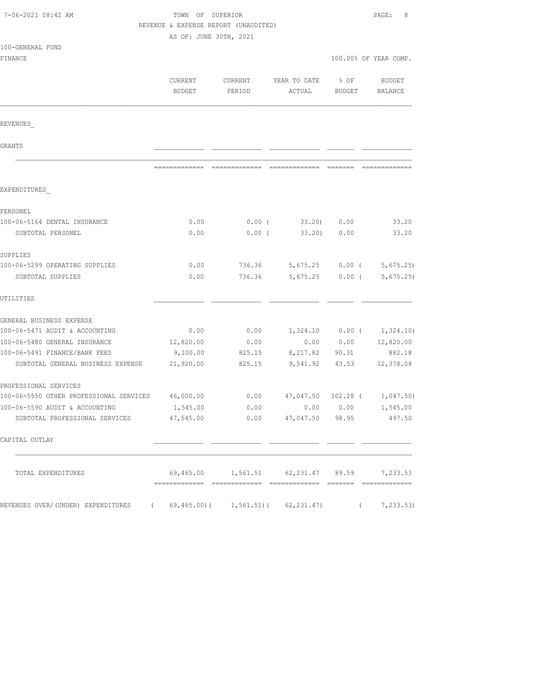| 7-06-2021 08:42 AM                                                  | TOWN OF SUPERIOR<br>REVENUE & EXPENSE REPORT (UNAUDITED) |                   |                                                     |                                   | PAGE:<br>8            |  |
|---------------------------------------------------------------------|----------------------------------------------------------|-------------------|-----------------------------------------------------|-----------------------------------|-----------------------|--|
|                                                                     | AS OF: JUNE 30TH, 2021                                   |                   |                                                     |                                   |                       |  |
| 100-GENERAL FUND                                                    |                                                          |                   |                                                     |                                   |                       |  |
| FINANCE                                                             |                                                          |                   |                                                     |                                   | 100.00% OF YEAR COMP. |  |
|                                                                     | CURRENT<br><b>BUDGET</b>                                 | CURRENT<br>PERIOD | YEAR TO DATE<br>ACTUAL                              | $\frac{1}{2}$ OF<br><b>BUDGET</b> | BUDGET<br>BALANCE     |  |
| REVENUES                                                            |                                                          |                   |                                                     |                                   |                       |  |
| GRANTS                                                              |                                                          |                   |                                                     |                                   |                       |  |
|                                                                     |                                                          |                   |                                                     |                                   |                       |  |
| EXPENDITURES                                                        |                                                          |                   |                                                     |                                   |                       |  |
| PERSONEL                                                            |                                                          |                   |                                                     |                                   |                       |  |
| 100-06-5164 DENTAL INSURANCE                                        | 0.00                                                     | $0.00$ (          | 33.20)                                              | 0.00                              | 33.20                 |  |
| SUBTOTAL PERSONEL                                                   | 0.00                                                     | $0.00$ (          | 33.20                                               | 0.00                              | 33.20                 |  |
| SUPPLIES                                                            |                                                          |                   |                                                     |                                   |                       |  |
| 100-06-5299 OPERATING SUPPLIES                                      | 0.00                                                     | 736.36            |                                                     | 5,675.25 0.00 (                   | 5,675.25              |  |
| SUBTOTAL SUPPLIES                                                   | 0.00                                                     | 736.36            |                                                     | $5,675.25$ 0.00 (                 | 5,675.25              |  |
| UTILITIES                                                           |                                                          |                   |                                                     |                                   |                       |  |
| GENERAL BUSINESS EXPENSE                                            |                                                          |                   |                                                     |                                   |                       |  |
| 100-06-5471 AUDIT & ACCOUNTING                                      | 0.00                                                     | 0.00              |                                                     | $1,324.10$ 0.00 (                 | 1,324.10)             |  |
| 100-06-5480 GENERAL INSURANCE                                       | 12,820.00                                                | 0.00              | 0.00                                                | 0.00                              | 12,820.00             |  |
| 100-06-5491 FINANCE/BANK FEES                                       | 9,100.00                                                 | 825.15            | 8,217.82                                            | 90.31                             | 882.18                |  |
| SUBTOTAL GENERAL BUSINESS EXPENSE                                   | 21,920.00                                                | 825.15            |                                                     | 9,541.92 43.53                    | 12,378.08             |  |
| PROFESSIONAL SERVICES                                               |                                                          |                   |                                                     |                                   |                       |  |
| 100-06-5550 OTHER PROFESSIONAL SERVICES                             | 46,000.00                                                | 0.00              | 47,047.50 102.28 (                                  |                                   | 1,047.50)             |  |
| 100-06-5590 AUDIT & ACCOUNTING                                      | 1,545.00                                                 | 0.00              |                                                     | 0.00 0.00                         | 1,545.00              |  |
| SUBTOTAL PROFESSIONAL SERVICES                                      | 47,545.00                                                |                   | $0.00$ 47,047.50                                    | 98.95                             | 497.50                |  |
| CAPITAL OUTLAY                                                      |                                                          |                   |                                                     |                                   |                       |  |
| TOTAL EXPENDITURES                                                  |                                                          |                   | 69,465.00   1,561.51   62,231.47   89.59   7,233.53 |                                   |                       |  |
| REVENUES OVER/(UNDER) EXPENDITURES (69,465.00)(1,561.51)(62,231.47) |                                                          |                   |                                                     |                                   | 7,233.53)             |  |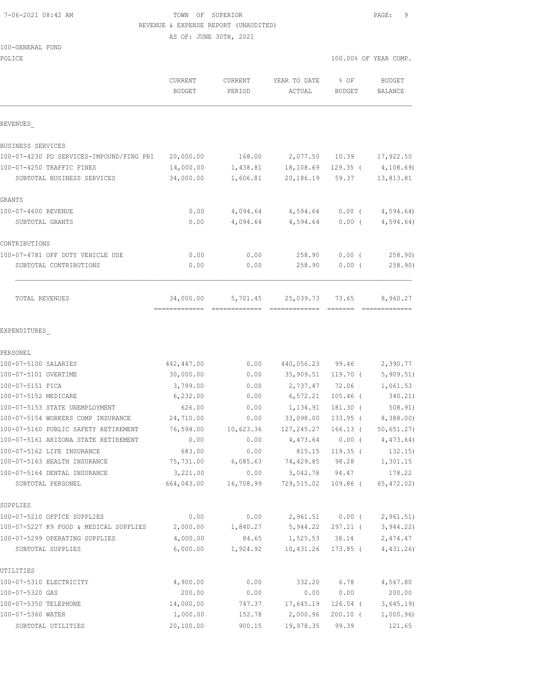### 7-06-2021 08:42 AM TOWN OF SUPERIOR PAGE: 9 REVENUE & EXPENSE REPORT (UNAUDITED)

AS OF: JUNE 30TH, 2021

### 100-GENERAL FUND

| POLICE                                                     |                          |                   |                        |                       | 100.00% OF YEAR COMP.    |
|------------------------------------------------------------|--------------------------|-------------------|------------------------|-----------------------|--------------------------|
|                                                            | CURRENT<br><b>BUDGET</b> | CURRENT<br>PERIOD | YEAR TO DATE<br>ACTUAL | % OF<br><b>BUDGET</b> | <b>BUDGET</b><br>BALANCE |
| REVENUES                                                   |                          |                   |                        |                       |                          |
| BUSINESS SERVICES                                          |                          |                   |                        |                       |                          |
| 100-07-4230 PD SERVICES-IMPOUND/FING PRI                   | 20,000.00                | 168.00            | 2,077.50               | 10.39                 | 17,922.50                |
| 100-07-4250 TRAFFIC FINES                                  | 14,000.00                | 1,438.81          | 18,108.69              | $129.35$ (            | 4,108.69)                |
| SUBTOTAL BUSINESS SERVICES                                 | 34,000.00                | 1,606.81          | 20,186.19              | 59.37                 | 13,813.81                |
| GRANTS                                                     |                          |                   |                        |                       |                          |
| 100-07-4600 REVENUE                                        | 0.00                     |                   | 4,094.64 4,594.64      |                       | $0.00$ ( $4,594.64$ )    |
| SUBTOTAL GRANTS                                            | 0.00                     | 4,094.64          | 4,594.64               | $0.00$ (              | 4,594.64)                |
| CONTRIBUTIONS                                              |                          |                   |                        |                       |                          |
| 100-07-4781 OFF DUTY VEHICLE USE                           | 0.00                     | 0.00              | 258.90                 | $0.00$ (              | 258.90                   |
| SUBTOTAL CONTRIBUTIONS                                     | 0.00                     | 0.00              | 258.90                 | 0.00(                 | 258.90)                  |
| TOTAL REVENUES                                             | 34,000.00                | 5,701.45          | 25,039.73              | 73.65                 | 8,960.27                 |
| EXPENDITURES                                               |                          |                   |                        |                       |                          |
| PERSONEL                                                   |                          |                   |                        |                       |                          |
| 100-07-5100 SALARIES                                       | 442,447.00               | 0.00              | 440,056.23             | 99.46                 | 2,390.77                 |
| 100-07-5101 OVERTIME                                       | 30,000.00                | 0.00              | 35,909.51              | 119.70 (              | 5,909.51)                |
| 100-07-5151 FICA                                           | 3,799.00                 | 0.00              | 2,737.47               | 72.06                 | 1,061.53                 |
| 100-07-5152 MEDICARE                                       | 6,232.00                 | 0.00              | 6,572.21               | $105.46$ (            | 340.21)                  |
| 100-07-5153 STATE UNEMPLOYMENT                             | 626.00                   | 0.00              | 1,134.91               | 181.30 (              | 508.91)                  |
| 100-07-5154 WORKERS COMP INSURANCE                         | 24,710.00                | 0.00              | 33,098.00              | 133.95 (              | 8,388.00)                |
| 100-07-5160 PUBLIC SAFETY RETIREMENT                       | 76,594.00                | 10,623.36         | 127,245.27             | $166.13$ (            | 50,651.27)               |
| 100-07-5161 ARIZONA STATE RETIREMENT                       | 0.00                     | 0.00              | 4,473.64               | $0.00$ (              | 4,473.64)                |
| 100-07-5162 LIFE INSURANCE<br>100-07-5163 HEALTH INSURANCE | 683.00<br>75,731.00      | 0.00<br>6,085.63  | 815.15<br>74,429.85    | $119.35$ (<br>98.28   | 132.15)<br>1,301.15      |
| 100-07-5164 DENTAL INSURANCE                               | 3,221.00                 | 0.00              | 3,042.78               | 94.47                 | 178.22                   |
| SUBTOTAL PERSONEL                                          | 664,043.00               | 16,708.99         | 729,515.02             | $109.86$ (            | 65, 472.02)              |
| SUPPLIES                                                   |                          |                   |                        |                       |                          |
| 100-07-5210 OFFICE SUPPLIES                                | 0.00                     | 0.00              | 2,961.51               | $0.00$ (              | 2,961.51)                |
| 100-07-5227 K9 FOOD & MEDICAL SUPPLIES                     | 2,000.00                 | 1,840.27          | 5,944.22               | 297.21 (              | 3,944.22)                |
| 100-07-5299 OPERATING SUPPLIES                             | 4,000.00                 | 84.65             | 1,525.53               | 38.14                 | 2,474.47                 |
| SUBTOTAL SUPPLIES                                          | 6,000.00                 | 1,924.92          | 10,431.26              | $173.85$ (            | 4,431.26)                |
| UTILITIES                                                  |                          |                   |                        |                       |                          |
| 100-07-5310 ELECTRICITY                                    | 4,900.00                 | 0.00              | 332.20                 | 6.78                  | 4,567.80                 |
| 100-07-5320 GAS                                            | 200.00                   | 0.00              | 0.00                   | 0.00                  | 200.00                   |
| 100-07-5350 TELEPHONE                                      | 14,000.00                | 747.37            | 17,645.19              | $126.04$ (            | 3,645.19                 |

100-07-5360 WATER 1,000.00 152.78 2,000.96 200.10 ( 1,000.96) SUBTOTAL UTILITIES 20,100.00 900.15 19,978.35 99.39 121.65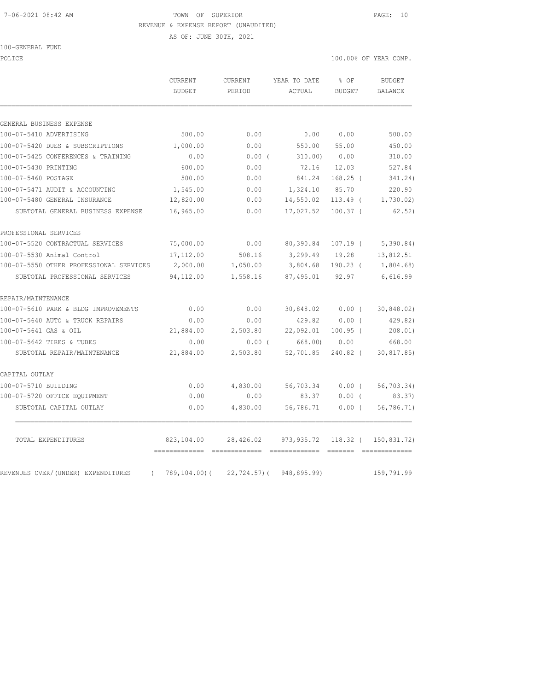### 7-06-2021 08:42 AM TOWN OF SUPERIOR PAGE: 10 REVENUE & EXPENSE REPORT (UNAUDITED)

AS OF: JUNE 30TH, 2021

100-GENERAL FUND

POLICE 100.00% OF YEAR COMP.

|                                                | <b>CURRENT</b><br><b>BUDGET</b> | <b>CURRENT</b><br>PERIOD | YEAR TO DATE<br>ACTUAL                    | $8$ OF<br><b>BUDGET</b> | <b>BUDGET</b><br><b>BALANCE</b> |
|------------------------------------------------|---------------------------------|--------------------------|-------------------------------------------|-------------------------|---------------------------------|
| GENERAL BUSINESS EXPENSE                       |                                 |                          |                                           |                         |                                 |
| 100-07-5410 ADVERTISING                        | 500.00                          | 0.00                     | 0.00                                      | 0.00                    | 500.00                          |
| 100-07-5420 DUES & SUBSCRIPTIONS               | 1,000.00                        | 0.00                     | 550.00                                    | 55.00                   | 450.00                          |
| 100-07-5425 CONFERENCES & TRAINING             | 0.00                            | $0.00$ (                 | 310.00)                                   | 0.00                    | 310.00                          |
| 100-07-5430 PRINTING                           | 600.00                          | 0.00                     | 72.16                                     | 12.03                   | 527.84                          |
| 100-07-5460 POSTAGE                            | 500.00                          | 0.00                     | 841.24                                    | $168.25$ (              | 341.24)                         |
| 100-07-5471 AUDIT & ACCOUNTING                 | 1,545.00                        | 0.00                     | 1,324.10                                  | 85.70                   | 220.90                          |
| 100-07-5480 GENERAL INSURANCE                  | 12,820.00                       | 0.00                     | 14,550.02                                 | $113.49$ (              | 1,730.02                        |
| SUBTOTAL GENERAL BUSINESS EXPENSE              | 16,965.00                       | 0.00                     | 17,027.52                                 | $100.37$ (              | 62, 52)                         |
| PROFESSIONAL SERVICES                          |                                 |                          |                                           |                         |                                 |
| 100-07-5520 CONTRACTUAL SERVICES               | 75,000.00                       | 0.00                     | 80,390.84                                 | $107.19$ (              | 5,390.84)                       |
| 100-07-5530 Animal Control                     | 17,112.00                       | 508.16                   | 3,299.49                                  | 19.28                   | 13,812.51                       |
| 100-07-5550 OTHER PROFESSIONAL SERVICES        | 2,000.00                        | 1,050.00                 | 3,804.68                                  |                         | 190.23 ( 1,804.68)              |
| SUBTOTAL PROFESSIONAL SERVICES                 | 94,112.00                       | 1,558.16                 | 87,495.01                                 | 92.97                   | 6,616.99                        |
| REPAIR/MAINTENANCE                             |                                 |                          |                                           |                         |                                 |
| 100-07-5610 PARK & BLDG IMPROVEMENTS           | 0.00                            | 0.00                     | 30,848.02 0.00 (                          |                         | 30,848.02)                      |
| 100-07-5640 AUTO & TRUCK REPAIRS               | 0.00                            | 0.00                     | 429.82                                    | 0.00(                   | 429.82)                         |
| 100-07-5641 GAS & OIL                          | 21,884.00                       | 2,503.80                 | 22,092.01                                 | $100.95$ (              | 208.01)                         |
| 100-07-5642 TIRES & TUBES                      | 0.00                            | $0.00$ (                 | 668.00)                                   | 0.00                    | 668.00                          |
| SUBTOTAL REPAIR/MAINTENANCE                    | 21,884.00                       | 2,503.80                 | 52,701.85                                 | 240.82 (                | 30,817.85)                      |
| CAPITAL OUTLAY                                 |                                 |                          |                                           |                         |                                 |
| 100-07-5710 BUILDING                           | 0.00                            | 4,830.00                 | 56,703.34                                 | $0.00$ (                | 56,703.34)                      |
| 100-07-5720 OFFICE EQUIPMENT                   | 0.00                            | 0.00                     | 83.37                                     | $0.00$ (                | 83.37)                          |
| SUBTOTAL CAPITAL OUTLAY                        | 0.00                            | 4,830.00                 | 56,786.71                                 | $0.00$ (                | 56,786.71)                      |
| TOTAL EXPENDITURES                             | 823,104.00                      |                          | 28,426.02 973,935.72 118.32 ( 150,831.72) |                         |                                 |
| REVENUES OVER/(UNDER) EXPENDITURES<br>$\left($ | 789,104.00)(                    |                          | 22,724.57) ( 948,895.99)                  |                         | 159,791.99                      |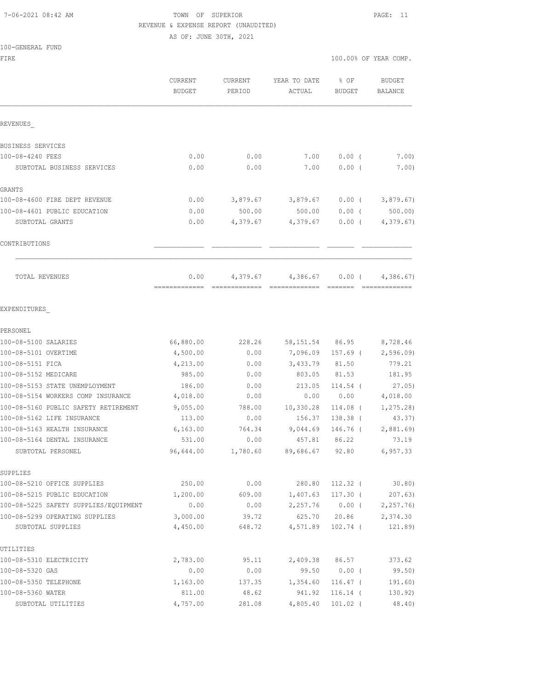#### 7-06-2021 08:42 AM TOWN OF SUPERIOR PAGE: 11 REVENUE & EXPENSE REPORT (UNAUDITED)

AS OF: JUNE 30TH, 2021

### 100-GENERAL FUND

|                                       | CURRENT<br><b>BUDGET</b> | <b>CURRENT</b><br>PERIOD | YEAR TO DATE<br>ACTUAL    | % OF<br><b>BUDGET</b> | <b>BUDGET</b><br><b>BALANCE</b> |
|---------------------------------------|--------------------------|--------------------------|---------------------------|-----------------------|---------------------------------|
| REVENUES                              |                          |                          |                           |                       |                                 |
| BUSINESS SERVICES                     |                          |                          |                           |                       |                                 |
| 100-08-4240 FEES                      | 0.00                     | 0.00                     | 7.00                      | 0.00(                 | 7.00)                           |
| SUBTOTAL BUSINESS SERVICES            | 0.00                     | 0.00                     | 7.00                      | 0.00(                 | 7.00)                           |
| GRANTS                                |                          |                          |                           |                       |                                 |
| 100-08-4600 FIRE DEPT REVENUE         | 0.00                     | 3,879.67                 | 3,879.67                  | $0.00$ (              | 3,879.67)                       |
| 100-08-4601 PUBLIC EDUCATION          | 0.00                     | 500.00                   | 500.00                    | 0.00(                 | 500.00                          |
| SUBTOTAL GRANTS                       | 0.00                     | 4,379.67                 | 4,379.67                  | $0.00$ (              | 4,379.67)                       |
| CONTRIBUTIONS                         |                          |                          |                           |                       |                                 |
| <b>TOTAL REVENUES</b>                 | 0.00<br>-------------    | 4,379.67                 | 4,386.67<br>============= | 0.00(                 | 4,386.67                        |
| EXPENDITURES                          |                          |                          |                           |                       |                                 |
| PERSONEL                              |                          |                          |                           |                       |                                 |
| 100-08-5100 SALARIES                  | 66,880.00                | 228.26                   | 58,151.54                 | 86.95                 | 8,728.46                        |
| 100-08-5101 OVERTIME                  | 4,500.00                 | 0.00                     | 7,096.09                  | 157.69 (              | 2,596.09                        |
| 100-08-5151 FICA                      | 4,213.00                 | 0.00                     | 3,433.79                  | 81.50                 | 779.21                          |
| 100-08-5152 MEDICARE                  | 985.00                   | 0.00                     | 803.05                    | 81.53                 | 181.95                          |
| 100-08-5153 STATE UNEMPLOYMENT        | 186.00                   | 0.00                     | 213.05                    | $114.54$ (            | 27.05)                          |
| 100-08-5154 WORKERS COMP INSURANCE    | 4,018.00                 | 0.00                     | 0.00                      | 0.00                  | 4,018.00                        |
| 100-08-5160 PUBLIC SAFETY RETIREMENT  | 9,055.00                 | 788.00                   | 10,330.28                 | 114.08 (              | 1, 275.28                       |
| 100-08-5162 LIFE INSURANCE            | 113.00                   | 0.00                     | 156.37                    | 138.38 (              | 43.37)                          |
| 100-08-5163 HEALTH INSURANCE          | 6, 163.00                | 764.34                   | 9,044.69                  | 146.76 (              | 2,881.69                        |
| 100-08-5164 DENTAL INSURANCE          | 531.00                   | 0.00                     | 457.81                    | 86.22                 | 73.19                           |
| SUBTOTAL PERSONEL                     | 96,644.00                | 1,780.60                 | 89,686.67                 | 92.80                 | 6, 957.33                       |
| SUPPLIES                              |                          |                          |                           |                       |                                 |
| 100-08-5210 OFFICE SUPPLIES           | 250.00                   | 0.00                     | 280.80                    | 112.32 (              | 30.80)                          |
| 100-08-5215 PUBLIC EDUCATION          | 1,200.00                 | 609.00                   | 1,407.63                  | 117.30 (              | 207.63)                         |
| 100-08-5225 SAFETY SUPPLIES/EQUIPMENT | 0.00                     | 0.00                     | 2,257.76                  |                       | $0.00$ ( $2,257.76$ )           |
| 100-08-5299 OPERATING SUPPLIES        | 3,000.00                 | 39.72                    | 625.70                    | 20.86                 | 2,374.30                        |
| SUBTOTAL SUPPLIES                     | 4,450.00                 | 648.72                   | 4,571.89                  | $102.74$ (            | 121.89)                         |
| UTILITIES                             |                          |                          |                           |                       |                                 |
| 100-08-5310 ELECTRICITY               | 2,783.00                 | 95.11                    | 2,409.38                  | 86.57                 | 373.62                          |
| 100-08-5320 GAS                       | 0.00                     | 0.00                     | 99.50                     | $0.00$ (              | 99.50)                          |
| 100-08-5350 TELEPHONE                 | 1,163.00                 | 137.35                   | 1,354.60                  | $116.47$ (            | 191.60)                         |
| 100-08-5360 WATER                     | 811.00                   | 48.62                    | 941.92                    | $116.14$ (            | 130.92)                         |
| SUBTOTAL UTILITIES                    | 4,757.00                 | 281.08                   | 4,805.40                  | $101.02$ (            | 48.40)                          |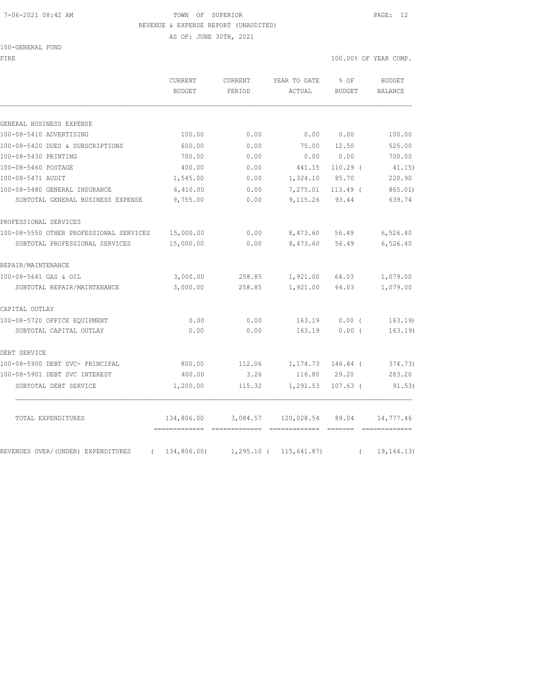### 7-06-2021 08:42 AM TOWN OF SUPERIOR PAGE: 12 REVENUE & EXPENSE REPORT (UNAUDITED)

AS OF: JUNE 30TH, 2021

100-GENERAL FUND

| FIRE                                             |                                           |                                    |                                                                                                                                                                                                                                                                                                                                                                                                                                                                                              |                  | 100.00% OF YEAR COMP. |  |  |
|--------------------------------------------------|-------------------------------------------|------------------------------------|----------------------------------------------------------------------------------------------------------------------------------------------------------------------------------------------------------------------------------------------------------------------------------------------------------------------------------------------------------------------------------------------------------------------------------------------------------------------------------------------|------------------|-----------------------|--|--|
|                                                  | CURRENT<br>BUDGET                         | CURRENT<br>PERIOD                  | YEAR TO DATE<br>ACTUAL                                                                                                                                                                                                                                                                                                                                                                                                                                                                       | $8$ OF<br>BUDGET | BUDGET<br>BALANCE     |  |  |
|                                                  |                                           |                                    |                                                                                                                                                                                                                                                                                                                                                                                                                                                                                              |                  |                       |  |  |
| GENERAL BUSINESS EXPENSE                         |                                           |                                    |                                                                                                                                                                                                                                                                                                                                                                                                                                                                                              |                  |                       |  |  |
| 100-08-5410 ADVERTISING                          | 100.00                                    | 0.00                               | 0.00                                                                                                                                                                                                                                                                                                                                                                                                                                                                                         | 0.00             | 100.00                |  |  |
| 100-08-5420 DUES & SUBSCRIPTIONS                 | 600.00                                    | 0.00                               | 75.00                                                                                                                                                                                                                                                                                                                                                                                                                                                                                        | 12.50            | 525.00                |  |  |
| 100-08-5430 PRINTING                             | 700.00                                    | 0.00                               | 0.00                                                                                                                                                                                                                                                                                                                                                                                                                                                                                         | 0.00             | 700.00                |  |  |
| 100-08-5460 POSTAGE                              | 400.00                                    | 0.00                               | 441.15                                                                                                                                                                                                                                                                                                                                                                                                                                                                                       | $110.29$ (       | 41.15)                |  |  |
| 100-08-5471 AUDIT                                | 1,545.00                                  | 0.00                               | 1,324.10                                                                                                                                                                                                                                                                                                                                                                                                                                                                                     | 85.70            | 220.90                |  |  |
| 100-08-5480 GENERAL INSURANCE                    | 6,410.00                                  | 0.00                               | 7,275.01                                                                                                                                                                                                                                                                                                                                                                                                                                                                                     | $113.49$ (       | 865.01                |  |  |
| SUBTOTAL GENERAL BUSINESS EXPENSE                | 9,755.00                                  | 0.00                               | 9,115.26                                                                                                                                                                                                                                                                                                                                                                                                                                                                                     | 93.44            | 639.74                |  |  |
| PROFESSIONAL SERVICES                            |                                           |                                    |                                                                                                                                                                                                                                                                                                                                                                                                                                                                                              |                  |                       |  |  |
| 100-08-5550 OTHER PROFESSIONAL SERVICES          | 15,000.00                                 | 0.00                               | 8,473.60                                                                                                                                                                                                                                                                                                                                                                                                                                                                                     | 56.49            | 6,526.40              |  |  |
| SUBTOTAL PROFESSIONAL SERVICES                   | 15,000.00                                 | 0.00                               | 8,473.60                                                                                                                                                                                                                                                                                                                                                                                                                                                                                     | 56.49            | 6,526.40              |  |  |
| REPAIR/MAINTENANCE                               |                                           |                                    |                                                                                                                                                                                                                                                                                                                                                                                                                                                                                              |                  |                       |  |  |
| 100-08-5641 GAS & OIL                            | 3,000.00                                  | 258.85                             | 1,921.00                                                                                                                                                                                                                                                                                                                                                                                                                                                                                     | 64.03            | 1,079.00              |  |  |
| SUBTOTAL REPAIR/MAINTENANCE                      | 3,000.00                                  | 258.85                             | 1,921.00                                                                                                                                                                                                                                                                                                                                                                                                                                                                                     | 64.03            | 1,079.00              |  |  |
| CAPITAL OUTLAY                                   |                                           |                                    |                                                                                                                                                                                                                                                                                                                                                                                                                                                                                              |                  |                       |  |  |
| 100-08-5720 OFFICE EQUIPMENT                     | 0.00                                      | 0.00                               | 163.19                                                                                                                                                                                                                                                                                                                                                                                                                                                                                       | 0.00(            | 163.19                |  |  |
| SUBTOTAL CAPITAL OUTLAY                          | 0.00                                      | 0.00                               | 163.19                                                                                                                                                                                                                                                                                                                                                                                                                                                                                       | 0.00(            | 163.19                |  |  |
| DEBT SERVICE                                     |                                           |                                    |                                                                                                                                                                                                                                                                                                                                                                                                                                                                                              |                  |                       |  |  |
| 100-08-5900 DEBT SVC- PRINCIPAL                  | 800.00                                    | 112.06                             | 1,174.73                                                                                                                                                                                                                                                                                                                                                                                                                                                                                     | $146.84$ (       | 374.73)               |  |  |
| 100-08-5901 DEBT SVC INTEREST                    | 400.00                                    | 3.26                               | 116.80                                                                                                                                                                                                                                                                                                                                                                                                                                                                                       | 29.20            | 283.20                |  |  |
| SUBTOTAL DEBT SERVICE                            | 1,200.00                                  | 115.32                             | 1,291.53                                                                                                                                                                                                                                                                                                                                                                                                                                                                                     | $107.63$ (       | 91.53)                |  |  |
| TOTAL EXPENDITURES                               | 134,806.00<br>------------- ------------- | 3,084.57                           | 120,028.54<br>$\begin{array}{cccccccccc} \multicolumn{2}{c}{{\color{red}c}} & \multicolumn{2}{c}{{\color{red}c}} & \multicolumn{2}{c}{{\color{red}c}} & \multicolumn{2}{c}{{\color{red}c}} & \multicolumn{2}{c}{{\color{red}c}} & \multicolumn{2}{c}{{\color{red}c}} & \multicolumn{2}{c}{{\color{red}c}} & \multicolumn{2}{c}{{\color{red}c}} & \multicolumn{2}{c}{{\color{red}c}} & \multicolumn{2}{c}{{\color{red}c}} & \multicolumn{2}{c}{{\color{red}c}} & \multicolumn{2}{c}{{\color{$ | 89.04            | 14,777.46             |  |  |
| REVENUES OVER/(UNDER) EXPENDITURES<br>$\sqrt{2}$ |                                           | 134,806.00) 1,295.10 ( 115,641.87) |                                                                                                                                                                                                                                                                                                                                                                                                                                                                                              | $\left($         | 19, 164.13)           |  |  |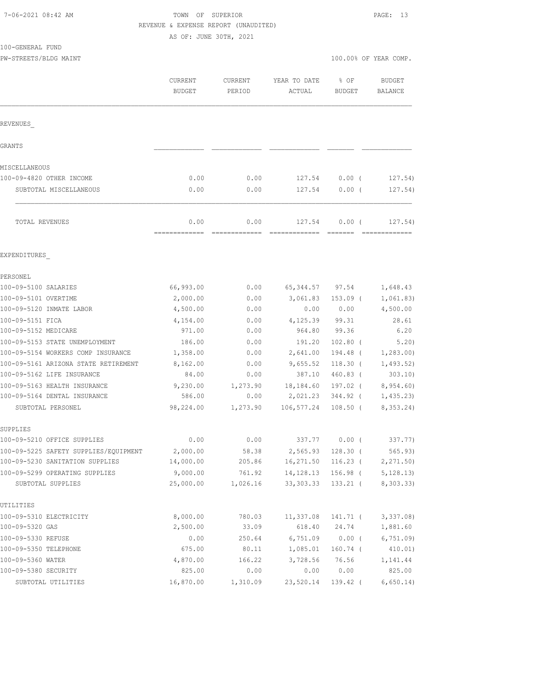# TOWN OF SUPERIOR **PAGE:** 13 REVENUE & EXPENSE REPORT (UNAUDITED)

AS OF: JUNE 30TH, 2021

100-GENERAL FUND

PW-STREETS/BLDG MAINT 100.00% OF YEAR COMP.

|                                                     | CURRENT<br><b>BUDGET</b> | CURRENT<br>PERIOD     | YEAR TO DATE<br>ACTUAL    | % OF<br><b>BUDGET</b>            | <b>BUDGET</b><br><b>BALANCE</b> |
|-----------------------------------------------------|--------------------------|-----------------------|---------------------------|----------------------------------|---------------------------------|
| REVENUES                                            |                          |                       |                           |                                  |                                 |
| <b>GRANTS</b>                                       |                          |                       |                           |                                  |                                 |
| MISCELLANEOUS                                       |                          |                       |                           |                                  |                                 |
| 100-09-4820 OTHER INCOME                            | 0.00                     | 0.00                  | 127.54                    | $0.00$ (                         | 127.54)                         |
| SUBTOTAL MISCELLANEOUS                              | 0.00                     | 0.00                  | 127.54                    | 0.00(                            | 127.54)                         |
| TOTAL REVENUES                                      | 0.00<br>-------------    | 0.00<br>============= | 127.54                    | 0.00(<br>$=$ $=$ $=$ $=$ $=$ $=$ | 127.54)<br>=============        |
| EXPENDITURES                                        |                          |                       |                           |                                  |                                 |
| PERSONEL                                            |                          |                       |                           |                                  |                                 |
| 100-09-5100 SALARIES                                | 66,993.00                | 0.00                  | 65, 344.57                | 97.54                            | 1,648.43                        |
| 100-09-5101 OVERTIME                                | 2,000.00                 | 0.00                  | 3,061.83                  | $153.09$ (                       | 1,061.83)                       |
| 100-09-5120 INMATE LABOR                            | 4,500.00                 | 0.00                  | 0.00                      | 0.00                             | 4,500.00                        |
| 100-09-5151 FICA                                    | 4,154.00                 | 0.00                  | 4,125.39                  | 99.31                            | 28.61                           |
| 100-09-5152 MEDICARE                                | 971.00                   | 0.00                  | 964.80                    | 99.36                            | 6.20                            |
| 100-09-5153 STATE UNEMPLOYMENT                      | 186.00                   | 0.00                  | 191.20                    | $102.80$ (                       | 5.20)                           |
| 100-09-5154 WORKERS COMP INSURANCE                  | 1,358.00                 | 0.00                  | 2,641.00                  | 194.48 (                         | 1,283.00                        |
| 100-09-5161 ARIZONA STATE RETIREMENT                | 8,162.00                 | 0.00                  | 9,655.52                  | $118.30$ (                       | 1,493.52)                       |
| 100-09-5162 LIFE INSURANCE                          | 84.00                    | 0.00                  | 387.10                    | 460.83 (                         | 303.10)                         |
| 100-09-5163 HEALTH INSURANCE                        | 9,230.00                 | 1,273.90              | 18,184.60                 | 197.02 (                         | 8,954.60)                       |
| 100-09-5164 DENTAL INSURANCE                        | 586.00                   | 0.00                  | 2,021.23                  | 344.92 (                         | 1,435.23                        |
| SUBTOTAL PERSONEL                                   | 98,224.00                | 1,273.90              | 106,577.24                | $108.50$ (                       | 8,353.24)                       |
| SUPPLIES                                            |                          |                       |                           |                                  |                                 |
| 100-09-5210 OFFICE SUPPLIES                         | 0.00                     | 0.00                  | 337.77                    | $0.00$ (                         | 337.77)                         |
| 100-09-5225 SAFETY SUPPLIES/EQUIPMENT               | 2,000.00                 | 58.38                 | 2,565.93                  | $128.30$ (                       | 565.93)                         |
| 100-09-5230 SANITATION SUPPLIES                     | 14,000.00                | 205.86                | 16,271.50                 | $116.23$ (                       | 2, 271.50                       |
| 100-09-5299 OPERATING SUPPLIES<br>SUBTOTAL SUPPLIES | 9,000.00<br>25,000.00    | 761.92<br>1,026.16    | 14, 128. 13<br>33, 303.33 | 156.98 (<br>$133.21$ (           | 5, 128.13)<br>8,303.33)         |
| UTILITIES                                           |                          |                       |                           |                                  |                                 |
| 100-09-5310 ELECTRICITY                             | 8,000.00                 | 780.03                | 11,337.08                 | 141.71 (                         | 3,337.08                        |
| 100-09-5320 GAS                                     | 2,500.00                 | 33.09                 | 618.40                    | 24.74                            | 1,881.60                        |
| 100-09-5330 REFUSE                                  | 0.00                     | 250.64                | 6,751.09                  | $0.00$ (                         | 6,751.09                        |
| 100-09-5350 TELEPHONE                               | 675.00                   | 80.11                 | 1,085.01                  | $160.74$ (                       | 410.01)                         |
| 100-09-5360 WATER                                   | 4,870.00                 | 166.22                | 3,728.56                  | 76.56                            | 1,141.44                        |
| 100-09-5380 SECURITY                                | 825.00                   | 0.00                  | 0.00                      | 0.00                             | 825.00                          |

SUBTOTAL UTILITIES 16,870.00 1,310.09 23,520.14 139.42 ( 6,650.14)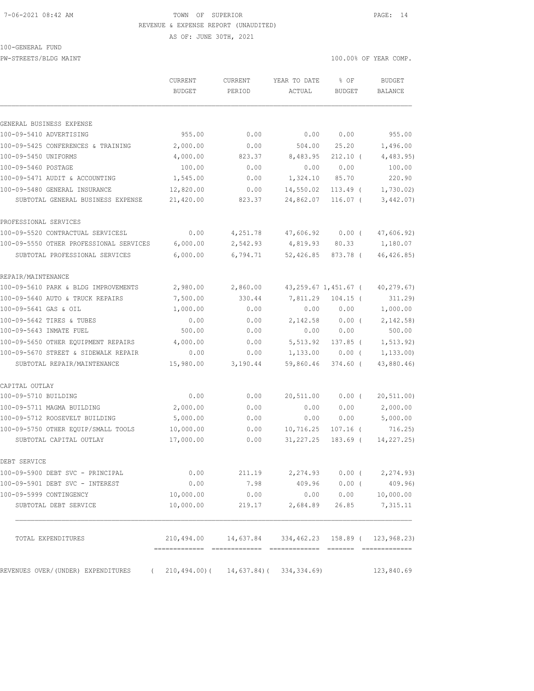### 7-06-2021 08:42 AM TOWN OF SUPERIOR PAGE: 14 REVENUE & EXPENSE REPORT (UNAUDITED)

AS OF: JUNE 30TH, 2021

100-GENERAL FUND

PW-STREETS/BLDG MAINT 100.00% OF YEAR COMP.

|                                         | CURRENT<br><b>BUDGET</b>                   | <b>CURRENT</b><br>PERIOD                                 | YEAR TO DATE<br>ACTUAL | % OF<br><b>BUDGET</b> | <b>BUDGET</b><br>BALANCE |
|-----------------------------------------|--------------------------------------------|----------------------------------------------------------|------------------------|-----------------------|--------------------------|
|                                         |                                            |                                                          |                        |                       |                          |
| GENERAL BUSINESS EXPENSE                |                                            |                                                          |                        |                       |                          |
| 100-09-5410 ADVERTISING                 | 955.00                                     | 0.00                                                     | 0.00                   | 0.00                  | 955.00                   |
| 100-09-5425 CONFERENCES & TRAINING      | 2,000.00                                   | 0.00                                                     | 504.00                 | 25.20                 | 1,496.00                 |
| 100-09-5450 UNIFORMS                    | 4,000.00                                   | 823.37                                                   | 8,483.95               | $212.10$ (            | 4,483.95                 |
| 100-09-5460 POSTAGE                     | 100.00                                     | 0.00                                                     | 0.00                   | 0.00                  | 100.00                   |
| 100-09-5471 AUDIT & ACCOUNTING          | 1,545.00                                   | 0.00                                                     | 1,324.10               | 85.70                 | 220.90                   |
| 100-09-5480 GENERAL INSURANCE           | 12,820.00                                  | 0.00                                                     | 14,550.02              | $113.49$ (            | 1,730.02)                |
| SUBTOTAL GENERAL BUSINESS EXPENSE       | 21,420.00                                  | 823.37                                                   | 24,862.07              | $116.07$ (            | 3,442.07)                |
| PROFESSIONAL SERVICES                   |                                            |                                                          |                        |                       |                          |
| 100-09-5520 CONTRACTUAL SERVICESL       | 0.00                                       | 4,251.78                                                 | 47,606.92              | $0.00$ (              | 47,606.92)               |
| 100-09-5550 OTHER PROFESSIONAL SERVICES | 6,000.00                                   | 2,542.93                                                 | 4,819.93               | 80.33                 | 1,180.07                 |
| SUBTOTAL PROFESSIONAL SERVICES          | 6,000.00                                   | 6,794.71                                                 | 52,426.85              | 873.78 (              | 46, 426.85)              |
| REPAIR/MAINTENANCE                      |                                            |                                                          |                        |                       |                          |
| 100-09-5610 PARK & BLDG IMPROVEMENTS    | 2,980.00                                   | 2,860.00                                                 |                        | 43,259.67 1,451.67 (  | 40, 279.67)              |
| 100-09-5640 AUTO & TRUCK REPAIRS        | 7,500.00                                   | 330.44                                                   | 7,811.29               | $104.15$ (            | 311.29)                  |
| 100-09-5641 GAS & OIL                   | 1,000.00                                   | 0.00                                                     | 0.00                   | 0.00                  | 1,000.00                 |
| 100-09-5642 TIRES & TUBES               | 0.00                                       | 0.00                                                     | 2,142.58               | $0.00$ (              | 2, 142.58                |
| 100-09-5643 INMATE FUEL                 | 500.00                                     | 0.00                                                     | 0.00                   | 0.00                  | 500.00                   |
| 100-09-5650 OTHER EQUIPMENT REPAIRS     | 4,000.00                                   | 0.00                                                     | 5,513.92               | $137.85$ (            | 1, 513.92)               |
| 100-09-5670 STREET & SIDEWALK REPAIR    | 0.00                                       | 0.00                                                     | 1,133.00               | 0.00(                 | 1, 133.00                |
| SUBTOTAL REPAIR/MAINTENANCE             | 15,980.00                                  | 3,190.44                                                 | 59,860.46              | $374.60$ (            | 43,880.46)               |
| CAPITAL OUTLAY                          |                                            |                                                          |                        |                       |                          |
| 100-09-5710 BUILDING                    | 0.00                                       | 0.00                                                     | 20,511.00              | $0.00$ (              | 20, 511.00)              |
| 100-09-5711 MAGMA BUILDING              | 2,000.00                                   | 0.00                                                     | 0.00                   | 0.00                  | 2,000.00                 |
| 100-09-5712 ROOSEVELT BUILDING          | 5,000.00                                   | 0.00                                                     | 0.00                   | 0.00                  | 5,000.00                 |
| 100-09-5750 OTHER EQUIP/SMALL TOOLS     | 10,000.00                                  | 0.00                                                     | 10,716.25              | $107.16$ (            | 716.25                   |
| SUBTOTAL CAPITAL OUTLAY                 | 17,000.00                                  | 0.00                                                     | 31, 227.25             | $183.69$ (            | 14, 227. 25)             |
| DEBT SERVICE                            |                                            |                                                          |                        |                       |                          |
| 100-09-5900 DEBT SVC - PRINCIPAL        | 0.00                                       | 211.19                                                   | 2,274.93               |                       | $0.00$ ( $2,274.93$ )    |
| 100-09-5901 DEBT SVC - INTEREST         | 0.00                                       | 7.98                                                     | 409.96                 | $0.00$ (              | 409.96)                  |
| 100-09-5999 CONTINGENCY                 | 10,000.00                                  | 0.00                                                     | 0.00                   |                       | 0.00 10,000.00           |
| SUBTOTAL DEBT SERVICE                   | 10,000.00                                  | 219.17                                                   | 2,684.89               | 26.85                 | 7,315.11                 |
| TOTAL EXPENDITURES                      |                                            | 210, 494.00 14, 637.84 334, 462.23 158.89 ( 123, 968.23) |                        |                       |                          |
| REVENUES OVER/(UNDER) EXPENDITURES      | $(210, 494.00) (14, 637.84) (334, 334.69)$ |                                                          |                        |                       | 123,840.69               |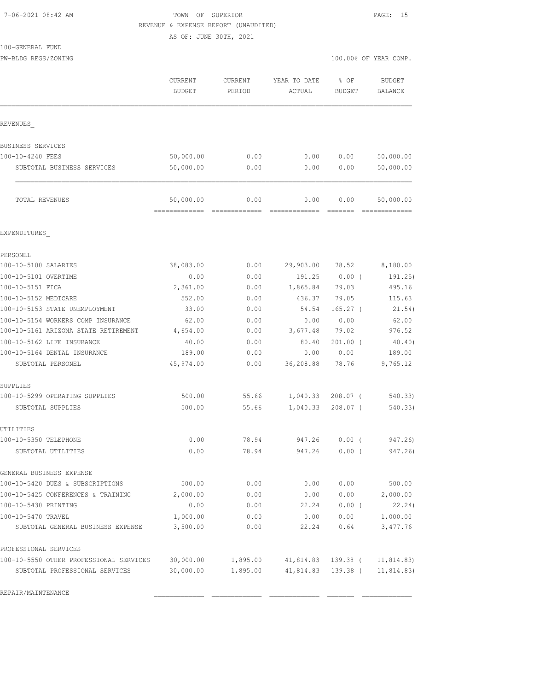## 7-06-2021 08:42 AM TOWN OF SUPERIOR PAGE: 15 REVENUE & EXPENSE REPORT (UNAUDITED)

AS OF: JUNE 30TH, 2021

PW-BLDG REGS/ZONING 100.00% OF YEAR COMP.

PROFESSIONAL SERVICES

|                                      | CURRENT<br><b>BUDGET</b> | <b>CURRENT</b><br>PERIOD                                                                                                                                                                                                                                                                                                                                                                                                                                                                       | YEAR TO DATE<br>ACTUAL | % OF<br><b>BUDGET</b>                                                                                                                                                                                                                                                                                                                                                                                                                                                                          | <b>BUDGET</b><br><b>BALANCE</b> |
|--------------------------------------|--------------------------|------------------------------------------------------------------------------------------------------------------------------------------------------------------------------------------------------------------------------------------------------------------------------------------------------------------------------------------------------------------------------------------------------------------------------------------------------------------------------------------------|------------------------|------------------------------------------------------------------------------------------------------------------------------------------------------------------------------------------------------------------------------------------------------------------------------------------------------------------------------------------------------------------------------------------------------------------------------------------------------------------------------------------------|---------------------------------|
| REVENUES                             |                          |                                                                                                                                                                                                                                                                                                                                                                                                                                                                                                |                        |                                                                                                                                                                                                                                                                                                                                                                                                                                                                                                |                                 |
| BUSINESS SERVICES                    |                          |                                                                                                                                                                                                                                                                                                                                                                                                                                                                                                |                        |                                                                                                                                                                                                                                                                                                                                                                                                                                                                                                |                                 |
| 100-10-4240 FEES                     | 50,000.00                | 0.00                                                                                                                                                                                                                                                                                                                                                                                                                                                                                           | 0.00                   | 0.00                                                                                                                                                                                                                                                                                                                                                                                                                                                                                           | 50,000.00                       |
| SUBTOTAL BUSINESS SERVICES           | 50,000.00                | 0.00                                                                                                                                                                                                                                                                                                                                                                                                                                                                                           | 0.00                   | 0.00                                                                                                                                                                                                                                                                                                                                                                                                                                                                                           | 50,000.00                       |
| TOTAL REVENUES                       | 50,000.00                | 0.00<br>$\begin{array}{cccccccccccccc} \multicolumn{2}{c}{} & \multicolumn{2}{c}{} & \multicolumn{2}{c}{} & \multicolumn{2}{c}{} & \multicolumn{2}{c}{} & \multicolumn{2}{c}{} & \multicolumn{2}{c}{} & \multicolumn{2}{c}{} & \multicolumn{2}{c}{} & \multicolumn{2}{c}{} & \multicolumn{2}{c}{} & \multicolumn{2}{c}{} & \multicolumn{2}{c}{} & \multicolumn{2}{c}{} & \multicolumn{2}{c}{} & \multicolumn{2}{c}{} & \multicolumn{2}{c}{} & \multicolumn{2}{c}{} & \multicolumn{2}{c}{} & \$ | 0.00                   | 0.00<br>$\begin{array}{cccccccccc} \multicolumn{2}{c}{} & \multicolumn{2}{c}{} & \multicolumn{2}{c}{} & \multicolumn{2}{c}{} & \multicolumn{2}{c}{} & \multicolumn{2}{c}{} & \multicolumn{2}{c}{} & \multicolumn{2}{c}{} & \multicolumn{2}{c}{} & \multicolumn{2}{c}{} & \multicolumn{2}{c}{} & \multicolumn{2}{c}{} & \multicolumn{2}{c}{} & \multicolumn{2}{c}{} & \multicolumn{2}{c}{} & \multicolumn{2}{c}{} & \multicolumn{2}{c}{} & \multicolumn{2}{c}{} & \multicolumn{2}{c}{} & \mult$ | 50,000.00                       |
| EXPENDITURES                         |                          |                                                                                                                                                                                                                                                                                                                                                                                                                                                                                                |                        |                                                                                                                                                                                                                                                                                                                                                                                                                                                                                                |                                 |
| PERSONEL                             |                          |                                                                                                                                                                                                                                                                                                                                                                                                                                                                                                |                        |                                                                                                                                                                                                                                                                                                                                                                                                                                                                                                |                                 |
| 100-10-5100 SALARIES                 | 38,083.00                | 0.00                                                                                                                                                                                                                                                                                                                                                                                                                                                                                           | 29,903.00              | 78.52                                                                                                                                                                                                                                                                                                                                                                                                                                                                                          | 8,180.00                        |
| 100-10-5101 OVERTIME                 | 0.00                     | 0.00                                                                                                                                                                                                                                                                                                                                                                                                                                                                                           | 191.25                 | $0.00$ (                                                                                                                                                                                                                                                                                                                                                                                                                                                                                       | 191.25)                         |
| 100-10-5151 FICA                     | 2,361.00                 | 0.00                                                                                                                                                                                                                                                                                                                                                                                                                                                                                           | 1,865.84               | 79.03                                                                                                                                                                                                                                                                                                                                                                                                                                                                                          | 495.16                          |
| 100-10-5152 MEDICARE                 | 552.00                   | 0.00                                                                                                                                                                                                                                                                                                                                                                                                                                                                                           | 436.37                 | 79.05                                                                                                                                                                                                                                                                                                                                                                                                                                                                                          | 115.63                          |
| 100-10-5153 STATE UNEMPLOYMENT       | 33.00                    | 0.00                                                                                                                                                                                                                                                                                                                                                                                                                                                                                           | 54.54                  | $165.27$ (                                                                                                                                                                                                                                                                                                                                                                                                                                                                                     | 21.54)                          |
| 100-10-5154 WORKERS COMP INSURANCE   | 62.00                    | 0.00                                                                                                                                                                                                                                                                                                                                                                                                                                                                                           | 0.00                   | 0.00                                                                                                                                                                                                                                                                                                                                                                                                                                                                                           | 62.00                           |
| 100-10-5161 ARIZONA STATE RETIREMENT | 4,654.00                 | 0.00                                                                                                                                                                                                                                                                                                                                                                                                                                                                                           | 3,677.48               | 79.02                                                                                                                                                                                                                                                                                                                                                                                                                                                                                          | 976.52                          |
| 100-10-5162 LIFE INSURANCE           | 40.00                    | 0.00                                                                                                                                                                                                                                                                                                                                                                                                                                                                                           | 80.40                  | $201.00$ (                                                                                                                                                                                                                                                                                                                                                                                                                                                                                     | 40.40)                          |
| 100-10-5164 DENTAL INSURANCE         | 189.00                   | 0.00                                                                                                                                                                                                                                                                                                                                                                                                                                                                                           | 0.00                   | 0.00                                                                                                                                                                                                                                                                                                                                                                                                                                                                                           | 189.00                          |
| SUBTOTAL PERSONEL                    | 45,974.00                | 0.00                                                                                                                                                                                                                                                                                                                                                                                                                                                                                           | 36,208.88              | 78.76                                                                                                                                                                                                                                                                                                                                                                                                                                                                                          | 9,765.12                        |
| SUPPLIES                             |                          |                                                                                                                                                                                                                                                                                                                                                                                                                                                                                                |                        |                                                                                                                                                                                                                                                                                                                                                                                                                                                                                                |                                 |
| 100-10-5299 OPERATING SUPPLIES       | 500.00                   | 55.66                                                                                                                                                                                                                                                                                                                                                                                                                                                                                          | 1,040.33               | $208.07$ (                                                                                                                                                                                                                                                                                                                                                                                                                                                                                     | 540.33)                         |
| SUBTOTAL SUPPLIES                    | 500.00                   | 55.66                                                                                                                                                                                                                                                                                                                                                                                                                                                                                          | 1,040.33               | $208.07$ (                                                                                                                                                                                                                                                                                                                                                                                                                                                                                     | 540.33)                         |
| UTILITIES                            |                          |                                                                                                                                                                                                                                                                                                                                                                                                                                                                                                |                        |                                                                                                                                                                                                                                                                                                                                                                                                                                                                                                |                                 |
| 100-10-5350 TELEPHONE                | 0.00                     | 78.94                                                                                                                                                                                                                                                                                                                                                                                                                                                                                          | 947.26                 | $0.00$ (                                                                                                                                                                                                                                                                                                                                                                                                                                                                                       | 947.26)                         |
| SUBTOTAL UTILITIES                   | 0.00                     | 78.94                                                                                                                                                                                                                                                                                                                                                                                                                                                                                          | 947.26                 | $0.00$ (                                                                                                                                                                                                                                                                                                                                                                                                                                                                                       | 947.26)                         |
| GENERAL BUSINESS EXPENSE             |                          |                                                                                                                                                                                                                                                                                                                                                                                                                                                                                                |                        |                                                                                                                                                                                                                                                                                                                                                                                                                                                                                                |                                 |
| 100-10-5420 DUES & SUBSCRIPTIONS     | 500.00                   | 0.00                                                                                                                                                                                                                                                                                                                                                                                                                                                                                           | 0.00                   | 0.00                                                                                                                                                                                                                                                                                                                                                                                                                                                                                           | 500.00                          |

100-10-5425 CONFERENCES & TRAINING 2,000.00 0.00 0.00 0.00 2,000.00 100-10-5430 PRINTING 0.00 0.00 22.24 0.00 ( 22.24) 100-10-5470 TRAVEL 1,000.00 0.00 0.00 0.00 1,000.00 SUBTOTAL GENERAL BUSINESS EXPENSE 3,500.00 0.00 22.24 0.64 3,477.76

100-10-5550 OTHER PROFESSIONAL SERVICES 30,000.00 1,895.00 41,814.83 139.38 ( 11,814.83) SUBTOTAL PROFESSIONAL SERVICES 30,000.00 1,895.00 41,814.83 139.38 ( 11,814.83)

REPAIR/MAINTENANCE \_\_\_\_\_\_\_\_\_\_\_\_\_ \_\_\_\_\_\_\_\_\_\_\_\_\_ \_\_\_\_\_\_\_\_\_\_\_\_\_ \_\_\_\_\_\_\_ \_\_\_\_\_\_\_\_\_\_\_\_\_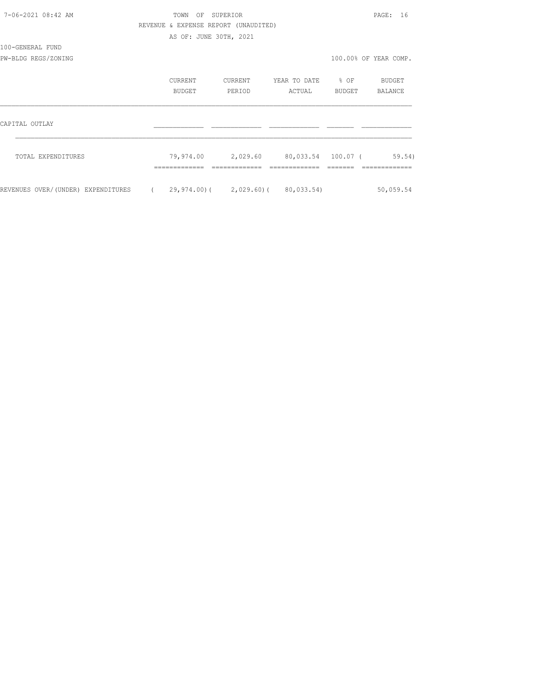| 7-06-2021 08:42 AM                 | TOWN OF SUPERIOR                     |         |                                       |        | PAGE: 16              |
|------------------------------------|--------------------------------------|---------|---------------------------------------|--------|-----------------------|
|                                    | REVENUE & EXPENSE REPORT (UNAUDITED) |         |                                       |        |                       |
|                                    | AS OF: JUNE 30TH, 2021               |         |                                       |        |                       |
| 100-GENERAL FUND                   |                                      |         |                                       |        |                       |
| PW-BLDG REGS/ZONING                |                                      |         |                                       |        | 100.00% OF YEAR COMP. |
|                                    | CURRENT                              | CURRENT | YEAR TO DATE % OF                     |        | BUDGET                |
|                                    | BUDGET                               | PERIOD  | ACTUAL                                | BUDGET | BALANCE               |
| CAPITAL OUTLAY                     |                                      |         |                                       |        |                       |
|                                    |                                      |         |                                       |        |                       |
| TOTAL EXPENDITURES                 |                                      |         | 79,974.00 2,029.60 80,033.54 100.07 ( |        | 59.54)                |
| REVENUES OVER/(UNDER) EXPENDITURES | (29,974.00) (2,029.60) (80,033.54)   |         |                                       |        | 50,059.54             |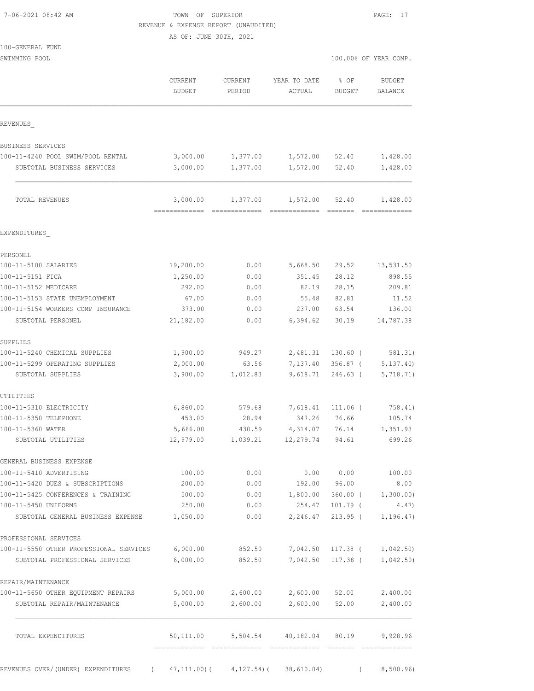| 7-06-2021 08:42 AM |  |
|--------------------|--|
|                    |  |

### TOWN OF SUPERIOR **PAGE:** 17 REVENUE & EXPENSE REPORT (UNAUDITED)

AS OF: JUNE 30TH, 2021

100-GENERAL FUND

| SWIMMING POOL | 100.00% OF YEAR COM |  |  |
|---------------|---------------------|--|--|
|               |                     |  |  |

| 00.00% OF YEAR COMP. |  |
|----------------------|--|
|----------------------|--|

|                                                     | CURRENT<br><b>BUDGET</b>             | <b>CURRENT</b><br>PERIOD | YEAR TO DATE<br>ACTUAL   | % OF<br>BUDGET         | <b>BUDGET</b><br><b>BALANCE</b> |
|-----------------------------------------------------|--------------------------------------|--------------------------|--------------------------|------------------------|---------------------------------|
| REVENUES                                            |                                      |                          |                          |                        |                                 |
| BUSINESS SERVICES                                   |                                      |                          |                          |                        |                                 |
| 100-11-4240 POOL SWIM/POOL RENTAL                   | 3,000.00                             | 1,377.00                 | 1,572.00                 | 52.40                  | 1,428.00                        |
| SUBTOTAL BUSINESS SERVICES                          | 3,000.00                             | 1,377.00                 | 1,572.00                 | 52.40                  | 1,428.00                        |
| TOTAL REVENUES                                      | 3,000.00<br>-------------            | 1,377.00                 | 1,572.00                 | 52.40                  | 1,428.00<br>--------------      |
| EXPENDITURES                                        |                                      |                          |                          |                        |                                 |
| PERSONEL                                            |                                      |                          |                          |                        |                                 |
| 100-11-5100 SALARIES                                | 19,200.00                            | 0.00                     | 5,668.50                 | 29.52                  | 13,531.50                       |
| 100-11-5151 FICA                                    | 1,250.00                             | 0.00                     | 351.45                   | 28.12                  | 898.55                          |
| 100-11-5152 MEDICARE                                | 292.00                               | 0.00                     | 82.19                    | 28.15                  | 209.81                          |
| 100-11-5153 STATE UNEMPLOYMENT                      | 67.00                                | 0.00                     | 55.48                    | 82.81                  | 11.52                           |
| 100-11-5154 WORKERS COMP INSURANCE                  | 373.00                               | 0.00                     | 237.00                   | 63.54                  | 136.00                          |
| SUBTOTAL PERSONEL                                   | 21,182.00                            | 0.00                     | 6,394.62                 | 30.19                  | 14,787.38                       |
| SUPPLIES                                            |                                      |                          |                          |                        |                                 |
| 100-11-5240 CHEMICAL SUPPLIES                       | 1,900.00                             | 949.27                   | 2,481.31 130.60 (        |                        | 581.31)                         |
| 100-11-5299 OPERATING SUPPLIES<br>SUBTOTAL SUPPLIES | 2,000.00<br>3,900.00                 | 63.56<br>1,012.83        | 7,137.40<br>9,618.71     | 356.87 (<br>$246.63$ ( | 5, 137.40<br>5,718.71)          |
| UTILITIES                                           |                                      |                          |                          |                        |                                 |
| 100-11-5310 ELECTRICITY                             | 6,860.00                             | 579.68                   | 7,618.41                 | 111.06 (               | 758.41)                         |
| 100-11-5350 TELEPHONE                               | 453.00                               | 28.94                    | 347.26                   | 76.66                  | 105.74                          |
| 100-11-5360 WATER                                   | 5,666.00                             | 430.59                   | 4,314.07                 | 76.14                  | 1,351.93                        |
| SUBTOTAL UTILITIES                                  | 12,979.00                            | 1,039.21                 | 12,279.74                | 94.61                  | 699.26                          |
| GENERAL BUSINESS EXPENSE                            |                                      |                          |                          |                        |                                 |
| 100-11-5410 ADVERTISING                             | 100.00                               | 0.00                     | 0.00                     | 0.00                   | 100.00                          |
| 100-11-5420 DUES & SUBSCRIPTIONS                    | 200.00                               | 0.00                     | 192.00                   | 96.00                  | 8.00                            |
| 100-11-5425 CONFERENCES & TRAINING                  | 500.00                               | 0.00                     | 1,800.00                 | $360.00$ (             | 1,300.00)                       |
| 100-11-5450 UNIFORMS                                | 250.00                               | 0.00                     | 254.47                   | 101.79 (               | 4.47)                           |
| SUBTOTAL GENERAL BUSINESS EXPENSE                   | 1,050.00                             | 0.00                     | 2,246.47                 | $213.95$ (             | 1, 196.47)                      |
| PROFESSIONAL SERVICES                               |                                      |                          |                          |                        |                                 |
| 100-11-5550 OTHER PROFESSIONAL SERVICES             | 6,000.00                             | 852.50                   | 7,042.50                 | 117.38 (               | 1,042.50)                       |
| SUBTOTAL PROFESSIONAL SERVICES                      | 6,000.00                             | 852.50                   | 7,042.50                 | 117.38 (               | 1,042.50)                       |
| REPAIR/MAINTENANCE                                  |                                      |                          |                          |                        |                                 |
| 100-11-5650 OTHER EQUIPMENT REPAIRS                 | 5,000.00                             | 2,600.00                 | 2,600.00                 | 52.00                  | 2,400.00                        |
| SUBTOTAL REPAIR/MAINTENANCE                         | 5,000.00                             | 2,600.00                 | 2,600.00                 | 52.00                  | 2,400.00                        |
| TOTAL EXPENDITURES                                  | 50,111.00<br>======================= |                          | 5,504.54 40,182.04 80.19 |                        | 9,928.96                        |
| REVENUES OVER/(UNDER) EXPENDITURES<br>$\sqrt{2}$    |                                      |                          | 38,610.04)               |                        |                                 |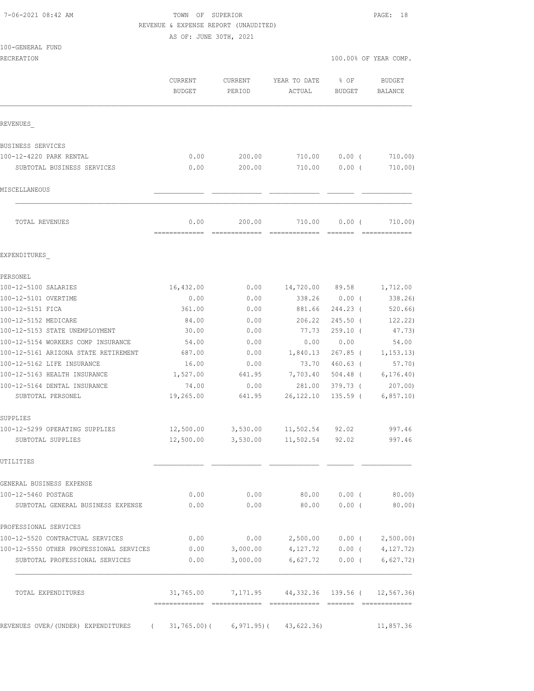7-06-2021 08:42 AM TOWN OF SUPERIOR PAGE: 18 REVENUE & EXPENSE REPORT (UNAUDITED) AS OF: JUNE 30TH, 2021 100-GENERAL FUND RECREATION 100.00% OF YEAR COMP. CURRENT CURRENT YEAR TO DATE % OF BUDGET BUDGET PERIOD ACTUAL BUDGET BALANCE REVENUES\_ BUSINESS SERVICES 100-12-4220 PARK RENTAL 0.00 200.00 710.00 0.00 ( 710.00) SUBTOTAL BUSINESS SERVICES 0.00 200.00 710.00 0.00 ( 710.00)  $MISCELLANEOUS$  TOTAL REVENUES 0.00 200.00 710.00 0.00 ( 710.00) ============= ============= ============= ======= ============= EXPENDITURES\_ PERSONEL 100-12-5100 SALARIES 16,432.00 0.00 14,720.00 89.58 1,712.00 100-12-5101 OVERTIME 0.00 0.00 338.26 0.00 ( 338.26) 100-12-5151 FICA 361.00 0.00 881.66 244.23 ( 520.66) 100-12-5152 MEDICARE 84.00 0.00 206.22 245.50 ( 122.22) 100-12-5153 STATE UNEMPLOYMENT 30.00 0.00 77.73 259.10 ( 47.73) 100-12-5154 WORKERS COMP INSURANCE 54.00 0.00 0.00 0.00 54.00 100-12-5161 ARIZONA STATE RETIREMENT 687.00 0.00 1,840.13 267.85 ( 1,153.13) 100-12-5162 LIFE INSURANCE 16.00 0.00 73.70 460.63 ( 57.70) 100-12-5163 HEALTH INSURANCE 1,527.00 641.95 7,703.40 504.48 ( 6,176.40) 100-12-5164 DENTAL INSURANCE 74.00 0.00 281.00 379.73 ( 207.00) SUBTOTAL PERSONEL 19,265.00 641.95 26,122.10 135.59 ( 6,857.10) SUPPLIES 100-12-5299 OPERATING SUPPLIES 12,500.00 3,530.00 11,502.54 92.02 997.46 SUBTOTAL SUPPLIES 12,500.00 3,530.00 11,502.54 92.02 997.46 UTILITIES  $\blacksquare$ 

GENERAL BUSINESS EXPENSE 100-12-5460 POSTAGE 0.00 0.00 80.00 0.00 ( 80.00) SUBTOTAL GENERAL BUSINESS EXPENSE 0.00 0.00 80.00 0.00 ( 80.00) PROFESSIONAL SERVICES 100-12-5520 CONTRACTUAL SERVICES 0.00 0.00 2,500.00 0.00 ( 2,500.00) 100-12-5550 OTHER PROFESSIONAL SERVICES 0.00 3,000.00 4,127.72 0.00 ( 4,127.72) SUBTOTAL PROFESSIONAL SERVICES 0.00 3,000.00 6,627.72 0.00 ( 6,627.72) TOTAL EXPENDITURES 31,765.00 7,171.95 44,332.36 139.56 ( 12,567.36) ============= ============= ============= ======= =============

REVENUES OVER/(UNDER) EXPENDITURES ( 31,765.00)( 6,971.95)( 43,622.36) 11,857.36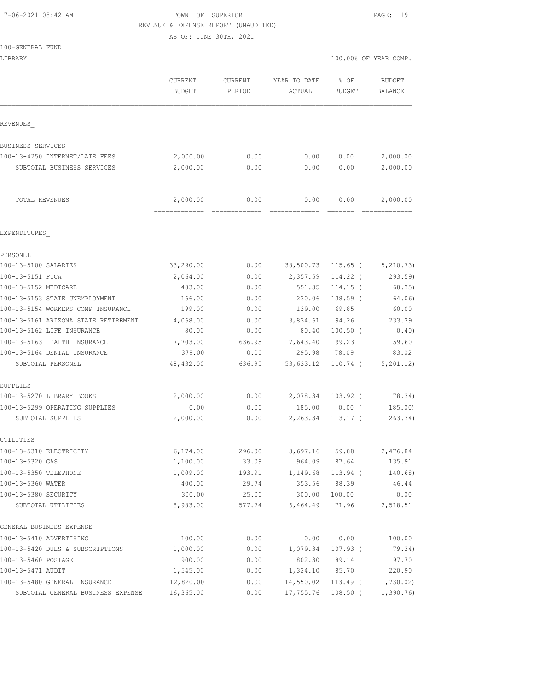### 7-06-2021 08:42 AM TOWN OF SUPERIOR PAGE: 19 REVENUE & EXPENSE REPORT (UNAUDITED)

AS OF: JUNE 30TH, 2021

|  | 100-GENERAL FUND |  |
|--|------------------|--|

|                   |                   |                        |                | 100.00% OF YEAR COMP.    |
|-------------------|-------------------|------------------------|----------------|--------------------------|
| CURRENT<br>BUDGET | CURRENT<br>PERIOD | YEAR TO DATE<br>ACTUAL | % OF<br>BUDGET | <b>BUDGET</b><br>BALANCE |
|                   |                   |                        |                |                          |
|                   |                   |                        |                |                          |
| 2,000.00          | 0.00              | 0.00                   | 0.00           | 2,000.00                 |
| 2,000.00          | 0.00              | 0.00                   | 0.00           | 2,000.00                 |
| 2,000.00          | 0.00              | 0.00                   | 0.00           | 2,000.00                 |
|                   |                   |                        |                |                          |

| PERSONEL                             |           |        |           |            |            |
|--------------------------------------|-----------|--------|-----------|------------|------------|
| 100-13-5100 SALARIES                 | 33,290.00 | 0.00   | 38,500.73 | $115.65$ ( | 5, 210.73) |
| 100-13-5151 FICA                     | 2,064.00  | 0.00   | 2,357.59  | $114.22$ ( | 293.59     |
| 100-13-5152 MEDICARE                 | 483.00    | 0.00   | 551.35    | $114.15$ ( | 68.35)     |
| 100-13-5153 STATE UNEMPLOYMENT       | 166.00    | 0.00   | 230.06    | 138.59 (   | 64.06)     |
| 100-13-5154 WORKERS COMP INSURANCE   | 199.00    | 0.00   | 139.00    | 69.85      | 60.00      |
| 100-13-5161 ARIZONA STATE RETIREMENT | 4,068.00  | 0.00   | 3,834.61  | 94.26      | 233.39     |
| 100-13-5162 LIFE INSURANCE           | 80.00     | 0.00   | 80.40     | $100.50$ ( | 0.40)      |
| 100-13-5163 HEALTH INSURANCE         | 7,703.00  | 636.95 | 7,643.40  | 99.23      | 59.60      |
| 100-13-5164 DENTAL INSURANCE         | 379.00    | 0.00   | 295.98    | 78.09      | 83.02      |
| SUBTOTAL PERSONEL                    | 48,432.00 | 636.95 | 53,633.12 | 110.74 (   | 5, 201.12) |
| SUPPLIES                             |           |        |           |            |            |
| 100-13-5270 LIBRARY BOOKS            | 2,000.00  | 0.00   | 2,078.34  | $103.92$ ( | 78.34)     |
| 100-13-5299 OPERATING SUPPLIES       | 0.00      | 0.00   | 185.00    | 0.00(      | 185.00     |
| SUBTOTAL SUPPLIES                    | 2,000.00  | 0.00   | 2,263.34  | $113.17$ ( | 263.34)    |
| UTILITIES                            |           |        |           |            |            |
| 100-13-5310 ELECTRICITY              | 6,174.00  | 296.00 | 3,697.16  | 59.88      | 2,476.84   |
| 100-13-5320 GAS                      | 1,100.00  | 33.09  | 964.09    | 87.64      | 135.91     |
| 100-13-5350 TELEPHONE                | 1,009.00  | 193.91 | 1,149.68  | $113.94$ ( | 140.68)    |
| 100-13-5360 WATER                    | 400.00    | 29.74  | 353.56    | 88.39      | 46.44      |
| 100-13-5380 SECURITY                 | 300.00    | 25.00  | 300.00    | 100.00     | 0.00       |
| SUBTOTAL UTILITIES                   | 8,983.00  | 577.74 | 6,464.49  | 71.96      | 2,518.51   |
| GENERAL BUSINESS EXPENSE             |           |        |           |            |            |
| 100-13-5410 ADVERTISING              | 100.00    | 0.00   | 0.00      | 0.00       | 100.00     |
| 100-13-5420 DUES & SUBSCRIPTIONS     | 1,000.00  | 0.00   | 1,079.34  | $107.93$ ( | 79.34)     |
| 100-13-5460 POSTAGE                  | 900.00    | 0.00   | 802.30    | 89.14      | 97.70      |
| 100-13-5471 AUDIT                    | 1,545.00  | 0.00   | 1,324.10  | 85.70      | 220.90     |
| 100-13-5480 GENERAL INSURANCE        | 12,820.00 | 0.00   | 14,550.02 | $113.49$ ( | 1,730.02)  |
| SUBTOTAL GENERAL BUSINESS EXPENSE    | 16,365.00 | 0.00   | 17,755.76 | $108.50$ ( | 1,390.76   |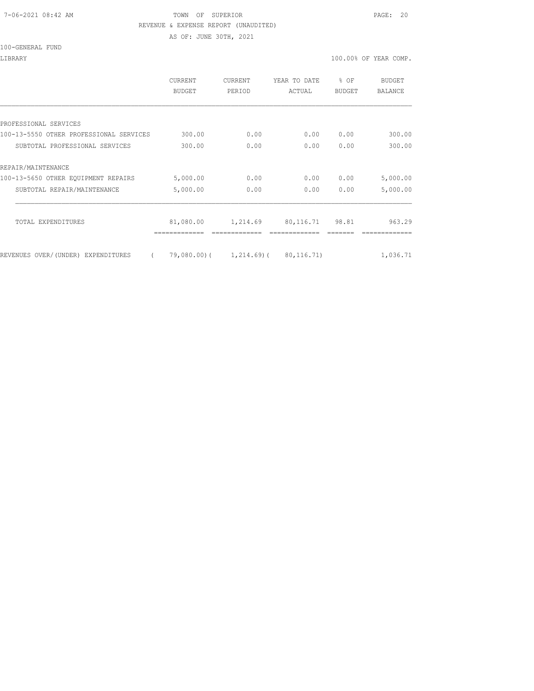#### 7-06-2021 08:42 AM TOWN OF SUPERIOR PAGE: 20 REVENUE & EXPENSE REPORT (UNAUDITED)

AS OF: JUNE 30TH, 2021

LIBRARY 100.00% OF YEAR COMP.

|                                         | <b>CURRENT</b><br><b>BUDGET</b> | CURRENT<br>PERIOD | YEAR TO DATE<br>ACTUAL              | % OF<br><b>BUDGET</b> | <b>BUDGET</b><br>BALANCE |
|-----------------------------------------|---------------------------------|-------------------|-------------------------------------|-----------------------|--------------------------|
|                                         |                                 |                   |                                     |                       |                          |
| PROFESSIONAL SERVICES                   |                                 |                   |                                     |                       |                          |
| 100-13-5550 OTHER PROFESSIONAL SERVICES | 300.00                          | 0.00              | 0.00                                | 0.00                  | 300.00                   |
| SUBTOTAL PROFESSIONAL SERVICES          | 300.00                          | 0.00              | 0.00                                | 0.00                  | 300.00                   |
| REPAIR/MAINTENANCE                      |                                 |                   |                                     |                       |                          |
| 100-13-5650 OTHER EOUIPMENT REPAIRS     | 5,000.00                        | 0.00              | 0.00                                | 0.00                  | 5,000.00                 |
| SUBTOTAL REPAIR/MAINTENANCE             | 5,000.00                        | 0.00              | 0.00                                | 0.00                  | 5,000.00                 |
|                                         |                                 |                   |                                     |                       |                          |
| TOTAL EXPENDITURES                      | 81,080.00                       | 1,214.69          | 80, 116.71                          | 98.81                 | 963.29                   |
|                                         |                                 |                   |                                     |                       |                          |
| REVENUES OVER/(UNDER) EXPENDITURES      |                                 |                   | 79,080.00) ( 1,214.69) ( 80,116.71) |                       | 1,036.71                 |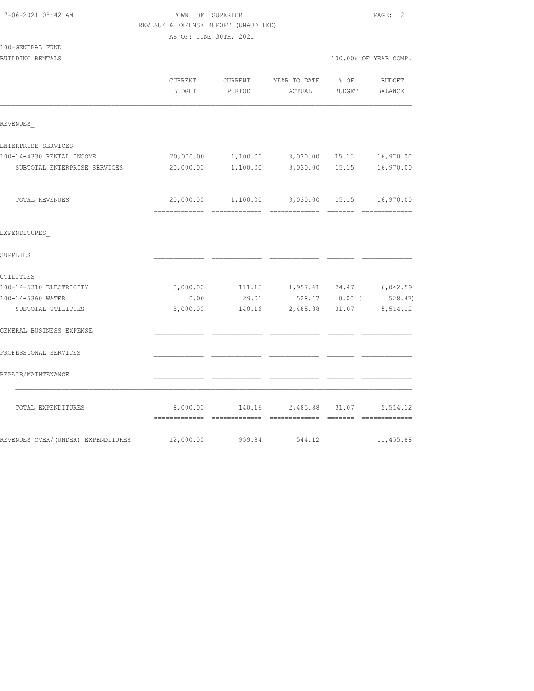| 7-06-2021 08:42 AM                   | TOWN OF SUPERIOR<br>REVENUE & EXPENSE REPORT (UNAUDITED) |                   |                                                 | PAGE: 21              |                   |  |  |
|--------------------------------------|----------------------------------------------------------|-------------------|-------------------------------------------------|-----------------------|-------------------|--|--|
|                                      | AS OF: JUNE 30TH, 2021                                   |                   |                                                 |                       |                   |  |  |
| 100-GENERAL FUND<br>BUILDING RENTALS |                                                          |                   |                                                 | 100.00% OF YEAR COMP. |                   |  |  |
|                                      | CURRENT<br><b>BUDGET</b>                                 | CURRENT<br>PERIOD | YEAR TO DATE<br>ACTUAL                          | $8$ OF<br>BUDGET      | BUDGET<br>BALANCE |  |  |
| REVENUES                             |                                                          |                   |                                                 |                       |                   |  |  |
| ENTERPRISE SERVICES                  |                                                          |                   |                                                 |                       |                   |  |  |
| 100-14-4330 RENTAL INCOME            | 20,000.00                                                |                   | 1,100.00 3,030.00 15.15                         |                       | 16,970.00         |  |  |
| SUBTOTAL ENTERPRISE SERVICES         | 20,000.00                                                | 1,100.00          | 3,030.00                                        | 15.15                 | 16,970.00         |  |  |
| TOTAL REVENUES                       |                                                          |                   | 20,000.00  1,100.00  3,030.00  15.15  16,970.00 |                       |                   |  |  |
| EXPENDITURES                         |                                                          |                   |                                                 |                       |                   |  |  |
| SUPPLIES                             |                                                          |                   |                                                 |                       |                   |  |  |
| UTILITIES                            |                                                          |                   |                                                 |                       |                   |  |  |
| 100-14-5310 ELECTRICITY              | 8,000.00                                                 |                   | 111.15 1,957.41 24.47 6,042.59                  |                       |                   |  |  |
| 100-14-5360 WATER                    | 0.00                                                     | 29.01             |                                                 | 528.47 0.00 (         | 528.47)           |  |  |
| SUBTOTAL UTILITIES                   | 8,000.00                                                 | 140.16            | 2,485.88                                        | 31.07                 | 5,514.12          |  |  |
| GENERAL BUSINESS EXPENSE             |                                                          |                   |                                                 |                       |                   |  |  |
| PROFESSIONAL SERVICES                |                                                          |                   |                                                 |                       |                   |  |  |
| REPAIR/MAINTENANCE                   |                                                          |                   |                                                 |                       |                   |  |  |
| TOTAL EXPENDITURES                   | 8,000.00                                                 | 140.16            | 2,485.88                                        | 31.07                 | 5,514.12          |  |  |
| REVENUES OVER/(UNDER) EXPENDITURES   | 12,000.00                                                | 959.84            | 544.12                                          |                       | 11,455.88         |  |  |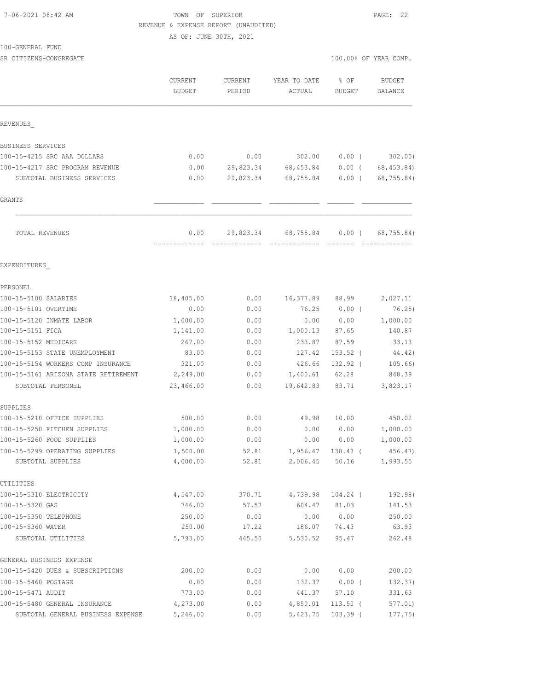## TOWN OF SUPERIOR **PAGE:** 22 REVENUE & EXPENSE REPORT (UNAUDITED)

AS OF: JUNE 30TH, 2021

100-GENERAL FUND

SR CITIZENS-CONGREGATE SERVICES AND RESOLUTION OF SERVICES AND RESOLUTION OF SERVICES AND RESOLUTION OF SERVICES AND RESOLUTION OF SERVICES AND RESOLUTION OF SERVICES AND RESOLUTION OF SERVICES AND RESOLUTION OF SERVICES A

|                                      | <b>CURRENT</b><br><b>BUDGET</b> | <b>CURRENT</b><br>PERIOD | YEAR TO DATE<br>ACTUAL | % OF<br><b>BUDGET</b> | <b>BUDGET</b><br>BALANCE |             |
|--------------------------------------|---------------------------------|--------------------------|------------------------|-----------------------|--------------------------|-------------|
| REVENUES                             |                                 |                          |                        |                       |                          |             |
| BUSINESS SERVICES                    |                                 |                          |                        |                       |                          |             |
| 100-15-4215 SRC AAA DOLLARS          | 0.00                            | 0.00                     | 302.00                 | $0.00$ (              |                          | 302.00)     |
| 100-15-4217 SRC PROGRAM REVENUE      | 0.00                            | 29,823.34                | 68,453.84              | $0.00$ (              |                          | 68, 453.84) |
| SUBTOTAL BUSINESS SERVICES           | 0.00                            | 29,823.34                | 68,755.84              | $0.00$ (              |                          | 68,755.84)  |
| GRANTS                               |                                 |                          |                        |                       |                          |             |
| TOTAL REVENUES                       | 0.00<br>-------------           | 29,823.34                | 68,755.84              | $0.00$ (              |                          | 68,755.84)  |
| EXPENDITURES                         |                                 |                          |                        |                       |                          |             |
| PERSONEL                             |                                 |                          |                        |                       |                          |             |
| 100-15-5100 SALARIES                 | 18,405.00                       | 0.00                     | 16,377.89              | 88.99                 |                          | 2,027.11    |
| 100-15-5101 OVERTIME                 | 0.00                            | 0.00                     | 76.25                  | $0.00$ (              |                          | 76.25)      |
| 100-15-5120 INMATE LABOR             | 1,000.00                        | 0.00                     | 0.00                   | 0.00                  |                          | 1,000.00    |
| 100-15-5151 FICA                     | 1,141.00                        | 0.00                     | 1,000.13               | 87.65                 |                          | 140.87      |
| 100-15-5152 MEDICARE                 | 267.00                          | 0.00                     | 233.87                 | 87.59                 |                          | 33.13       |
| 100-15-5153 STATE UNEMPLOYMENT       | 83.00                           | 0.00                     | 127.42                 | 153.52 (              |                          | 44.42)      |
| 100-15-5154 WORKERS COMP INSURANCE   | 321.00                          | 0.00                     | 426.66                 | 132.92 (              |                          | 105.66)     |
| 100-15-5161 ARIZONA STATE RETIREMENT | 2,249.00                        | 0.00                     | 1,400.61               | 62.28                 |                          | 848.39      |
| SUBTOTAL PERSONEL                    | 23,466.00                       | 0.00                     | 19,642.83              | 83.71                 |                          | 3,823.17    |
| SUPPLIES                             |                                 |                          |                        |                       |                          |             |
| 100-15-5210 OFFICE SUPPLIES          | 500.00                          | 0.00                     | 49.98                  | 10.00                 |                          | 450.02      |
| 100-15-5250 KITCHEN SUPPLIES         | 1,000.00                        | 0.00                     | 0.00                   | 0.00                  |                          | 1,000.00    |
| 100-15-5260 FOOD SUPPLIES            | 1,000.00                        | 0.00                     | 0.00                   | 0.00                  |                          | 1,000.00    |
| 100-15-5299 OPERATING SUPPLIES       | 1,500.00                        | 52.81                    | 1,956.47               | $130.43$ (            |                          | 456.47      |
| SUBTOTAL SUPPLIES                    | 4,000.00                        | 52.81                    | 2,006.45               | 50.16                 |                          | 1,993.55    |
| UTILITIES                            |                                 |                          |                        |                       |                          |             |
| 100-15-5310 ELECTRICITY              | 4,547.00                        | 370.71                   | 4,739.98               | $104.24$ (            |                          | 192.98)     |
| 100-15-5320 GAS                      | 746.00                          | 57.57                    | 604.47                 | 81.03                 |                          | 141.53      |
| 100-15-5350 TELEPHONE                | 250.00                          | 0.00                     | 0.00                   | 0.00                  |                          | 250.00      |
| 100-15-5360 WATER                    | 250.00                          | 17.22                    | 186.07                 | 74.43                 |                          | 63.93       |
| SUBTOTAL UTILITIES                   | 5,793.00                        | 445.50                   | 5,530.52               | 95.47                 |                          | 262.48      |
| GENERAL BUSINESS EXPENSE             |                                 |                          |                        |                       |                          |             |
| 100-15-5420 DUES & SUBSCRIPTIONS     | 200.00                          | 0.00                     | 0.00                   | 0.00                  |                          | 200.00      |
| 100-15-5460 POSTAGE                  | 0.00                            | 0.00                     | 132.37                 | $0.00$ (              |                          | 132.37)     |
| 100-15-5471 AUDIT                    | 773.00                          | 0.00                     | 441.37                 | 57.10                 |                          | 331.63      |
| 100-15-5480 GENERAL INSURANCE        | 4,273.00                        | 0.00                     | 4,850.01               | $113.50$ (            |                          | 577.01)     |
| SUBTOTAL GENERAL BUSINESS EXPENSE    | 5,246.00                        | 0.00                     | 5,423.75               | $103.39$ (            |                          | 177.75)     |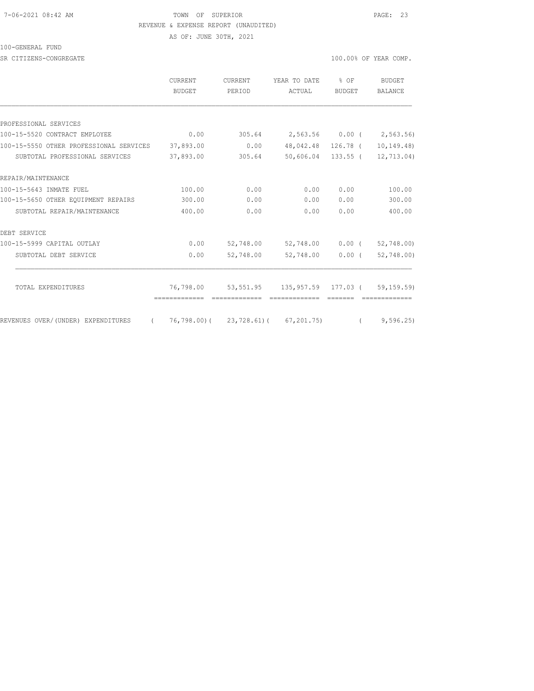#### 7-06-2021 08:42 AM TOWN OF SUPERIOR PAGE: 23 REVENUE & EXPENSE REPORT (UNAUDITED)

AS OF: JUNE 30TH, 2021

#### 100-GENERAL FUND

SR CITIZENS-CONGREGATE SERVICES AND RESOLUTION OF TEAR COMP.

|                                                | CURRENT<br>BUDGET | CURRENT<br>PERIOD | YEAR TO DATE<br><b>ACTUAL</b>        | % OF<br>BUDGET     | <b>BUDGET</b><br>BALANCE |
|------------------------------------------------|-------------------|-------------------|--------------------------------------|--------------------|--------------------------|
|                                                |                   |                   |                                      |                    |                          |
| PROFESSIONAL SERVICES                          |                   |                   |                                      |                    |                          |
| 100-15-5520 CONTRACT EMPLOYEE                  | 0.00              | 305.64            |                                      | 2,563.56 0.00 (    | 2,563.56)                |
| 100-15-5550 OTHER PROFESSIONAL SERVICES        | 37,893.00         | 0.00              |                                      | 48,042.48 126.78 ( | 10, 149.48               |
| SUBTOTAL PROFESSIONAL SERVICES                 | 37,893.00         | 305.64            |                                      | 50,606.04 133.55 ( | 12,713.04)               |
| REPAIR/MAINTENANCE                             |                   |                   |                                      |                    |                          |
| 100-15-5643 INMATE FUEL                        | 100.00            | 0.00              | 0.00                                 | 0.00               | 100.00                   |
| 100-15-5650 OTHER EOUIPMENT REPAIRS            | 300.00            | 0.00              | 0.00                                 | 0.00               | 300.00                   |
| SUBTOTAL REPAIR/MAINTENANCE                    | 400.00            | 0.00              | 0.00                                 | 0.00               | 400.00                   |
| DEBT SERVICE                                   |                   |                   |                                      |                    |                          |
| 100-15-5999 CAPITAL OUTLAY                     | 0.00              | 52,748.00         | 52,748.00                            | $0.00$ (           | 52,748.00)               |
| SUBTOTAL DEBT SERVICE                          | 0.00              | 52,748.00         | 52,748.00                            | $0.00$ (           | 52,748.00)               |
|                                                |                   |                   |                                      |                    |                          |
| TOTAL EXPENDITURES                             | 76,798.00         |                   | 53,551.95 135,957.59 177.03 (        |                    | 59, 159.59)              |
| REVENUES OVER/(UNDER) EXPENDITURES<br>$\left($ |                   |                   | 76,798.00) ( 23,728.61) ( 67,201.75) |                    | 9,596.25                 |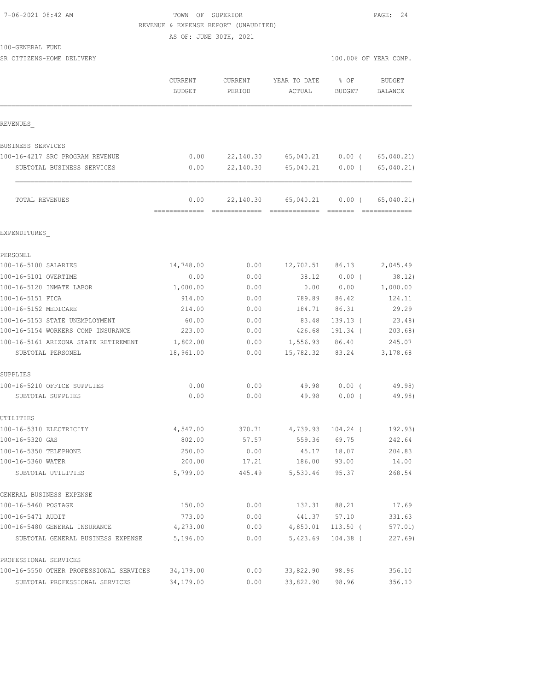#### 7-06-2021 08:42 AM TOWN OF SUPERIOR PAGE: 24 REVENUE & EXPENSE REPORT (UNAUDITED)

100-GENERAL FUND

SR CITIZENS-HOME DELIVERY 100.00% OF YEAR COMP.

AS OF: JUNE 30TH, 2021

|                                         | CURRENT<br>BUDGET | CURRENT<br>PERIOD | YEAR TO DATE<br>ACTUAL | $8$ OF<br>BUDGET | <b>BUDGET</b><br>BALANCE |
|-----------------------------------------|-------------------|-------------------|------------------------|------------------|--------------------------|
| REVENUES                                |                   |                   |                        |                  |                          |
| BUSINESS SERVICES                       |                   |                   |                        |                  |                          |
| 100-16-4217 SRC PROGRAM REVENUE         | 0.00              | 22,140.30         | 65,040.21              | $0.00$ (         | 65,040.21)               |
| SUBTOTAL BUSINESS SERVICES              | 0.00              | 22,140.30         | 65,040.21              | $0.00$ (         | 65,040.21)               |
| TOTAL REVENUES                          | 0.00              | 22,140.30         | 65,040.21              | $0.00$ (         | 65,040.21)               |
|                                         | --------------    |                   |                        |                  | =============            |
| EXPENDITURES                            |                   |                   |                        |                  |                          |
| PERSONEL                                |                   |                   |                        |                  |                          |
| 100-16-5100 SALARIES                    | 14,748.00         | 0.00              | 12,702.51              | 86.13            | 2,045.49                 |
| 100-16-5101 OVERTIME                    | 0.00              | 0.00              | 38.12                  | $0.00$ (         | 38.12)                   |
| 100-16-5120 INMATE LABOR                | 1,000.00          | 0.00              | 0.00                   | 0.00             | 1,000.00                 |
| 100-16-5151 FICA                        | 914.00            | 0.00              | 789.89                 | 86.42            | 124.11                   |
| 100-16-5152 MEDICARE                    | 214.00            | 0.00              | 184.71                 | 86.31            | 29.29                    |
| 100-16-5153 STATE UNEMPLOYMENT          | 60.00             | 0.00              | 83.48                  | $139.13$ (       | 23.48)                   |
| 100-16-5154 WORKERS COMP INSURANCE      | 223.00            | 0.00              | 426.68                 | 191.34 (         | 203.68)                  |
| 100-16-5161 ARIZONA STATE RETIREMENT    | 1,802.00          | 0.00              | 1,556.93               | 86.40            | 245.07                   |
| SUBTOTAL PERSONEL                       | 18,961.00         | 0.00              | 15,782.32              | 83.24            | 3,178.68                 |
| SUPPLIES                                |                   |                   |                        |                  |                          |
| 100-16-5210 OFFICE SUPPLIES             | 0.00              | 0.00              | 49.98                  | $0.00$ (         | 49.98)                   |
| SUBTOTAL SUPPLIES                       | 0.00              | 0.00              | 49.98                  | 0.00(            | 49.98)                   |
| UTILITIES                               |                   |                   |                        |                  |                          |
| 100-16-5310 ELECTRICITY                 | 4,547.00          | 370.71            | 4,739.93               | 104.24 (         | 192.93)                  |
| 100-16-5320 GAS                         | 802.00            | 57.57             | 559.36                 | 69.75            | 242.64                   |
| 100-16-5350 TELEPHONE                   | 250.00            | 0.00              | 45.17                  | 18.07            | 204.83                   |
| 100-16-5360 WATER                       | 200.00            | 17.21             | 186.00                 | 93.00            | 14.00                    |
| SUBTOTAL UTILITIES                      | 5,799.00          | 445.49            | 5,530.46               | 95.37            | 268.54                   |
| GENERAL BUSINESS EXPENSE                |                   |                   |                        |                  |                          |
| 100-16-5460 POSTAGE                     | 150.00            | 0.00              | 132.31                 | 88.21            | 17.69                    |
| 100-16-5471 AUDIT                       | 773.00            | 0.00              | 441.37                 | 57.10            | 331.63                   |
| 100-16-5480 GENERAL INSURANCE           | 4,273.00          | 0.00              | 4,850.01               | $113.50$ (       | 577.01)                  |
| SUBTOTAL GENERAL BUSINESS EXPENSE       | 5,196.00          | 0.00              | 5,423.69               | $104.38$ (       | 227.69)                  |
| PROFESSIONAL SERVICES                   |                   |                   |                        |                  |                          |
| 100-16-5550 OTHER PROFESSIONAL SERVICES | 34,179.00         | 0.00              | 33,822.90              | 98.96            | 356.10                   |
| SUBTOTAL PROFESSIONAL SERVICES          | 34,179.00         | 0.00              | 33,822.90              | 98.96            | 356.10                   |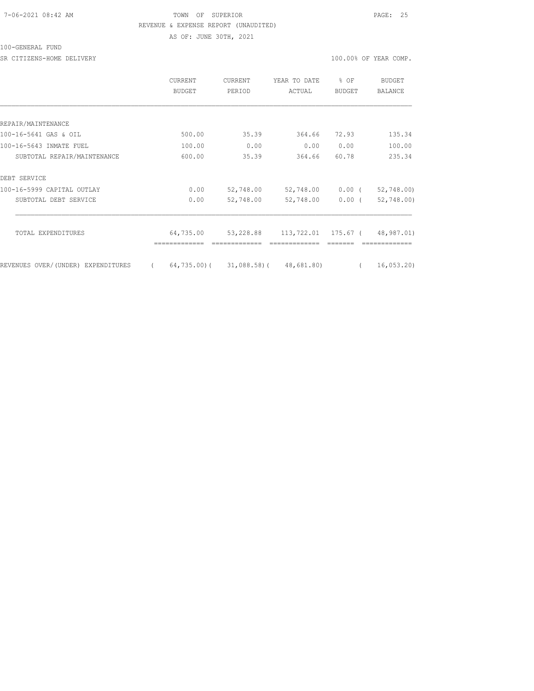### 7-06-2021 08:42 AM TOWN OF SUPERIOR PAGE: 25 REVENUE & EXPENSE REPORT (UNAUDITED) AS OF: JUNE 30TH, 2021

#### 100-GENERAL FUND

SR CITIZENS-HOME DELIVERY 100.00% OF YEAR COMP.

|                                    |          | <b>CURRENT</b><br><b>BUDGET</b> | <b>CURRENT</b><br>PERIOD | YEAR TO DATE<br>ACTUAL | % OF<br><b>BUDGET</b> | <b>BUDGET</b><br><b>BALANCE</b> |
|------------------------------------|----------|---------------------------------|--------------------------|------------------------|-----------------------|---------------------------------|
|                                    |          |                                 |                          |                        |                       |                                 |
| REPAIR/MAINTENANCE                 |          |                                 |                          |                        |                       |                                 |
| 100-16-5641 GAS & OIL              |          | 500.00                          | 35.39                    | 364.66                 | 72.93                 | 135.34                          |
| 100-16-5643 INMATE FUEL            |          | 100.00                          | 0.00                     | 0.00                   | 0.00                  | 100.00                          |
| SUBTOTAL REPAIR/MAINTENANCE        |          | 600.00                          | 35.39                    | 364.66                 | 60.78                 | 235.34                          |
| DEBT SERVICE                       |          |                                 |                          |                        |                       |                                 |
| 100-16-5999 CAPITAL OUTLAY         |          | 0.00                            | 52,748.00                | 52,748.00              | $0.00$ (              | 52,748.00)                      |
| SUBTOTAL DEBT SERVICE              |          | 0.00                            | 52,748.00                | 52,748.00              | 0.00(                 | 52,748.00                       |
|                                    |          |                                 |                          |                        |                       |                                 |
| TOTAL EXPENDITURES                 |          | 64,735.00                       | 53,228.88                | 113,722.01 175.67 (    |                       | 48,987.01)                      |
| REVENUES OVER/(UNDER) EXPENDITURES | $\left($ | 64,735.00)(                     | 31,088.58)(              | 48,681.80)             |                       | 16,053.20                       |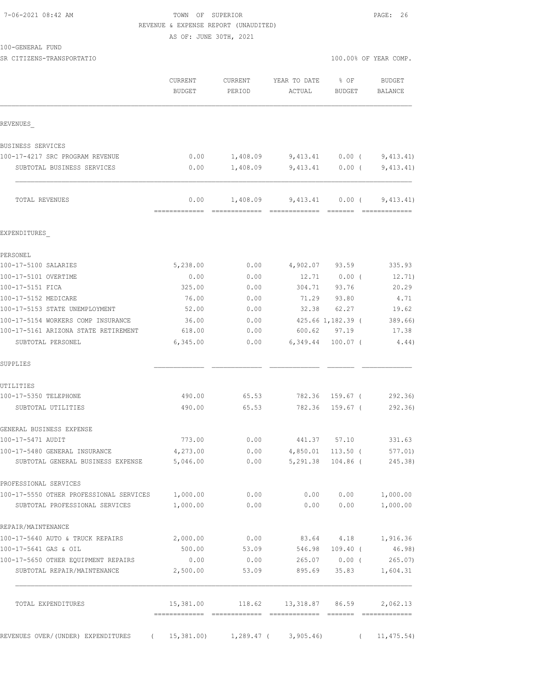### TOWN OF SUPERIOR **PAGE:** 26 REVENUE & EXPENSE REPORT (UNAUDITED)

AS OF: JUNE 30TH, 2021

100-GENERAL FUND

|                                                                    | CURRENT<br>BUDGET | CURRENT<br>PERIOD | YEAR TO DATE<br>ACTUAL                      | $8$ OF<br>BUDGET       | <b>BUDGET</b><br>BALANCE   |
|--------------------------------------------------------------------|-------------------|-------------------|---------------------------------------------|------------------------|----------------------------|
| REVENUES                                                           |                   |                   |                                             |                        |                            |
| BUSINESS SERVICES                                                  |                   |                   |                                             |                        |                            |
| 100-17-4217 SRC PROGRAM REVENUE                                    | 0.00              |                   | $1,408.09$ $9,413.41$ $0.00$ ( $9,413.41$ ) |                        |                            |
| SUBTOTAL BUSINESS SERVICES                                         | 0.00              |                   | $1,408.09$ $9,413.41$ $0.00$ ( $9,413.41$ ) |                        |                            |
| TOTAL REVENUES                                                     | 0.00              | 1,408.09          |                                             |                        | $9,413.41$ 0.00 (9,413.41) |
| EXPENDITURES                                                       |                   |                   |                                             |                        |                            |
| PERSONEL                                                           |                   |                   |                                             |                        |                            |
| 100-17-5100 SALARIES                                               | 5,238.00          | 0.00              |                                             | 4,902.07 93.59         | 335.93                     |
| 100-17-5101 OVERTIME                                               | 0.00              | 0.00              | 12.71                                       | $0.00$ (               | 12.71)                     |
| 100-17-5151 FICA                                                   | 325.00            | 0.00              | 304.71 93.76                                |                        | 20.29                      |
| 100-17-5152 MEDICARE                                               | 76.00             | 0.00              |                                             | 71.29 93.80            | 4.71                       |
| 100-17-5153 STATE UNEMPLOYMENT                                     | 52.00             | 0.00              | 32.38 62.27                                 |                        | 19.62                      |
| 100-17-5154 WORKERS COMP INSURANCE                                 | 36.00             |                   | $0.00$ 425.66 1,182.39 (                    |                        | 389.66                     |
| 100-17-5161 ARIZONA STATE RETIREMENT                               | 618.00            | 0.00              | 600.62 97.19                                |                        | 17.38                      |
| SUBTOTAL PERSONEL                                                  | 6,345.00          | 0.00              | 6,349.44 100.07 (                           |                        | 4.44)                      |
| SUPPLIES                                                           |                   |                   |                                             |                        |                            |
| UTILITIES                                                          |                   |                   |                                             |                        |                            |
| 100-17-5350 TELEPHONE                                              | 490.00            | 65.53             |                                             | 782.36 159.67 (        | 292.36)                    |
| SUBTOTAL UTILITIES                                                 | 490.00            | 65.53             | 782.36 159.67 (                             |                        | 292.36)                    |
| GENERAL BUSINESS EXPENSE                                           |                   |                   |                                             |                        |                            |
| 100-17-5471 AUDIT                                                  | 773.00            |                   | $0.00$ 441.37 57.10                         |                        | 331.63                     |
| 100-17-5480 GENERAL INSURANCE                                      | 4,273.00          | 0.00              | 4,850.01 113.50 (                           |                        | 577.01)                    |
| SUBTOTAL GENERAL BUSINESS EXPENSE                                  | 5,046.00          | 0.00              |                                             | 5,291.38 104.86 (      | 245.38)                    |
| PROFESSIONAL SERVICES                                              |                   |                   |                                             |                        |                            |
| 100-17-5550 OTHER PROFESSIONAL SERVICES                            | 1,000.00          | 0.00              | 0.00                                        | 0.00                   | 1,000.00                   |
| SUBTOTAL PROFESSIONAL SERVICES                                     | 1,000.00          | 0.00              | 0.00                                        | 0.00                   | 1,000.00                   |
| REPAIR/MAINTENANCE                                                 |                   |                   |                                             |                        |                            |
| 100-17-5640 AUTO & TRUCK REPAIRS                                   | 2,000.00          | 0.00              |                                             | 83.64 4.18             | 1,916.36                   |
| 100-17-5641 GAS & OIL                                              | 500.00            | 53.09             | 546.98                                      | $109.40$ (             | 46.98)                     |
| 100-17-5650 OTHER EQUIPMENT REPAIRS<br>SUBTOTAL REPAIR/MAINTENANCE | 0.00<br>2,500.00  | 0.00<br>53.09     | 895.69                                      | 265.07 0.00 (<br>35.83 | 265.07)<br>1,604.31        |
|                                                                    |                   |                   |                                             |                        |                            |
| TOTAL EXPENDITURES                                                 | 15,381.00         | 118.62            |                                             | 13,318.87 86.59        | 2,062.13                   |
| REVENUES OVER/(UNDER) EXPENDITURES<br>$\sqrt{2}$                   | 15,381.00)        | 1,289.47 (        | 3,905.46                                    |                        | 11, 475.54)<br>$\sqrt{2}$  |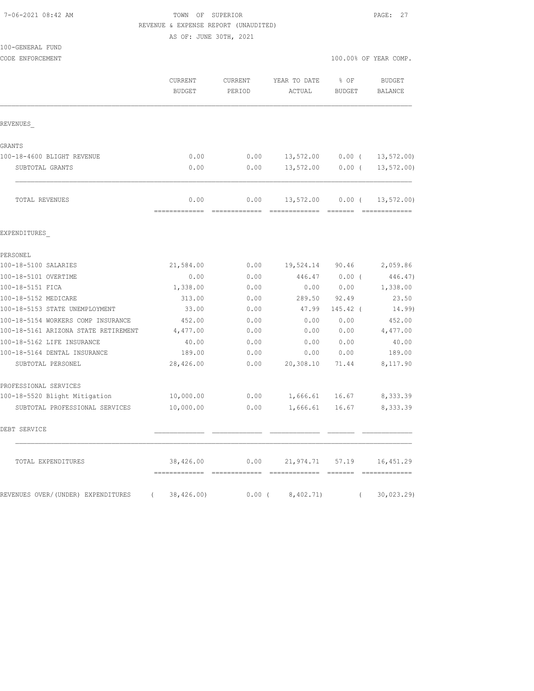#### 7-06-2021 08:42 AM TOWN OF SUPERIOR PAGE: 27 REVENUE & EXPENSE REPORT (UNAUDITED)

|                                      | AS OF: JUNE 30TH, 2021   |                   |                        |                       |                                 |  |  |
|--------------------------------------|--------------------------|-------------------|------------------------|-----------------------|---------------------------------|--|--|
| 100-GENERAL FUND                     |                          |                   |                        |                       |                                 |  |  |
| CODE ENFORCEMENT                     |                          |                   |                        |                       | 100.00% OF YEAR COMP.           |  |  |
|                                      | CURRENT<br><b>BUDGET</b> | CURRENT<br>PERIOD | YEAR TO DATE<br>ACTUAL | % OF<br><b>BUDGET</b> | <b>BUDGET</b><br><b>BALANCE</b> |  |  |
| REVENUES                             |                          |                   |                        |                       |                                 |  |  |
| GRANTS                               |                          |                   |                        |                       |                                 |  |  |
| 100-18-4600 BLIGHT REVENUE           | 0.00                     | 0.00              | 13,572.00              | $0.00$ (              | 13, 572.00                      |  |  |
| SUBTOTAL GRANTS                      | 0.00                     | 0.00              | 13,572.00              | $0.00$ (              | 13, 572.00                      |  |  |
| TOTAL REVENUES                       | 0.00                     | 0.00              | 13,572.00              | $0.00$ (              | 13, 572.00                      |  |  |
| EXPENDITURES                         |                          |                   |                        |                       |                                 |  |  |
| PERSONEL                             |                          |                   |                        |                       |                                 |  |  |
| 100-18-5100 SALARIES                 | 21,584.00                | 0.00              | 19,524.14 90.46        |                       | 2,059.86                        |  |  |
| 100-18-5101 OVERTIME                 | 0.00                     | 0.00              | 446.47                 | $0.00$ (              | 446.47)                         |  |  |
| 100-18-5151 FICA                     | 1,338.00                 | 0.00              | 0.00                   | 0.00                  | 1,338.00                        |  |  |
| 100-18-5152 MEDICARE                 | 313.00                   | 0.00              | 289.50                 | 92.49                 | 23.50                           |  |  |
| 100-18-5153 STATE UNEMPLOYMENT       | 33.00                    | 0.00              | 47.99                  | $145.42$ (            | 14.99)                          |  |  |
| 100-18-5154 WORKERS COMP INSURANCE   | 452.00                   | 0.00              | 0.00                   | 0.00                  | 452.00                          |  |  |
| 100-18-5161 ARIZONA STATE RETIREMENT | 4,477.00                 | 0.00              | 0.00                   | 0.00                  | 4,477.00                        |  |  |
| 100-18-5162 LIFE INSURANCE           | 40.00                    | 0.00              | 0.00                   | 0.00                  | 40.00                           |  |  |
| 100-18-5164 DENTAL INSURANCE         | 189.00                   | 0.00              | 0.00                   | 0.00                  | 189.00                          |  |  |
| SUBTOTAL PERSONEL                    | 28,426.00                | 0.00              | 20,308.10              | 71.44                 | 8,117.90                        |  |  |
| PROFESSIONAL SERVICES                |                          |                   |                        |                       |                                 |  |  |
| 100-18-5520 Blight Mitigation        | 10,000.00                | 0.00              | 1,666.61               | 16.67                 | 8,333.39                        |  |  |
| SUBTOTAL PROFESSIONAL SERVICES       | 10,000.00                | 0.00              | 1,666.61               | 16.67                 | 8,333.39                        |  |  |
| DEBT SERVICE                         |                          |                   |                        |                       |                                 |  |  |
| TOTAL EXPENDITURES                   | 38,426.00                | 0.00              |                        | 21,974.71 57.19       | 16, 451.29                      |  |  |

REVENUES OVER/(UNDER) EXPENDITURES ( 38,426.00) 0.00 ( 8,402.71) ( 30,023.29)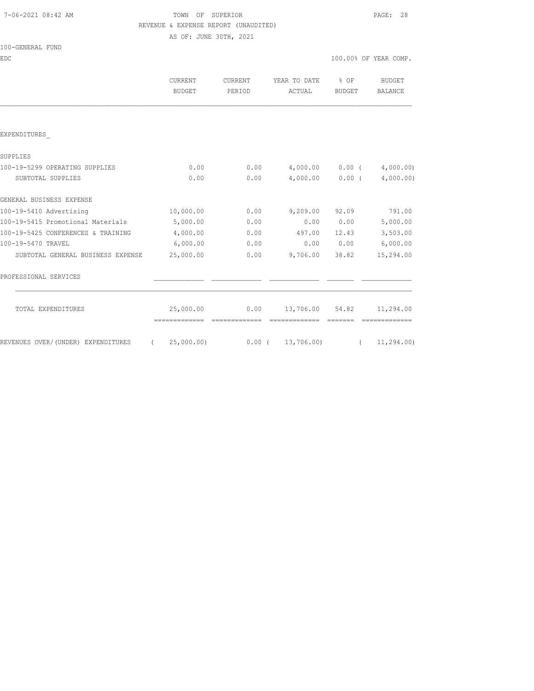# TOWN OF SUPERIOR **PAGE: 28** REVENUE & EXPENSE REPORT (UNAUDITED)

AS OF: JUNE 30TH, 2021

|  | 100-GENERAL | FUND |  |
|--|-------------|------|--|
|  |             |      |  |

| <b>EDC</b>                                                                  |                               |                   |                                |                   | 100.00% OF YEAR COMP.           |
|-----------------------------------------------------------------------------|-------------------------------|-------------------|--------------------------------|-------------------|---------------------------------|
|                                                                             | CURRENT<br><b>BUDGET</b>      | CURRENT<br>PERIOD | YEAR TO DATE % OF<br>ACTUAL    | BUDGET            | <b>BUDGET</b><br><b>BALANCE</b> |
|                                                                             |                               |                   |                                |                   |                                 |
| EXPENDITURES                                                                |                               |                   |                                |                   |                                 |
| SUPPLIES                                                                    |                               |                   |                                |                   |                                 |
| 100-19-5299 OPERATING SUPPLIES                                              | 0.00                          | 0.00              | $4,000.00$ $0.00$ $(4,000.00)$ |                   |                                 |
| SUBTOTAL SUPPLIES                                                           | 0.00                          | 0.00              |                                | $4,000.00$ 0.00 ( | 4,000.00)                       |
| GENERAL BUSINESS EXPENSE                                                    |                               |                   |                                |                   |                                 |
| 100-19-5410 Advertising                                                     | 10,000.00                     | 0.00              | $9,209.00$ $92.09$             |                   | 791.00                          |
| 100-19-5415 Promotional Materials                                           | 5,000.00                      | 0.00              |                                | 0.00 0.00         | 5,000.00                        |
| 100-19-5425 CONFERENCES & TRAINING                                          | 4,000.00                      | 0.00              | 497.00                         | 12.43             | 3,503.00                        |
| 100-19-5470 TRAVEL                                                          | 6,000.00                      | 0.00              |                                |                   | $0.00$ $0.00$ $6,000.00$        |
| SUBTOTAL GENERAL BUSINESS EXPENSE                                           | 25,000.00                     | 0.00              | 9,706.00                       | 38.82             | 15,294.00                       |
| PROFESSIONAL SERVICES                                                       |                               |                   |                                |                   |                                 |
| TOTAL EXPENDITURES                                                          |                               | 25,000.00 0.00    |                                |                   | 13,706.00 54.82 11,294.00       |
| REVENUES OVER/(UNDER) EXPENDITURES (25,000.00) 0.00 (13,706.00) (11,294.00) | -------------- -------------- |                   | essessessesse essesse          |                   |                                 |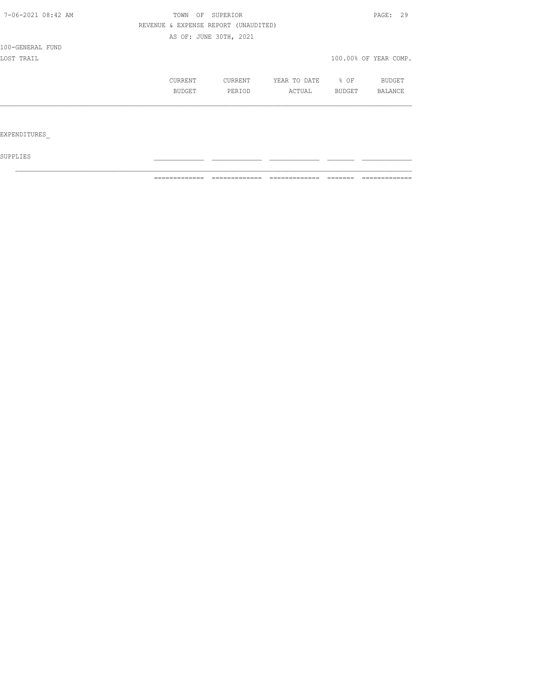| 7-06-2021 08:42 AM  | OF<br>TOWN                           | SUPERIOR               |              |                  | PAGE: 29              |
|---------------------|--------------------------------------|------------------------|--------------|------------------|-----------------------|
|                     | REVENUE & EXPENSE REPORT (UNAUDITED) |                        |              |                  |                       |
|                     |                                      | AS OF: JUNE 30TH, 2021 |              |                  |                       |
| 100-GENERAL FUND    |                                      |                        |              |                  |                       |
| LOST TRAIL          |                                      |                        |              |                  | 100.00% OF YEAR COMP. |
|                     | CURRENT                              | CURRENT                | YEAR TO DATE | $\frac{1}{2}$ OF | BUDGET                |
|                     | BUDGET                               | PERIOD                 | ACTUAL       | BUDGET           | <b>BALANCE</b>        |
|                     |                                      |                        |              |                  |                       |
|                     |                                      |                        |              |                  |                       |
| <b>EXPENDITURES</b> |                                      |                        |              |                  |                       |

 ${\tt SUPPLIES}$ 

============= ============= ============= ======= =============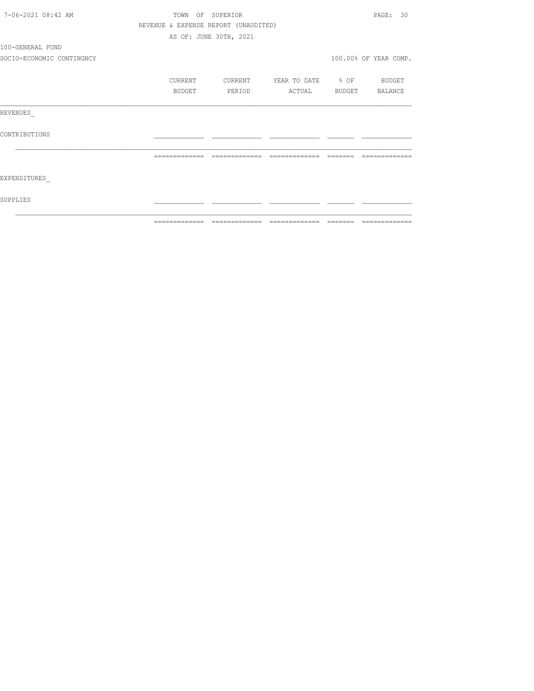| 7-06-2021 08:42 AM        | TOWN          | OF SUPERIOR                          |                          |          | PAGE: 30              |
|---------------------------|---------------|--------------------------------------|--------------------------|----------|-----------------------|
|                           |               | REVENUE & EXPENSE REPORT (UNAUDITED) |                          |          |                       |
|                           |               | AS OF: JUNE 30TH, 2021               |                          |          |                       |
| 100-GENERAL FUND          |               |                                      |                          |          |                       |
| SOCIO-ECONOMIC CONTINGNCY |               |                                      |                          |          | 100.00% OF YEAR COMP. |
|                           | CURRENT       | CURRENT                              | YEAR TO DATE % OF BUDGET |          |                       |
|                           | BUDGET        | PERIOD                               | ACTUAL                   |          | BUDGET BALANCE        |
| REVENUES                  |               |                                      |                          |          |                       |
| CONTRIBUTIONS             |               |                                      |                          |          |                       |
|                           | ============= | =============                        | =============            | -------- | -----------           |
| EXPENDITURES              |               |                                      |                          |          |                       |
| SUPPLIES                  |               |                                      |                          |          |                       |
|                           |               |                                      |                          | -------- | --------------        |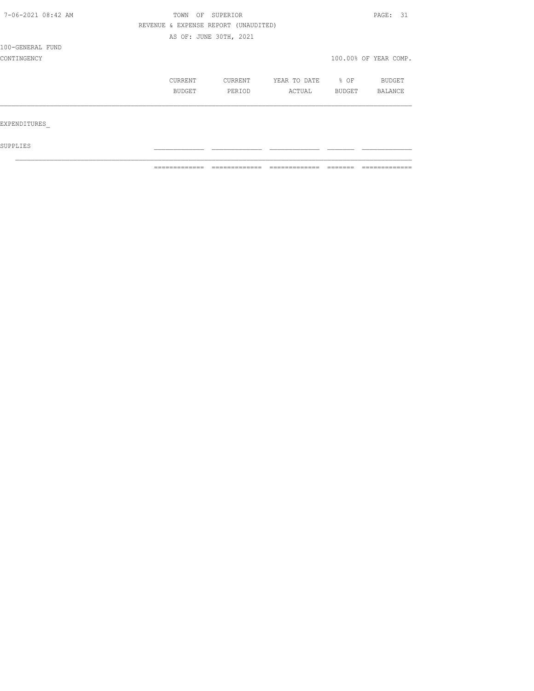| 7-06-2021 08:42 AM |               | OF<br>SUPERIOR<br>TOWN               |              |        |                       |  |
|--------------------|---------------|--------------------------------------|--------------|--------|-----------------------|--|
|                    |               | REVENUE & EXPENSE REPORT (UNAUDITED) |              |        |                       |  |
|                    |               | AS OF: JUNE 30TH, 2021               |              |        |                       |  |
| 100-GENERAL FUND   |               |                                      |              |        |                       |  |
| CONTINGENCY        |               |                                      |              |        | 100.00% OF YEAR COMP. |  |
|                    | CURRENT       | CURRENT                              | YEAR TO DATE | % OF   | <b>BUDGET</b>         |  |
|                    | <b>BUDGET</b> | PERIOD                               | ACTUAL       | BUDGET | BALANCE               |  |
|                    |               |                                      |              |        |                       |  |
| EXPENDITURES       |               |                                      |              |        |                       |  |
| SUPPLIES           |               |                                      |              |        |                       |  |

 $\mathcal{L}_\text{max}$ 

============= ============= ============= ======= =============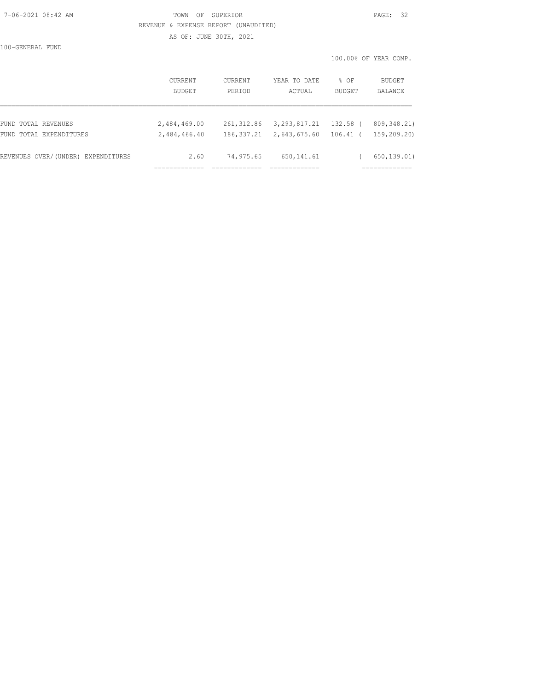### 7-06-2021 08:42 AM TOWN OF SUPERIOR PAGE: 32 REVENUE & EXPENSE REPORT (UNAUDITED)

AS OF: JUNE 30TH, 2021

100-GENERAL FUND

100.00% OF YEAR COMP.

|                                    | <b>CURRENT</b><br><b>BUDGET</b> | CURRENT<br>PERIOD | YEAR TO DATE<br>ACTUAL | % OF<br><b>BUDGET</b> | <b>BUDGET</b><br>BALANCE |
|------------------------------------|---------------------------------|-------------------|------------------------|-----------------------|--------------------------|
| FUND TOTAL REVENUES                | 2,484,469.00                    | 261,312.86        | 3,293,817.21           | 132.58 (              | 809, 348, 21)            |
| FUND TOTAL EXPENDITURES            | 2,484,466.40                    | 186, 337.21       | 2,643,675.60           | $106.41$ (            | 159,209.20)              |
| REVENUES OVER/(UNDER) EXPENDITURES | 2.60                            | 74,975.65         | 650, 141.61            |                       | 650,139.01)              |
|                                    |                                 |                   |                        |                       |                          |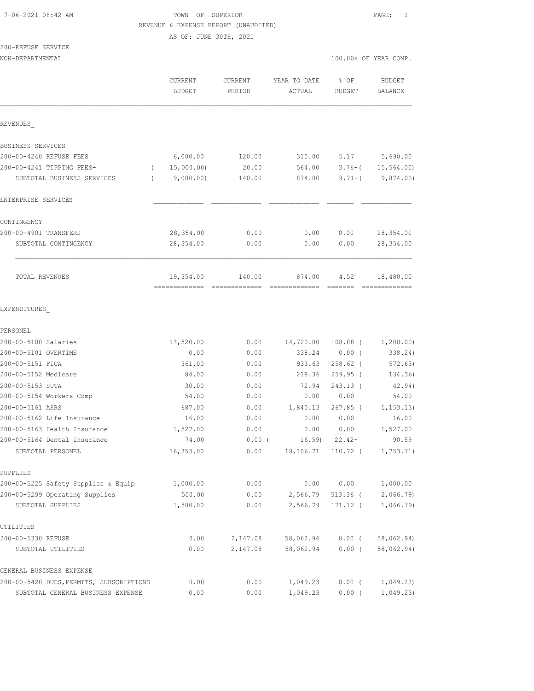#### 7-06-2021 08:42 AM TOWN OF SUPERIOR PAGE: 1 REVENUE & EXPENSE REPORT (UNAUDITED)

AS OF: JUNE 30TH, 2021

# 200-REFUSE SERVICE

|                                          | CURRENT<br><b>BUDGET</b>   | <b>CURRENT</b><br>PERIOD | YEAR TO DATE<br>ACTUAL | % OF<br><b>BUDGET</b> | <b>BUDGET</b><br>BALANCE   |
|------------------------------------------|----------------------------|--------------------------|------------------------|-----------------------|----------------------------|
| REVENUES                                 |                            |                          |                        |                       |                            |
| BUSINESS SERVICES                        |                            |                          |                        |                       |                            |
| 200-00-4240 REFUSE FEES                  | 6,000.00                   | 120.00                   | 310.00                 | 5.17                  | 5,690.00                   |
| 200-00-4241 TIPPING FEES-<br>$\left($    | 15,000.00)                 | 20.00                    | 564.00                 | $3.76 - ($            | 15, 564.00                 |
| SUBTOTAL BUSINESS SERVICES<br>$\left($   | 9,000.00)                  | 140.00                   | 874.00                 | $9.71 - ($            | 9,874.00)                  |
| ENTERPRISE SERVICES                      |                            |                          |                        |                       |                            |
| CONTINGENCY                              |                            |                          |                        |                       |                            |
| 200-00-4901 TRANSFERS                    | 28, 354.00                 | 0.00                     | 0.00                   | 0.00                  | 28, 354.00                 |
| SUBTOTAL CONTINGENCY                     | 28,354.00                  | 0.00                     | 0.00                   | 0.00                  | 28, 354.00                 |
| TOTAL REVENUES                           | 19,354.00<br>============= | 140.00                   | 874.00                 | 4.52<br>=======       | 18,480.00<br>============= |
| EXPENDITURES                             |                            |                          |                        |                       |                            |
| PERSONEL                                 |                            |                          |                        |                       |                            |
| 200-00-5100 Salaries                     | 13,520.00                  | 0.00                     | 14,720.00              | $108.88$ (            | 1,200.00)                  |
| 200-00-5101 OVERTIME                     | 0.00                       | 0.00                     | 338.24                 | $0.00$ (              | 338.24)                    |
| 200-00-5151 FICA                         | 361.00                     | 0.00                     | 933.63                 | $258.62$ (            | 572.63)                    |
| 200-00-5152 Medicare                     | 84.00                      | 0.00                     | 218.36                 | $259.95$ (            | 134.36)                    |
| 200-00-5153 SUTA                         | 30.00                      | 0.00                     | 72.94                  | 243.13 (              | 42.94)                     |
| 200-00-5154 Workers Comp                 | 54.00                      | 0.00                     | 0.00                   | 0.00                  | 54.00                      |
| 200-00-5161 ASRS                         | 687.00                     | 0.00                     | 1,840.13               | $267.85$ (            | 1, 153.13)                 |
| 200-00-5162 Life Insurance               | 16.00                      | 0.00                     | 0.00                   | 0.00                  | 16.00                      |
| 200-00-5163 Health Insurance             | 1,527.00                   | 0.00                     | 0.00                   | 0.00                  | 1,527.00                   |
| 200-00-5164 Dental Insurance             | 74.00                      | $0.00$ (                 | 16.59                  | $22.42-$              | 90.59                      |
| SUBTOTAL PERSONEL                        | 16,353.00                  | 0.00                     | 18,106.71              | 110.72 (              | 1,753.71)                  |
| SUPPLIES                                 |                            |                          |                        |                       |                            |
| 200-00-5225 Safety Supplies & Equip      | 1,000.00                   | 0.00                     | 0.00                   | 0.00                  | 1,000.00                   |
| 200-00-5299 Operating Supplies           | 500.00                     | 0.00                     | 2,566.79               | $513.36$ (            | 2,066.79                   |
| SUBTOTAL SUPPLIES                        | 1,500.00                   | 0.00                     | 2,566.79               | $171.12$ (            | 1,066.79                   |
| UTILITIES                                |                            |                          |                        |                       |                            |
| 200-00-5330 REFUSE                       | 0.00                       | 2,147.08                 | 58,062.94              | $0.00$ (              | 58,062.94)                 |
| SUBTOTAL UTILITIES                       | 0.00                       | 2,147.08                 | 58,062.94              | $0.00$ (              | 58,062.94)                 |
| GENERAL BUSINESS EXPENSE                 |                            |                          |                        |                       |                            |
| 200-00-5420 DUES, PERMITS, SUBSCRIPTIONS | 0.00                       | 0.00                     | 1,049.23               | $0.00$ (              | 1,049.23                   |
| SUBTOTAL GENERAL BUSINESS EXPENSE        | 0.00                       | 0.00                     | 1,049.23               | $0.00$ (              | 1,049.23                   |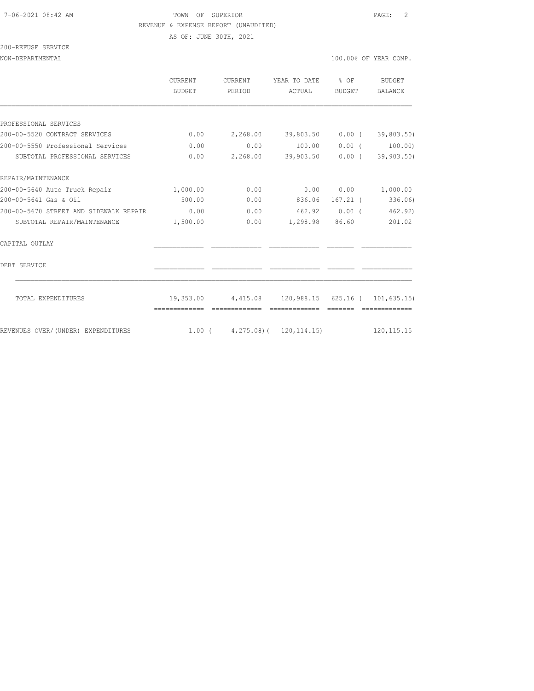#### 7-06-2021 08:42 AM TOWN OF SUPERIOR PAGE: 2 REVENUE & EXPENSE REPORT (UNAUDITED)

AS OF: JUNE 30TH, 2021

| 200-REFUSE SERVICE |  |
|--------------------|--|
|                    |  |

|                                        | <b>CURRENT</b><br>BUDGET | <b>CURRENT</b><br>PERIOD                           | YEAR TO DATE<br>ACTUAL   | $8$ OF<br>BUDGET | BUDGET<br><b>BALANCE</b> |
|----------------------------------------|--------------------------|----------------------------------------------------|--------------------------|------------------|--------------------------|
|                                        |                          |                                                    |                          |                  |                          |
| PROFESSIONAL SERVICES                  |                          |                                                    |                          |                  |                          |
| 200-00-5520 CONTRACT SERVICES          | 0.00                     | 2,268.00 39,803.50 0.00 (39,803.50)                |                          |                  |                          |
| 200-00-5550 Professional Services      | 0.00                     | 0.00                                               | 100.00                   |                  | $0.00$ ( $100.00$ )      |
| SUBTOTAL PROFESSIONAL SERVICES         | 0.00                     |                                                    | 2,268.00 39,903.50       | $0.00$ (         | 39,903.50)               |
| REPAIR/MAINTENANCE                     |                          |                                                    |                          |                  |                          |
| 200-00-5640 Auto Truck Repair          | 1,000.00                 | 0.00                                               | 0.00                     |                  | 0.00 1,000.00            |
| 200-00-5641 Gas & Oil                  | 500.00                   | 0.00                                               | 836.06                   | $167.21$ (       | 336.06)                  |
| 200-00-5670 STREET AND SIDEWALK REPAIR | 0.00                     |                                                    | $0.00$ $462.92$ $0.00$ ( |                  | 462.92)                  |
| SUBTOTAL REPAIR/MAINTENANCE            | 1,500.00                 |                                                    | $0.00$ 1,298.98 86.60    |                  | 201.02                   |
| CAPITAL OUTLAY                         |                          |                                                    |                          |                  |                          |
| DEBT SERVICE                           |                          |                                                    |                          |                  |                          |
| TOTAL EXPENDITURES                     |                          | 19,353.00 4,415.08 120,988.15 625.16 ( 101,635.15) |                          |                  |                          |
|                                        |                          |                                                    |                          |                  |                          |
| REVENUES OVER/(UNDER) EXPENDITURES     |                          | 1.00(4,275.08)(120,114.15)                         |                          |                  | 120, 115. 15             |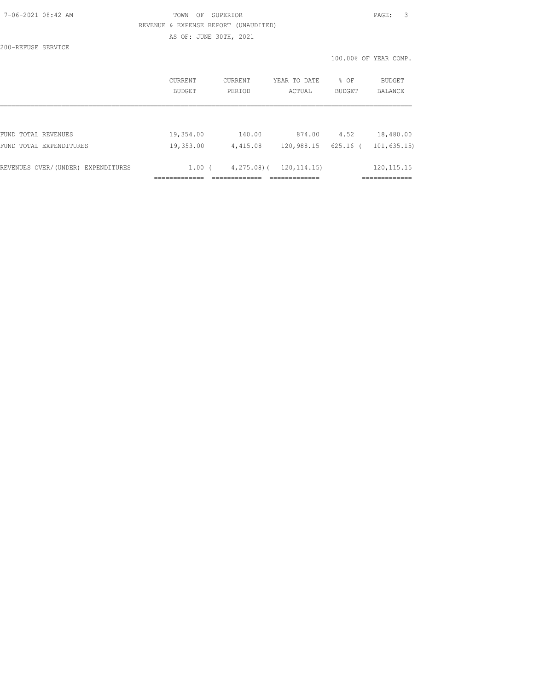| 7-06-2021 08:42 AM |  |
|--------------------|--|
|                    |  |

## TOWN OF SUPERIOR **PAGE:** 3 REVENUE & EXPENSE REPORT (UNAUDITED) AS OF: JUNE 30TH, 2021

200-REFUSE SERVICE

100.00% OF YEAR COMP.

|                                    | CURRENT<br><b>BUDGET</b> | CURRENT<br>PERIOD | YEAR TO DATE<br>ACTUAL | % OF<br>BUDGET | BUDGET<br><b>BALANCE</b> |
|------------------------------------|--------------------------|-------------------|------------------------|----------------|--------------------------|
|                                    |                          |                   |                        |                |                          |
| FUND TOTAL REVENUES                | 19,354.00                | 140.00            | 874.00                 | 4.52           | 18,480.00                |
| FUND TOTAL EXPENDITURES            | 19,353.00                | 4,415.08          | 120,988.15             | 625.16         | 101, 635, 15)            |
| REVENUES OVER/(UNDER) EXPENDITURES | $1.00$ $($               | $4, 275, 08$ ) (  | 120, 114.15)           |                | 120, 115. 15             |
|                                    |                          |                   |                        |                |                          |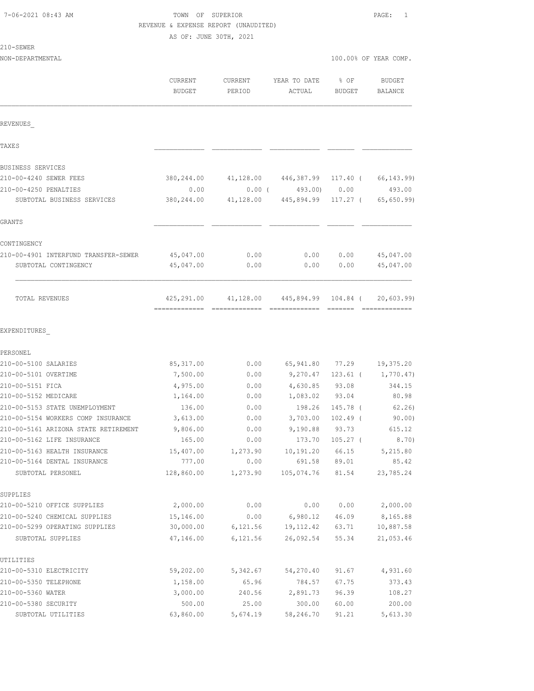# TOWN OF SUPERIOR PAGE: 1 REVENUE & EXPENSE REPORT (UNAUDITED)

AS OF: JUNE 30TH, 2021

| SEWF |  |
|------|--|
|------|--|

| 210-SEWER<br>NON-DEPARTMENTAL        |                   |                   |                        |                 | 100.00% OF YEAR COMP. |
|--------------------------------------|-------------------|-------------------|------------------------|-----------------|-----------------------|
|                                      |                   |                   |                        |                 |                       |
|                                      | CURRENT<br>BUDGET | CURRENT<br>PERIOD | YEAR TO DATE<br>ACTUAL | % OF<br>BUDGET  | BUDGET<br>BALANCE     |
| REVENUES                             |                   |                   |                        |                 |                       |
| TAXE S                               |                   |                   |                        |                 |                       |
| BUSINESS SERVICES                    |                   |                   |                        |                 |                       |
| 210-00-4240 SEWER FEES               | 380,244.00        | 41,128.00         | 446,387.99             | 117.40 (        | 66, 143.99)           |
| 210-00-4250 PENALTIES                | 0.00              |                   | $0.00$ ( 493.00) 0.00  |                 | 493.00                |
| SUBTOTAL BUSINESS SERVICES           | 380,244.00        |                   | 41,128.00 445,894.99   | 117.27 (        | 65, 650.99            |
| GRANTS                               |                   |                   |                        |                 |                       |
| CONTINGENCY                          |                   |                   |                        |                 |                       |
| 210-00-4901 INTERFUND TRANSFER-SEWER | 45,047.00         | 0.00              | 0.00                   | 0.00            | 45,047.00             |
| SUBTOTAL CONTINGENCY                 | 45,047.00         | 0.00              | 0.00                   | 0.00            | 45,047.00             |
| TOTAL REVENUES                       | 425,291.00        |                   | 41,128.00 445,894.99   | 104.84 (        | 20,603.99             |
| EXPENDITURES                         |                   |                   |                        |                 |                       |
| PERSONEL                             |                   |                   |                        |                 |                       |
| 210-00-5100 SALARIES                 | 85, 317.00        | 0.00              |                        | 65,941.80 77.29 | 19,375.20             |
| 210-00-5101 OVERTIME                 | 7,500.00          | 0.00              | 9,270.47               | 123.61 (        | 1,770.47)             |
| 210-00-5151 FICA                     | 4,975.00          | 0.00              | 4,630.85               | 93.08           | 344.15                |
| 210-00-5152 MEDICARE                 | 1,164.00          | 0.00              | 1,083.02               | 93.04           | 80.98                 |
| 210-00-5153 STATE UNEMPLOYMENT       | 136.00            | 0.00              | 198.26                 | 145.78 (        | 62.26)                |
| 210-00-5154 WORKERS COMP INSURANCE   | 3,613.00          | 0.00              | 3,703.00               | $102.49$ (      | 90.00                 |
| 210-00-5161 ARIZONA STATE RETIREMENT | 9,806.00          | 0.00              |                        | 9,190.88 93.73  | 615.12                |
| 210-00-5162 LIFE INSURANCE           | 165.00            | 0.00              | 173.70                 | $105.27$ (      | 8.70)                 |
| 210-00-5163 HEALTH INSURANCE         | 15,407.00         | 1,273.90          | 10,191.20              | 66.15           | 5,215.80              |
| 210-00-5164 DENTAL INSURANCE         | 777.00            | 0.00              | 691.58                 | 89.01           | 85.42                 |
| SUBTOTAL PERSONEL                    | 128,860.00        | 1,273.90          | 105,074.76 81.54       |                 | 23,785.24             |
| SUPPLIES                             |                   |                   |                        |                 |                       |
| 210-00-5210 OFFICE SUPPLIES          | 2,000.00          | 0.00              | 0.00                   | 0.00            | 2,000.00              |
| 210-00-5240 CHEMICAL SUPPLIES        | 15,146.00         | 0.00              | 6,980.12               | 46.09           | 8,165.88              |
| 210-00-5299 OPERATING SUPPLIES       | 30,000.00         | 6,121.56          | 19, 112.42             | 63.71           | 10,887.58             |
| SUBTOTAL SUPPLIES                    | 47,146.00         | 6,121.56          | 26,092.54              | 55.34           | 21,053.46             |
| UTILITIES                            |                   |                   |                        |                 |                       |
| 210-00-5310 ELECTRICITY              | 59,202.00         | 5,342.67          | 54,270.40              | 91.67           | 4,931.60              |
| 210-00-5350 TELEPHONE                | 1,158.00          | 65.96             | 784.57                 | 67.75           | 373.43                |
| 210-00-5360 WATER                    | 3,000.00          | 240.56            | 2,891.73               | 96.39           | 108.27                |
| 210-00-5380 SECURITY                 | 500.00            | 25.00             | 300.00                 | 60.00           | 200.00                |
| SUBTOTAL UTILITIES                   | 63,860.00         | 5,674.19          | 58,246.70              | 91.21           | 5,613.30              |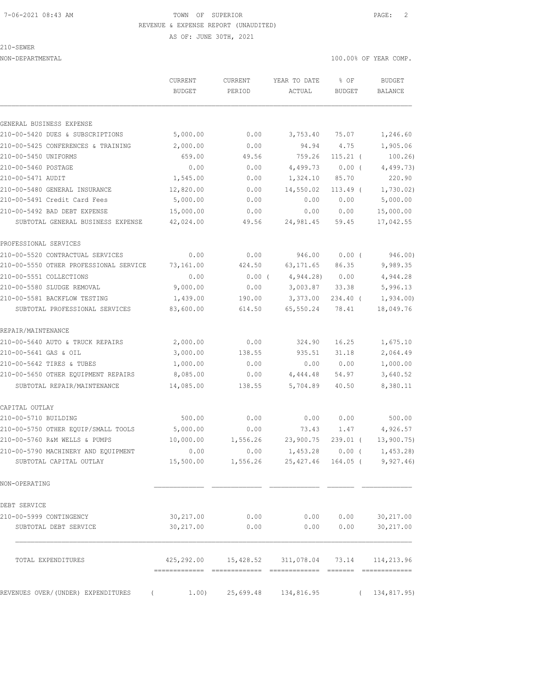AS OF: JUNE 30TH, 2021

210-SEWER

NON-DEPARTMENTAL 100.00% OF YEAR COMP.

|                                        | CURRENT<br><b>BUDGET</b> | <b>CURRENT</b><br>PERIOD | YEAR TO DATE<br>ACTUAL                        | % OF<br><b>BUDGET</b> | <b>BUDGET</b><br>BALANCE |
|----------------------------------------|--------------------------|--------------------------|-----------------------------------------------|-----------------------|--------------------------|
| GENERAL BUSINESS EXPENSE               |                          |                          |                                               |                       |                          |
| 210-00-5420 DUES & SUBSCRIPTIONS       | 5,000.00                 | 0.00                     | 3,753.40                                      | 75.07                 | 1,246.60                 |
| 210-00-5425 CONFERENCES & TRAINING     | 2,000.00                 | 0.00                     | 94.94                                         | 4.75                  | 1,905.06                 |
| 210-00-5450 UNIFORMS                   | 659.00                   | 49.56                    | 759.26                                        | $115.21$ (            | 100.26)                  |
| 210-00-5460 POSTAGE                    | 0.00                     | 0.00                     | 4,499.73                                      | 0.00(                 | 4,499.73)                |
| 210-00-5471 AUDIT                      | 1,545.00                 | 0.00                     | 1,324.10                                      | 85.70                 | 220.90                   |
| 210-00-5480 GENERAL INSURANCE          | 12,820.00                | 0.00                     | 14,550.02                                     | 113.49 (              | 1,730.02)                |
| 210-00-5491 Credit Card Fees           | 5,000.00                 | 0.00                     | 0.00                                          | 0.00                  | 5,000.00                 |
| 210-00-5492 BAD DEBT EXPENSE           | 15,000.00                | 0.00                     | 0.00                                          | 0.00                  | 15,000.00                |
| SUBTOTAL GENERAL BUSINESS EXPENSE      | 42,024.00                | 49.56                    | 24,981.45                                     | 59.45                 | 17,042.55                |
| PROFESSIONAL SERVICES                  |                          |                          |                                               |                       |                          |
| 210-00-5520 CONTRACTUAL SERVICES       | 0.00                     | 0.00                     | 946.00                                        | $0.00$ (              | 946.00)                  |
| 210-00-5550 OTHER PROFESSIONAL SERVICE | 73,161.00                | 424.50                   | 63, 171.65                                    | 86.35                 | 9,989.35                 |
| 210-00-5551 COLLECTIONS                | 0.00                     | $0.00$ (                 | 4,944.28                                      | 0.00                  | 4,944.28                 |
| 210-00-5580 SLUDGE REMOVAL             | 9,000.00                 | 0.00                     | 3,003.87                                      | 33.38                 | 5,996.13                 |
| 210-00-5581 BACKFLOW TESTING           | 1,439.00                 | 190.00                   | 3,373.00                                      | $234.40$ (            | 1,934.00                 |
| SUBTOTAL PROFESSIONAL SERVICES         | 83,600.00                | 614.50                   | 65,550.24                                     | 78.41                 | 18,049.76                |
| REPAIR/MAINTENANCE                     |                          |                          |                                               |                       |                          |
| 210-00-5640 AUTO & TRUCK REPAIRS       | 2,000.00                 | 0.00                     | 324.90                                        | 16.25                 | 1,675.10                 |
| 210-00-5641 GAS & OIL                  | 3,000.00                 | 138.55                   | 935.51                                        | 31.18                 | 2,064.49                 |
| 210-00-5642 TIRES & TUBES              | 1,000.00                 | 0.00                     | 0.00                                          | 0.00                  | 1,000.00                 |
| 210-00-5650 OTHER EQUIPMENT REPAIRS    | 8,085.00                 | 0.00                     | 4,444.48                                      | 54.97                 | 3,640.52                 |
| SUBTOTAL REPAIR/MAINTENANCE            | 14,085.00                | 138.55                   | 5,704.89                                      | 40.50                 | 8,380.11                 |
| CAPITAL OUTLAY                         |                          |                          |                                               |                       |                          |
| 210-00-5710 BUILDING                   | 500.00                   | 0.00                     | 0.00                                          | 0.00                  | 500.00                   |
| 210-00-5750 OTHER EQUIP/SMALL TOOLS    | 5,000.00                 | 0.00                     | 73.43                                         | 1.47                  | 4,926.57                 |
| 210-00-5760 R&M WELLS & PUMPS          | 10,000.00                | 1,556.26                 | 23,900.75                                     | $239.01$ (            | 13,900.75                |
| 210-00-5790 MACHINERY AND EQUIPMENT    | 0.00                     | 0.00                     | 1,453.28                                      | $0.00$ (              | 1,453.28                 |
| SUBTOTAL CAPITAL OUTLAY                |                          |                          | 15,500.00   1,556.26   25,427.46   164.05   ( |                       | 9,927.46                 |
| NON-OPERATING                          |                          |                          |                                               |                       |                          |
| DEBT SERVICE                           |                          |                          |                                               |                       |                          |
| 210-00-5999 CONTINGENCY                | 30,217.00                | 0.00                     | 0.00                                          | 0.00                  | 30,217.00                |
| SUBTOTAL DEBT SERVICE                  | 30,217.00                | 0.00                     | 0.00                                          | 0.00                  | 30,217.00                |
| TOTAL EXPENDITURES                     | 425,292.00               | 15,428.52                | 311,078.04                                    | 73.14                 | 114,213.96               |
| REVENUES OVER/(UNDER) EXPENDITURES     | 1.00)                    | 25,699.48                | 134,816.95                                    |                       | 134,817.95)              |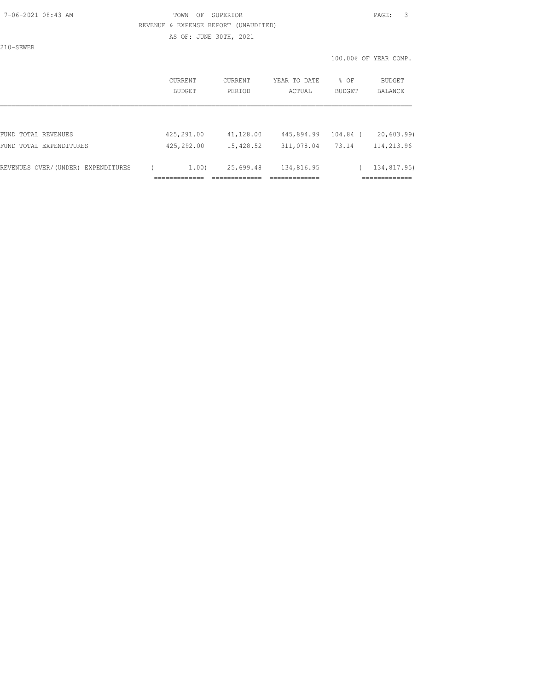### 7-06-2021 08:43 AM TOWN OF SUPERIOR PAGE: 3 REVENUE & EXPENSE REPORT (UNAUDITED) AS OF: JUNE 30TH, 2021

210-SEWER

|                                    | CURRENT<br>BUDGET | <b>CURRENT</b><br>PERIOD | YEAR TO DATE<br>ACTUAL | % OF<br><b>BUDGET</b> | BUDGET<br><b>BALANCE</b> |
|------------------------------------|-------------------|--------------------------|------------------------|-----------------------|--------------------------|
|                                    |                   |                          |                        |                       |                          |
| FUND TOTAL REVENUES                | 425,291.00        | 41,128.00                | 445,894.99             | $104.84$ (            | 20,603.99                |
| FUND TOTAL EXPENDITURES            | 425,292.00        | 15,428.52                | 311,078.04             | 73.14                 | 114,213.96               |
| REVENUES OVER/(UNDER) EXPENDITURES | 1.00)             | 25,699.48                | 134,816.95             |                       | 134,817.95)              |
|                                    |                   |                          |                        |                       |                          |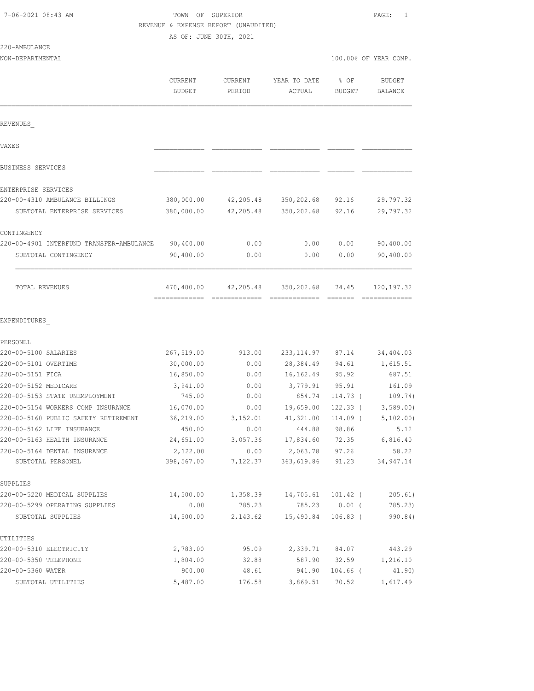### $220-$

| 7-06-2021 08:43 AM                       | TOWN OF SUPERIOR<br>AS OF: JUNE 30TH, 2021 | REVENUE & EXPENSE REPORT (UNAUDITED) |                                       |                 | PAGE:<br>1               |
|------------------------------------------|--------------------------------------------|--------------------------------------|---------------------------------------|-----------------|--------------------------|
| 220-AMBULANCE                            |                                            |                                      |                                       |                 |                          |
| NON-DEPARTMENTAL                         |                                            |                                      |                                       |                 | 100.00% OF YEAR COMP.    |
|                                          | <b>CURRENT</b><br><b>BUDGET</b>            | CURRENT<br>PERIOD                    | YEAR TO DATE<br>ACTUAL                | % OF<br>BUDGET  | <b>BUDGET</b><br>BALANCE |
| REVENUES                                 |                                            |                                      |                                       |                 |                          |
| TAXE S                                   |                                            |                                      |                                       |                 |                          |
| BUSINESS SERVICES                        |                                            |                                      |                                       |                 |                          |
| ENTERPRISE SERVICES                      |                                            |                                      |                                       |                 |                          |
| 220-00-4310 AMBULANCE BILLINGS           | 380,000.00                                 | 42,205.48                            | 350,202.68 92.16                      |                 | 29,797.32                |
| SUBTOTAL ENTERPRISE SERVICES             | 380,000.00                                 | 42,205.48                            | 350,202.68                            | 92.16           | 29,797.32                |
| CONTINGENCY                              |                                            |                                      |                                       |                 |                          |
| 220-00-4901 INTERFUND TRANSFER-AMBULANCE | 90,400.00                                  | 0.00                                 | 0.00                                  | 0.00            | 90,400.00                |
| SUBTOTAL CONTINGENCY                     | 90,400.00                                  | 0.00                                 | 0.00                                  | 0.00            | 90,400.00                |
| TOTAL REVENUES<br>EXPENDITURES           |                                            |                                      | 470,400.00 42,205.48 350,202.68 74.45 |                 | 120, 197.32              |
|                                          |                                            |                                      |                                       |                 |                          |
| PERSONEL<br>220-00-5100 SALARIES         | 267,519.00                                 | 913.00                               | 233, 114.97 87.14                     |                 | 34,404.03                |
| 220-00-5101 OVERTIME                     | 30,000.00                                  | 0.00                                 | 28,384.49                             | 94.61           | 1,615.51                 |
| 220-00-5151 FICA                         | 16,850.00                                  | 0.00                                 | 16,162.49                             | 95.92           | 687.51                   |
| 220-00-5152 MEDICARE                     | 3,941.00                                   | 0.00                                 | 3,779.91                              | 95.91           | 161.09                   |
| 220-00-5153 STATE UNEMPLOYMENT           | 745.00                                     | 0.00                                 |                                       | 854.74 114.73 ( | 109.74)                  |
| 220-00-5154 WORKERS COMP INSURANCE       | 16,070.00                                  | 0.00                                 | 19,659.00                             | 122.33 (        | 3,589.00                 |
| 220-00-5160 PUBLIC SAFETY RETIREMENT     | 36,219.00                                  | 3,152.01                             | 41,321.00                             | 114.09 (        | 5,102.00                 |
| 220-00-5162 LIFE INSURANCE               | 450.00                                     | 0.00                                 | 444.88                                | 98.86           | 5.12                     |
| 220-00-5163 HEALTH INSURANCE             | 24,651.00                                  | 3,057.36                             | 17,834.60                             | 72.35           | 6,816.40                 |
| 220-00-5164 DENTAL INSURANCE             | 2,122.00                                   | 0.00                                 | 2,063.78                              | 97.26           | 58.22                    |
| SUBTOTAL PERSONEL                        | 398,567.00                                 | 7,122.37                             | 363,619.86                            | 91.23           | 34,947.14                |
| SUPPLIES                                 |                                            |                                      |                                       |                 |                          |
| 220-00-5220 MEDICAL SUPPLIES             | 14,500.00                                  | 1,358.39                             | 14,705.61                             | $101.42$ (      | 205.61)                  |
| 220-00-5299 OPERATING SUPPLIES           | 0.00                                       | 785.23                               | 785.23                                | $0.00$ (        | 785.23)                  |
| SUBTOTAL SUPPLIES                        | 14,500.00                                  |                                      | 2, 143.62 15, 490.84                  | $106.83$ (      | 990.84)                  |
| UTILITIES                                |                                            |                                      |                                       |                 |                          |

|                         | OODIOIAH OOLIHING  | 1.7,000.00 | 4,170.04 | LU, IUU. UI LUU. UU I |            |          |
|-------------------------|--------------------|------------|----------|-----------------------|------------|----------|
|                         |                    |            |          |                       |            |          |
| UTILITIES               |                    |            |          |                       |            |          |
| 220-00-5310 ELECTRICITY |                    | 2,783.00   | 95.09    | 2,339.71              | 84.07      | 443.29   |
| 220-00-5350 TELEPHONE   |                    | 1,804.00   | 32.88    | 587.90                | 32.59      | 1,216.10 |
| 220-00-5360 WATER       |                    | 900.00     | 48.61    | 941.90                | $104.66$ ( | 41.90)   |
|                         | SUBTOTAL UTILITIES | 5,487.00   | 176.58   | 3,869.51              | 70.52      | 1,617.49 |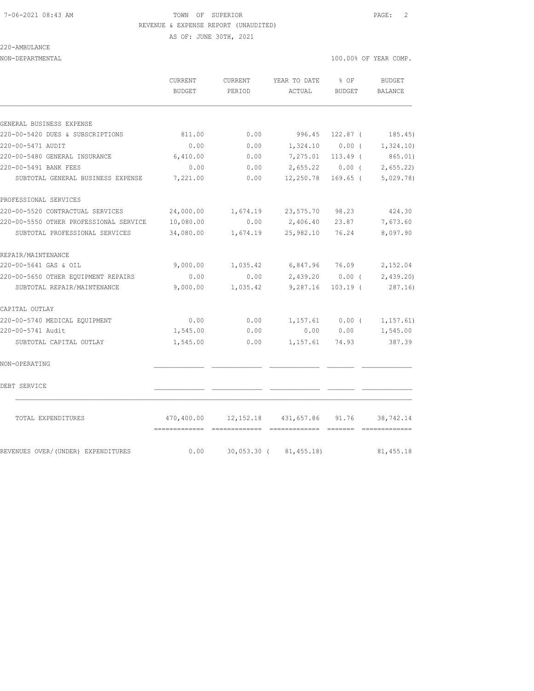AS OF: JUNE 30TH, 2021

220-AMBULANCE

NON-DEPARTMENTAL 100.00% OF YEAR COMP.

| CURRENT       | CURRENT | YEAR TO DATE | ዱ ሰF          | BUDGET  |
|---------------|---------|--------------|---------------|---------|
| <b>BUDGET</b> | PERTOD  | ACTUAL       | <b>BUDGET</b> | BALANCE |

| GENERAL BUSINESS EXPENSE               |                                       |                                  |                                 |                   |                             |
|----------------------------------------|---------------------------------------|----------------------------------|---------------------------------|-------------------|-----------------------------|
| 220-00-5420 DUES & SUBSCRIPTIONS       | 811.00                                | 0.00                             | 996.45                          |                   | $122.87$ ( $185.45$ )       |
| 220-00-5471 AUDIT                      | 0.00                                  | 0.00                             |                                 | $1,324.10$ 0.00 ( | 1,324.10)                   |
| 220-00-5480 GENERAL INSURANCE          | 6,410.00                              | 0.00                             | 7,275.01                        | $113.49$ (        | 865.01)                     |
| 220-00-5491 BANK FEES                  | 0.00                                  | 0.00                             |                                 | 2,655.22 0.00 (   | 2,655.22                    |
| SUBTOTAL GENERAL BUSINESS EXPENSE      | 7,221.00                              | 0.00                             | 12,250.78                       | 169.65 (          | 5,029.78)                   |
| PROFESSIONAL SERVICES                  |                                       |                                  |                                 |                   |                             |
| 220-00-5520 CONTRACTUAL SERVICES       | 24,000.00                             |                                  | 1,674.19 23,575.70              | 98.23             | 424.30                      |
| 220-00-5550 OTHER PROFESSIONAL SERVICE | 10,080.00                             | 0.00                             | 2,406.40                        | 23.87             | 7,673.60                    |
| SUBTOTAL PROFESSIONAL SERVICES         | 34,080.00                             | 1,674.19                         |                                 | 25,982.10 76.24   | 8,097.90                    |
| REPAIR/MAINTENANCE                     |                                       |                                  |                                 |                   |                             |
| 220-00-5641 GAS & OIL                  | 9,000.00                              | 1,035.42 6,847.96 76.09 2,152.04 |                                 |                   |                             |
| 220-00-5650 OTHER EQUIPMENT REPAIRS    | 0.00                                  | 0.00                             |                                 |                   | $2,439.20$ 0.00 ( 2,439.20) |
| SUBTOTAL REPAIR/MAINTENANCE            | 9,000.00                              | 1,035.42                         | 9,287.16                        | $103.19$ (        | 287.16)                     |
| CAPITAL OUTLAY                         |                                       |                                  |                                 |                   |                             |
| 220-00-5740 MEDICAL EQUIPMENT          | 0.00                                  | 0.00                             |                                 | $1,157.61$ 0.00 ( | 1, 157.61)                  |
| 220-00-5741 Audit                      | 1,545.00                              | 0.00                             |                                 | 0.00 0.00         | 1,545.00                    |
| SUBTOTAL CAPITAL OUTLAY                | 1,545.00                              | 0.00                             | 1,157.61                        | 74.93             | 387.39                      |
| NON-OPERATING                          |                                       |                                  |                                 |                   |                             |
| DEBT SERVICE                           |                                       |                                  |                                 |                   |                             |
| TOTAL EXPENDITURES                     | 470,400.00                            |                                  | 12, 152. 18 431, 657. 86 91. 76 |                   | 38,742.14                   |
| REVENUES OVER/(UNDER) EXPENDITURES     | -------------- --------------<br>0.00 |                                  | 30,053.30 ( 81,455.18)          |                   | 81, 455.18                  |
|                                        |                                       |                                  |                                 |                   |                             |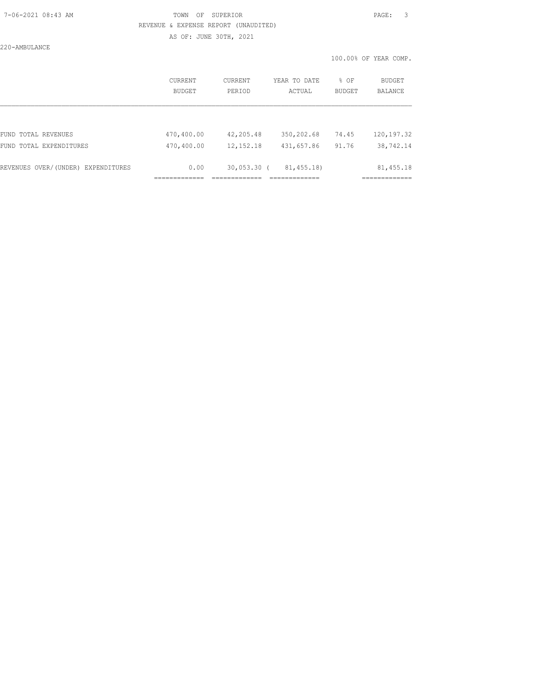### 7-06-2021 08:43 AM TOWN OF SUPERIOR PAGE: 3 REVENUE & EXPENSE REPORT (UNAUDITED) AS OF: JUNE 30TH, 2021

220-AMBULANCE

|                                    | CURRENT<br>BUDGET | CURRENT<br>PERIOD | YEAR TO DATE<br>ACTUAL | $8$ OF<br>BUDGET | BUDGET<br><b>BALANCE</b> |
|------------------------------------|-------------------|-------------------|------------------------|------------------|--------------------------|
|                                    |                   |                   |                        |                  |                          |
| FUND TOTAL REVENUES                | 470,400.00        | 42,205.48         | 350,202.68             | 74.45            | 120, 197.32              |
| FUND TOTAL EXPENDITURES            | 470,400.00        | 12, 152. 18       | 431,657.86             | 91.76            | 38,742.14                |
| REVENUES OVER/(UNDER) EXPENDITURES | 0.00              | $30,053.30$ (     | 81, 455.18)            |                  | 81, 455.18               |
|                                    |                   |                   |                        |                  |                          |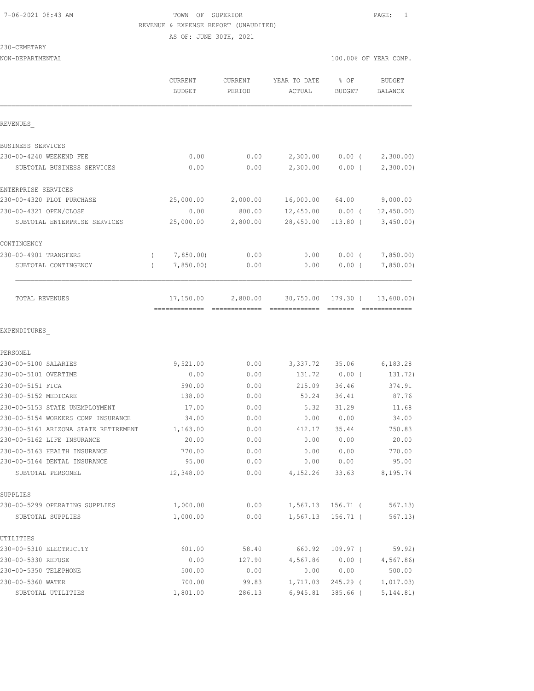AS OF: JUNE 30TH, 2021

230-CEMETARY

NON-DEPARTMENTAL 100.00% OF YEAR COMP.

|                                      |          | <b>CURRENT</b><br><b>BUDGET</b> | CURRENT<br>PERIOD | YEAR TO DATE<br>ACTUAL | % OF<br><b>BUDGET</b> | <b>BUDGET</b><br>BALANCE |
|--------------------------------------|----------|---------------------------------|-------------------|------------------------|-----------------------|--------------------------|
| REVENUES                             |          |                                 |                   |                        |                       |                          |
| BUSINESS SERVICES                    |          |                                 |                   |                        |                       |                          |
| 230-00-4240 WEEKEND FEE              |          | 0.00                            | 0.00              | 2,300.00               | $0.00$ (              | 2,300.00                 |
| SUBTOTAL BUSINESS SERVICES           |          | 0.00                            | 0.00              | 2,300.00               | 0.00(                 | 2,300.00)                |
| ENTERPRISE SERVICES                  |          |                                 |                   |                        |                       |                          |
| 230-00-4320 PLOT PURCHASE            |          | 25,000.00                       | 2,000.00          | 16,000.00 64.00        |                       | 9,000.00                 |
| 230-00-4321 OPEN/CLOSE               |          | 0.00                            | 800.00            | 12,450.00              | $0.00$ (              | 12,450.00                |
| SUBTOTAL ENTERPRISE SERVICES         |          | 25,000.00                       | 2,800.00          | 28,450.00              | $113.80$ (            | 3,450.00                 |
| CONTINGENCY                          |          |                                 |                   |                        |                       |                          |
| 230-00-4901 TRANSFERS                | $\left($ | 7,850.00                        | 0.00              | 0.00                   | $0.00$ (              | 7,850.00)                |
| SUBTOTAL CONTINGENCY                 | $\left($ | 7,850.00                        | 0.00              | 0.00                   | 0.00(                 | 7,850.00                 |
| TOTAL REVENUES                       |          | 17,150.00                       | 2,800.00          | 30,750.00 179.30 (     |                       | 13,600.00)               |
| EXPENDITURES                         |          |                                 |                   |                        |                       |                          |
| PERSONEL<br>230-00-5100 SALARIES     |          | 9,521.00                        | 0.00              | 3,337.72               | 35.06                 | 6,183.28                 |
| 230-00-5101 OVERTIME                 |          | 0.00                            | 0.00              | 131.72                 | $0.00$ (              | 131.72)                  |
| 230-00-5151 FICA                     |          | 590.00                          | 0.00              | 215.09                 | 36.46                 | 374.91                   |
| 230-00-5152 MEDICARE                 |          | 138.00                          | 0.00              | 50.24                  | 36.41                 | 87.76                    |
| 230-00-5153 STATE UNEMPLOYMENT       |          | 17.00                           | 0.00              | 5.32                   | 31.29                 | 11.68                    |
| 230-00-5154 WORKERS COMP INSURANCE   |          | 34.00                           | 0.00              | 0.00                   | 0.00                  | 34.00                    |
| 230-00-5161 ARIZONA STATE RETIREMENT |          | 1,163.00                        | 0.00              | 412.17                 | 35.44                 | 750.83                   |
| 230-00-5162 LIFE INSURANCE           |          | 20.00                           | 0.00              | 0.00                   | 0.00                  | 20.00                    |
| 230-00-5163 HEALTH INSURANCE         |          | 770.00                          | 0.00              | 0.00                   | 0.00                  | 770.00                   |
| 230-00-5164 DENTAL INSURANCE         |          | 95.00                           | 0.00              | 0.00                   | 0.00                  | 95.00                    |
| SUBTOTAL PERSONEL                    |          | 12,348.00                       | 0.00              | 4,152.26               | 33.63                 | 8,195.74                 |
| SUPPLIES                             |          |                                 |                   |                        |                       |                          |
| 230-00-5299 OPERATING SUPPLIES       |          | 1,000.00                        | 0.00              | 1,567.13               | 156.71 (              | 567.13)                  |
| SUBTOTAL SUPPLIES                    |          | 1,000.00                        | 0.00              | 1,567.13               | $156.71$ (            | 567.13)                  |
| UTILITIES                            |          |                                 |                   |                        |                       |                          |
| 230-00-5310 ELECTRICITY              |          | 601.00                          | 58.40             | 660.92                 | $109.97$ (            | 59.92)                   |
| 230-00-5330 REFUSE                   |          | 0.00                            | 127.90            | 4,567.86               | 0.00(                 | 4,567.86                 |
| 230-00-5350 TELEPHONE                |          | 500.00                          | 0.00              | 0.00                   | 0.00                  | 500.00                   |
| 230-00-5360 WATER                    |          | 700.00                          | 99.83             | 1,717.03               | 245.29 (              | 1,017.03)                |
| SUBTOTAL UTILITIES                   |          | 1,801.00                        | 286.13            | 6,945.81               | 385.66 (              | 5, 144.81)               |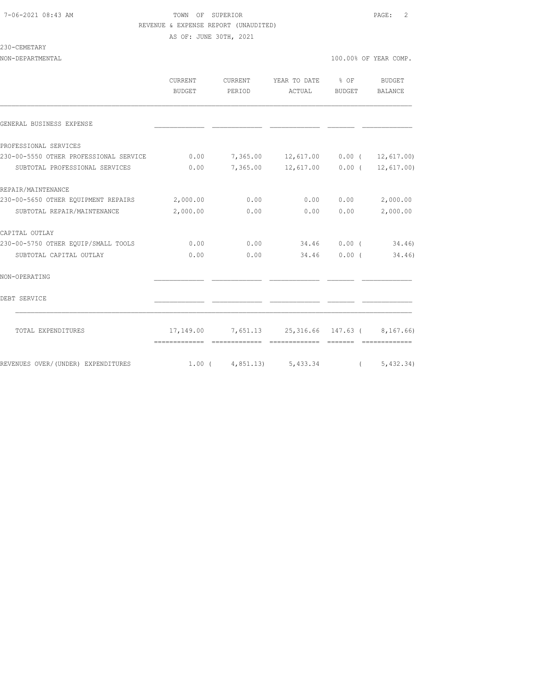AS OF: JUNE 30TH, 2021

### 230-CEMETARY

|                                              | <b>CURRENT</b><br>BUDGET | CURRENT<br>PERIOD | YEAR TO DATE % OF<br>ACTUAL                         | BUDGET | BUDGET<br><b>BALANCE</b>      |
|----------------------------------------------|--------------------------|-------------------|-----------------------------------------------------|--------|-------------------------------|
| GENERAL BUSINESS EXPENSE                     |                          |                   |                                                     |        |                               |
| PROFESSIONAL SERVICES                        |                          |                   |                                                     |        |                               |
| 230-00-5550 OTHER PROFESSIONAL SERVICE       | 0.00                     |                   | 7,365.00 12,617.00 0.00 ( 12,617.00)                |        |                               |
| SUBTOTAL PROFESSIONAL SERVICES               | 0.00                     | 7,365.00          |                                                     |        | $12,617.00$ 0.00 ( 12,617.00) |
| REPAIR/MAINTENANCE                           |                          |                   |                                                     |        |                               |
| 230-00-5650 OTHER EQUIPMENT REPAIRS 2,000.00 |                          | 0.00              | 0.00                                                | 0.00   | 2,000.00                      |
| SUBTOTAL REPAIR/MAINTENANCE                  | 2,000.00                 | 0.00              | 0.00                                                | 0.00   | 2,000.00                      |
| CAPITAL OUTLAY                               |                          |                   |                                                     |        |                               |
| 230-00-5750 OTHER EOUIP/SMALL TOOLS          | 0.00                     | 0.00              | 34.46 0.00 (34.46)                                  |        |                               |
| SUBTOTAL CAPITAL OUTLAY                      | 0.00                     | 0.00              | 34.46                                               | 0.00(  | 34.46)                        |
| NON-OPERATING                                |                          |                   |                                                     |        |                               |
| DEBT SERVICE                                 |                          |                   |                                                     |        |                               |
| TOTAL EXPENDITURES                           |                          |                   | 17, 149.00 7, 651.13 25, 316.66 147.63 ( 8, 167.66) |        |                               |
| REVENUES OVER/(UNDER) EXPENDITURES           | $1.00$ (                 | 4,851.13)         | 5,433.34                                            |        | 5,432.34)                     |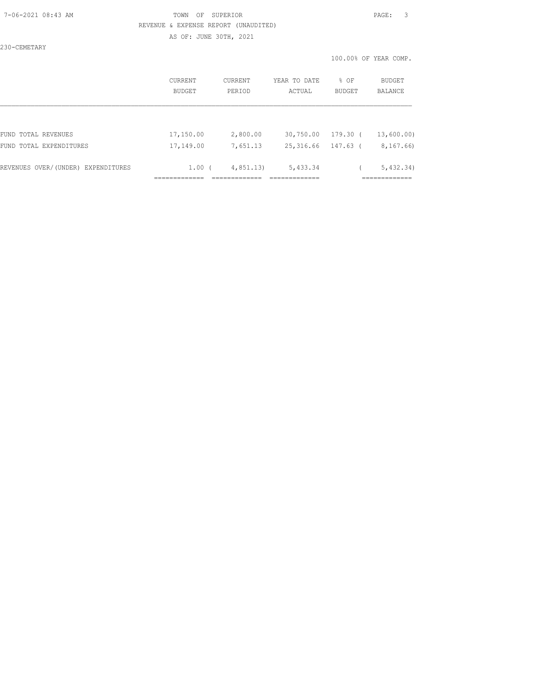AS OF: JUNE 30TH, 2021

230-CEMETARY

| BUDGET    | PERIOD    | ACTUAL    | BUDGET   | <b>BUDGET</b><br>BALANCE                                       |
|-----------|-----------|-----------|----------|----------------------------------------------------------------|
|           |           |           |          |                                                                |
| 17,150.00 | 2,800.00  |           | 179.30 ( | 13,600.00)                                                     |
| 17,149.00 | 7,651.13  | 25,316.66 | 147.63 ( | 8,167.66)                                                      |
|           | 4,851,13) | 5,433.34  |          | 5,432,34)                                                      |
|           |           | $1.00$ (  |          | % OF<br><b>CURRENT</b><br>CURRENT<br>YEAR TO DATE<br>30,750.00 |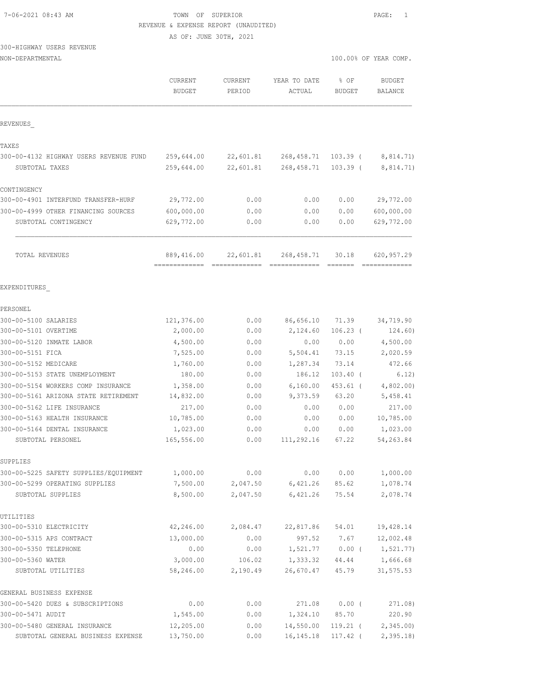| 7-06-2021 08:43 AM |  |
|--------------------|--|
|                    |  |

### TOWN OF SUPERIOR **PAGE:** 1 REVENUE & EXPENSE REPORT (UNAUDITED)

AS OF: JUNE 30TH, 2021

# 300-HIGHWAY USERS REVENUE

| NON-DEPARTMENTAL                                         |                                 |                          |                           |                          | 100.00% OF YEAR COMP.           |
|----------------------------------------------------------|---------------------------------|--------------------------|---------------------------|--------------------------|---------------------------------|
|                                                          | <b>CURRENT</b><br><b>BUDGET</b> | <b>CURRENT</b><br>PERIOD | YEAR TO DATE<br>ACTUAL    | % OF<br><b>BUDGET</b>    | <b>BUDGET</b><br><b>BALANCE</b> |
| REVENUES                                                 |                                 |                          |                           |                          |                                 |
| TAXES                                                    |                                 |                          |                           |                          |                                 |
| 300-00-4132 HIGHWAY USERS REVENUE FUND<br>SUBTOTAL TAXES | 259,644.00<br>259,644.00        | 22,601.81<br>22,601.81   | 268, 458.71<br>268,458.71 | $103.39$ (<br>$103.39$ ( | 8,814.71)<br>8,814.71)          |
| CONTINGENCY                                              |                                 |                          |                           |                          |                                 |
| 300-00-4901 INTERFUND TRANSFER-HURF                      | 29,772.00                       | 0.00                     | 0.00                      | 0.00                     | 29,772.00                       |
| 300-00-4999 OTHER FINANCING SOURCES                      | 600,000.00                      | 0.00                     | 0.00                      | 0.00                     | 600,000.00                      |
| SUBTOTAL CONTINGENCY                                     | 629,772.00                      | 0.00                     | 0.00                      | 0.00                     | 629,772.00                      |
| TOTAL REVENUES                                           | 889,416.00<br>-------------     | 22,601.81                | 268, 458.71               | 30.18                    | 620,957.29                      |
| EXPENDITURES                                             |                                 |                          |                           |                          |                                 |
| PERSONEL                                                 |                                 |                          |                           |                          |                                 |
| 300-00-5100 SALARIES                                     | 121,376.00                      | 0.00                     | 86,656.10                 | 71.39                    | 34,719.90                       |
| 300-00-5101 OVERTIME                                     | 2,000.00                        | 0.00                     | 2,124.60                  | $106.23$ (               | 124.60)                         |
| 300-00-5120 INMATE LABOR                                 | 4,500.00                        | 0.00                     | 0.00                      | 0.00                     | 4,500.00                        |
| 300-00-5151 FICA                                         | 7,525.00                        | 0.00                     | 5,504.41                  | 73.15                    | 2,020.59                        |
| 300-00-5152 MEDICARE                                     | 1,760.00                        | 0.00                     | 1,287.34                  | 73.14                    | 472.66                          |
| 300-00-5153 STATE UNEMPLOYMENT                           | 180.00                          | 0.00                     | 186.12                    | $103.40$ (               | 6.12)                           |
| 300-00-5154 WORKERS COMP INSURANCE                       | 1,358.00                        | 0.00                     | 6, 160.00                 | 453.61 (                 | 4,802.00                        |
| 300-00-5161 ARIZONA STATE RETIREMENT                     | 14,832.00                       | 0.00                     | 9,373.59                  | 63.20                    | 5,458.41                        |
| 300-00-5162 LIFE INSURANCE                               | 217.00                          | 0.00                     | 0.00                      | 0.00                     | 217.00                          |
| 300-00-5163 HEALTH INSURANCE                             | 10,785.00                       | 0.00                     | 0.00                      | 0.00                     | 10,785.00                       |
| 300-00-5164 DENTAL INSURANCE<br>SUBTOTAL PERSONEL        | 1,023.00<br>165,556.00          | 0.00<br>0.00             | 0.00<br>111,292.16        | 0.00<br>67.22            | 1,023.00<br>54,263.84           |
| SUPPLIES                                                 |                                 |                          |                           |                          |                                 |
| 300-00-5225 SAFETY SUPPLIES/EQUIPMENT                    | 1,000.00                        | 0.00                     | 0.00                      | 0.00                     | 1,000.00                        |
| 300-00-5299 OPERATING SUPPLIES                           | 7,500.00                        | 2,047.50                 | 6,421.26                  | 85.62                    | 1,078.74                        |
| SUBTOTAL SUPPLIES                                        | 8,500.00                        | 2,047.50                 | 6,421.26                  | 75.54                    | 2,078.74                        |
| UTILITIES                                                |                                 |                          |                           |                          |                                 |
| 300-00-5310 ELECTRICITY                                  | 42,246.00                       | 2,084.47                 | 22,817.86                 | 54.01                    | 19,428.14                       |
| 300-00-5315 APS CONTRACT                                 | 13,000.00                       | 0.00                     | 997.52                    | 7.67                     | 12,002.48                       |
| 300-00-5350 TELEPHONE                                    | 0.00                            | 0.00                     | 1,521.77                  | $0.00$ (                 | 1, 521.77)                      |
| 300-00-5360 WATER<br>SUBTOTAL UTILITIES                  | 3,000.00<br>58,246.00           | 106.02<br>2,190.49       | 1,333.32<br>26,670.47     | 44.44<br>45.79           | 1,666.68<br>31,575.53           |
| GENERAL BUSINESS EXPENSE                                 |                                 |                          |                           |                          |                                 |
| 300-00-5420 DUES & SUBSCRIPTIONS                         | 0.00                            | 0.00                     | 271.08                    | $0.00$ (                 | 271.08)                         |
| 300-00-5471 AUDIT                                        | 1,545.00                        | 0.00                     | 1,324.10                  | 85.70                    | 220.90                          |
| 300-00-5480 GENERAL INSURANCE                            | 12,205.00                       | 0.00                     | 14,550.00                 | $119.21$ (               | 2,345.00                        |
| SUBTOTAL GENERAL BUSINESS EXPENSE                        | 13,750.00                       | 0.00                     | 16, 145. 18               | $117.42$ (               | 2, 395.18                       |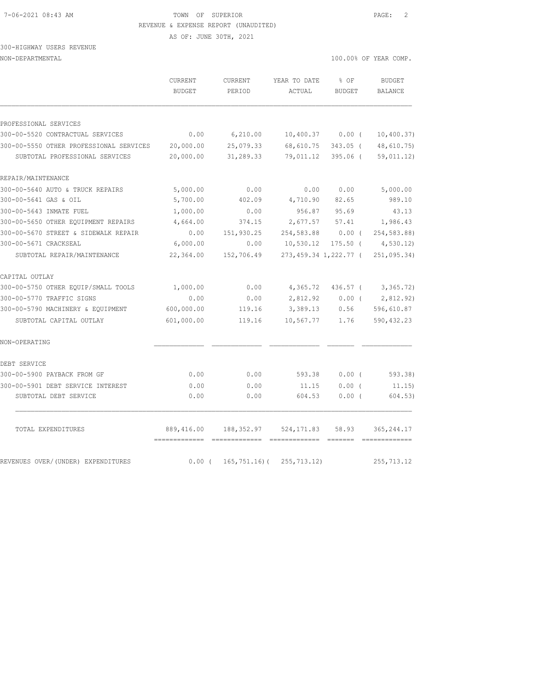AS OF: JUNE 30TH, 2021

# 300-HIGHWAY USERS REVENUE

NON-DEPARTMENTAL 100.00% OF YEAR COMP.

|                                         | CURRENT<br><b>BUDGET</b>    | CURRENT<br>PERIOD | YEAR TO DATE<br>ACTUAL | % OF<br><b>BUDGET</b> | <b>BUDGET</b><br>BALANCE |
|-----------------------------------------|-----------------------------|-------------------|------------------------|-----------------------|--------------------------|
| PROFESSIONAL SERVICES                   |                             |                   |                        |                       |                          |
| 300-00-5520 CONTRACTUAL SERVICES        | 0.00                        | 6,210.00          | 10,400.37              | 0.00(                 | 10, 400.37)              |
| 300-00-5550 OTHER PROFESSIONAL SERVICES | 20,000.00                   | 25,079.33         | 68,610.75              | $343.05$ (            | 48,610.75)               |
| SUBTOTAL PROFESSIONAL SERVICES          | 20,000.00                   | 31,289.33         | 79,011.12              | $395.06$ (            | 59,011.12)               |
| REPAIR/MAINTENANCE                      |                             |                   |                        |                       |                          |
| 300-00-5640 AUTO & TRUCK REPAIRS        | 5,000.00                    | 0.00              | 0.00                   | 0.00                  | 5,000.00                 |
| 300-00-5641 GAS & OIL                   | 5,700.00                    | 402.09            | 4,710.90               | 82.65                 | 989.10                   |
| 300-00-5643 INMATE FUEL                 | 1,000.00                    | 0.00              | 956.87                 | 95.69                 | 43.13                    |
| 300-00-5650 OTHER EQUIPMENT REPAIRS     | 4,664.00                    | 374.15            | 2,677.57               | 57.41                 | 1,986.43                 |
| 300-00-5670 STREET & SIDEWALK REPAIR    | 0.00                        | 151,930.25        | 254,583.88             | $0.00$ (              | 254,583.88)              |
| 300-00-5671 CRACKSEAL                   | 6,000.00                    | 0.00              | 10,530.12              | $175.50$ (            | 4,530.12                 |
| SUBTOTAL REPAIR/MAINTENANCE             | 22,364.00                   | 152,706.49        |                        | 273,459.34 1,222.77 ( | 251,095.34)              |
| CAPITAL OUTLAY                          |                             |                   |                        |                       |                          |
| 300-00-5750 OTHER EQUIP/SMALL TOOLS     | 1,000.00                    | 0.00              | 4,365.72               | 436.57 (              | 3,365.72)                |
| 300-00-5770 TRAFFIC SIGNS               | 0.00                        | 0.00              | 2,812.92               | $0.00$ (              | 2,812.92)                |
| 300-00-5790 MACHINERY & EOUIPMENT       | 600,000.00                  | 119.16            | 3,389.13               | 0.56                  | 596,610.87               |
| SUBTOTAL CAPITAL OUTLAY                 | 601,000.00                  | 119.16            | 10,567.77              | 1.76                  | 590, 432.23              |
| NON-OPERATING                           |                             |                   |                        |                       |                          |
| DEBT SERVICE                            |                             |                   |                        |                       |                          |
| 300-00-5900 PAYBACK FROM GF             | 0.00                        | 0.00              | 593.38                 | 0.00(                 | 593.38)                  |
| 300-00-5901 DEBT SERVICE INTEREST       | 0.00                        | 0.00              | 11.15                  | $0.00$ (              | 11.15)                   |
| SUBTOTAL DEBT SERVICE                   | 0.00                        | 0.00              | 604.53                 | 0.00(                 | 604.53)                  |
| TOTAL EXPENDITURES                      | 889,416.00<br>------------- | 188,352.97        | 524, 171.83            | 58.93                 | 365, 244.17              |
| REVENUES OVER/(UNDER) EXPENDITURES      | 0.00(                       | $165, 751.16$ (   | 255,713.12)            |                       | 255, 713.12              |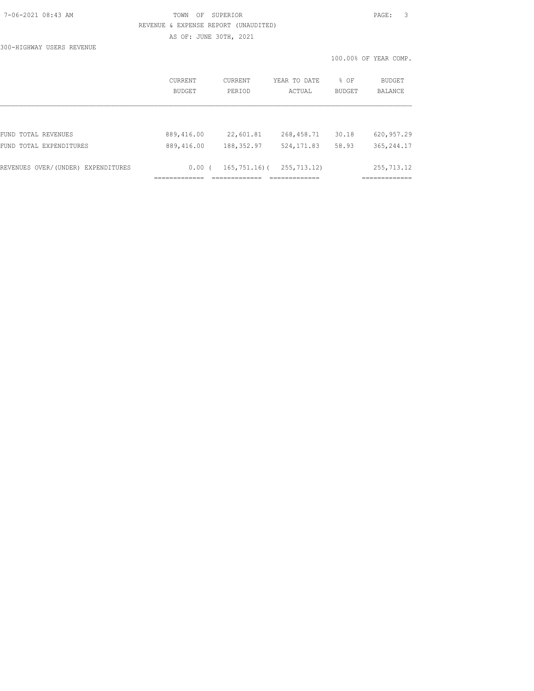# 7-06-2021 08:43 AM TOWN OF SUPERIOR PAGE: 3 REVENUE & EXPENSE REPORT (UNAUDITED) AS OF: JUNE 30TH, 2021

300-HIGHWAY USERS REVENUE

|                                    |                          |                   |                        |                | 100.00% OF YEAR COMP. |
|------------------------------------|--------------------------|-------------------|------------------------|----------------|-----------------------|
|                                    | <b>CURRENT</b><br>BUDGET | CURRENT<br>PERIOD | YEAR TO DATE<br>ACTUAL | % OF<br>BUDGET | BUDGET<br>BALANCE     |
|                                    |                          |                   |                        |                |                       |
| FUND TOTAL REVENUES                | 889,416.00               | 22,601.81         | 268,458.71             | 30.18          | 620, 957.29           |
| FUND TOTAL EXPENDITURES            | 889,416.00               | 188, 352.97       | 524, 171.83            | 58.93          | 365, 244.17           |
| REVENUES OVER/(UNDER) EXPENDITURES | $0.00$ (                 | $165, 751.16$ (   | 255, 713.12)           |                | 255,713.12            |
|                                    |                          | __________        | --------------         |                | ------------          |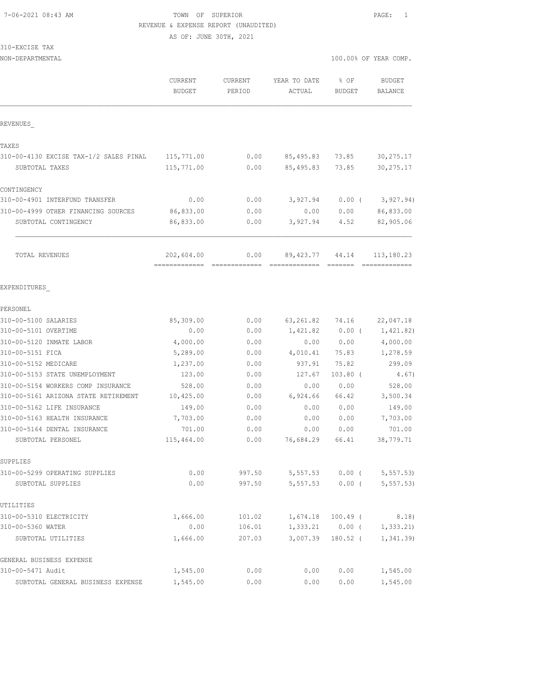AS OF: JUNE 30TH, 2021

|  | 310-EXCISE | TAX |
|--|------------|-----|
|  |            |     |

| NON-DEPARTMENTAL                        |                                 |                          |                        | 100.00% OF YEAR COMP.         |                             |  |
|-----------------------------------------|---------------------------------|--------------------------|------------------------|-------------------------------|-----------------------------|--|
|                                         | <b>CURRENT</b><br><b>BUDGET</b> | <b>CURRENT</b><br>PERIOD | YEAR TO DATE<br>ACTUAL | % OF<br><b>BUDGET</b>         | <b>BUDGET</b><br>BALANCE    |  |
| REVENUES                                |                                 |                          |                        |                               |                             |  |
| TAXES                                   |                                 |                          |                        |                               |                             |  |
| 310-00-4130 EXCISE TAX-1/2 SALES PINAL  | 115,771.00                      | 0.00                     | 85,495.83              | 73.85                         | 30, 275.17                  |  |
| SUBTOTAL TAXES                          | 115,771.00                      | 0.00                     | 85,495.83              | 73.85                         | 30, 275.17                  |  |
| CONTINGENCY                             |                                 |                          |                        |                               |                             |  |
| 310-00-4901 INTERFUND TRANSFER          | 0.00                            | 0.00                     | 3,927.94               | $0.00$ (                      | 3,927.94)                   |  |
| 310-00-4999 OTHER FINANCING SOURCES     | 86,833.00                       | 0.00                     | 0.00                   | 0.00                          | 86,833.00                   |  |
| SUBTOTAL CONTINGENCY                    | 86,833.00                       | 0.00                     | 3,927.94               | 4.52                          | 82,905.06                   |  |
| TOTAL REVENUES                          | 202,604.00<br>-------------     | 0.00                     | 89,423.77              | 44.14                         | 113,180.23<br>============= |  |
| EXPENDITURES                            |                                 |                          |                        |                               |                             |  |
| PERSONEL                                |                                 |                          |                        |                               |                             |  |
| 310-00-5100 SALARIES                    | 85,309.00                       | 0.00                     | 63,261.82              | 74.16                         | 22,047.18                   |  |
| 310-00-5101 OVERTIME                    | 0.00                            | 0.00                     | 1,421.82               | $0.00$ (                      | 1,421.82)                   |  |
| 310-00-5120 INMATE LABOR                | 4,000.00                        | 0.00                     | 0.00                   | 0.00                          | 4,000.00                    |  |
| 310-00-5151 FICA                        | 5,289.00                        | 0.00                     | 4,010.41               | 75.83                         | 1,278.59                    |  |
| 310-00-5152 MEDICARE                    | 1,237.00                        | 0.00                     | 937.91                 | 75.82                         | 299.09                      |  |
| 310-00-5153 STATE UNEMPLOYMENT          | 123.00                          | 0.00                     | 127.67                 | $103.80$ (                    | 4.67)                       |  |
| 310-00-5154 WORKERS COMP INSURANCE      | 528.00                          | 0.00                     | 0.00                   | 0.00                          | 528.00                      |  |
| 310-00-5161 ARIZONA STATE RETIREMENT    | 10,425.00                       | 0.00                     | 6,924.66               | 66.42                         | 3,500.34                    |  |
| 310-00-5162 LIFE INSURANCE              | 149.00                          | 0.00                     | 0.00                   | 0.00                          | 149.00                      |  |
| 310-00-5163 HEALTH INSURANCE            | 7,703.00                        | 0.00                     | 0.00                   | 0.00                          | 7,703.00                    |  |
| 310-00-5164 DENTAL INSURANCE            | 701.00                          | 0.00                     | 0.00                   | 0.00                          | 701.00                      |  |
| SUBTOTAL PERSONEL                       | 115,464.00                      | 0.00                     | 76,684.29              | 66.41                         | 38,779.71                   |  |
| SUPPLIES                                |                                 |                          |                        |                               |                             |  |
| 310-00-5299 OPERATING SUPPLIES          | 0.00                            | 997.50                   | 5,557.53               | $0.00$ (                      | 5, 557.53                   |  |
| SUBTOTAL SUPPLIES                       | 0.00                            | 997.50                   | 5,557.53               | $0.00$ (                      | 5, 557.53                   |  |
| UTILITIES                               |                                 |                          |                        |                               |                             |  |
| 310-00-5310 ELECTRICITY                 | 1,666.00                        | 101.02                   | 1,674.18               | 100.49 (                      | 8.18)                       |  |
| 310-00-5360 WATER<br>SUBTOTAL UTILITIES | 0.00<br>1,666.00                | 106.01<br>207.03         | 3,007.39               | $1,333.21$ 0.00 (<br>180.52 ( | 1, 333.21<br>1,341.39       |  |
| GENERAL BUSINESS EXPENSE                |                                 |                          |                        |                               |                             |  |
| 310-00-5471 Audit                       | 1,545.00                        | 0.00                     | 0.00                   | 0.00                          | 1,545.00                    |  |
| SUBTOTAL GENERAL BUSINESS EXPENSE       | 1,545.00                        | 0.00                     | 0.00                   | 0.00                          | 1,545.00                    |  |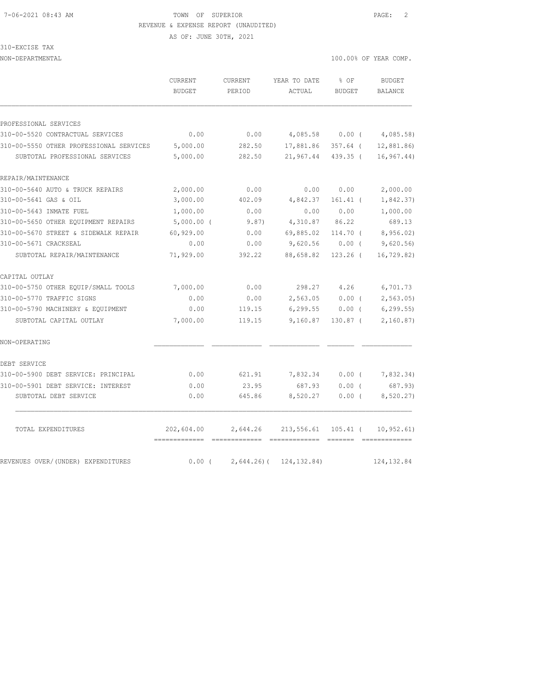AS OF: JUNE 30TH, 2021

310-EXCISE TAX

| NON-DEPARTMENTAL                        |                          |                          |                        |                       | 100.00% OF YEAR COMP. |
|-----------------------------------------|--------------------------|--------------------------|------------------------|-----------------------|-----------------------|
|                                         | <b>CURRENT</b><br>BUDGET | <b>CURRENT</b><br>PERIOD | YEAR TO DATE<br>ACTUAL | % OF<br><b>BUDGET</b> | BUDGET<br>BALANCE     |
|                                         |                          |                          |                        |                       |                       |
| PROFESSIONAL SERVICES                   |                          |                          |                        |                       |                       |
| 310-00-5520 CONTRACTUAL SERVICES        | 0.00                     | 0.00                     | 4,085.58               | $0.00$ (              | 4,085.58)             |
| 310-00-5550 OTHER PROFESSIONAL SERVICES | 5,000.00                 | 282.50                   | 17,881.86              | $357.64$ (            | 12,881.86)            |
| SUBTOTAL PROFESSIONAL SERVICES          | 5,000.00                 | 282.50                   | 21,967.44              | $439.35$ (            | 16, 967.44)           |
| REPAIR/MAINTENANCE                      |                          |                          |                        |                       |                       |
| 310-00-5640 AUTO & TRUCK REPAIRS        | 2,000.00                 | 0.00                     | 0.00                   | 0.00                  | 2,000.00              |
| 310-00-5641 GAS & OIL                   | 3,000.00                 | 402.09                   | 4,842.37               | $161.41$ (            | 1,842.37)             |
| 310-00-5643 INMATE FUEL                 | 1,000.00                 | 0.00                     | 0.00                   | 0.00                  | 1,000.00              |
| 310-00-5650 OTHER EQUIPMENT REPAIRS     | $5,000.00$ (             | 9.87)                    | 4,310.87               | 86.22                 | 689.13                |
| 310-00-5670 STREET & SIDEWALK REPAIR    | 60,929.00                | 0.00                     | 69,885.02              | 114.70 (              | 8,956.02)             |
| 310-00-5671 CRACKSEAL                   | 0.00                     | 0.00                     | 9,620.56               | $0.00$ (              | 9,620.56              |
| SUBTOTAL REPAIR/MAINTENANCE             | 71,929.00                | 392.22                   | 88,658.82              | $123.26$ (            | 16, 729.82)           |
| CAPITAL OUTLAY                          |                          |                          |                        |                       |                       |
| 310-00-5750 OTHER EQUIP/SMALL TOOLS     | 7,000.00                 | 0.00                     | 298.27                 | 4.26                  | 6,701.73              |
| 310-00-5770 TRAFFIC SIGNS               | 0.00                     | 0.00                     | 2,563.05               | 0.00(                 | 2, 563.05             |
| 310-00-5790 MACHINERY & EQUIPMENT       | 0.00                     | 119.15                   | 6, 299.55              | $0.00$ (              | 6, 299.55             |
| SUBTOTAL CAPITAL OUTLAY                 | 7,000.00                 | 119.15                   | 9,160.87               | $130.87$ (            | 2,160.87)             |
| NON-OPERATING                           |                          |                          |                        |                       |                       |
| DEBT SERVICE                            |                          |                          |                        |                       |                       |
| 310-00-5900 DEBT SERVICE: PRINCIPAL     | 0.00                     | 621.91                   | 7,832.34               | $0.00$ (              | 7,832.34)             |
| 310-00-5901 DEBT SERVICE: INTEREST      | 0.00                     | 23.95                    | 687.93                 | 0.00(                 | 687.93)               |
| SUBTOTAL DEBT SERVICE                   | 0.00                     | 645.86                   | 8,520.27               | 0.00(                 | 8,520.27)             |
| TOTAL EXPENDITURES                      | 202,604.00               | 2,644.26                 | 213,556.61             | 105.41 (              | 10, 952.61)           |
| REVENUES OVER/(UNDER) EXPENDITURES      | -------------<br>0.00(   | $2,644.26$ ) (           | 124, 132.84)           |                       | 124, 132.84           |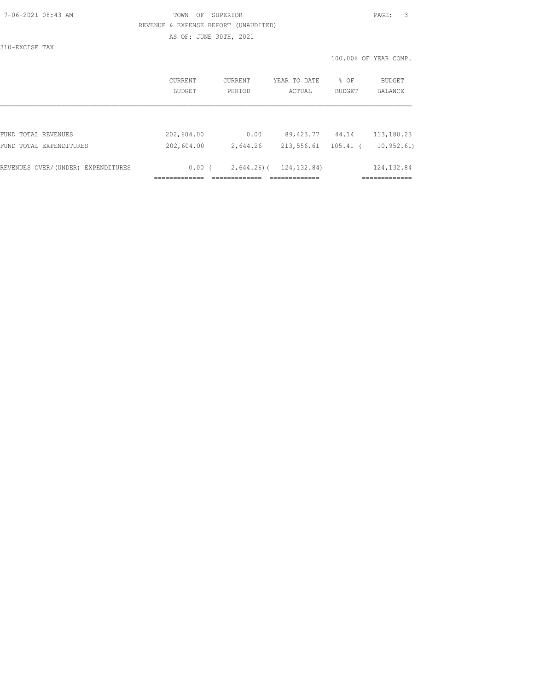AS OF: JUNE 30TH, 2021

310-EXCISE TAX

|                                    | CURRENT<br>BUDGET | CURRENT<br>PERIOD | YEAR TO DATE<br>ACTUAL | % OF<br><b>BUDGET</b> | BUDGET<br><b>BALANCE</b> |
|------------------------------------|-------------------|-------------------|------------------------|-----------------------|--------------------------|
|                                    |                   |                   |                        |                       |                          |
| FUND TOTAL REVENUES                | 202,604.00        | 0.00              | 89,423.77              | 44.14                 | 113,180.23               |
| FUND TOTAL EXPENDITURES            | 202,604.00        | 2,644.26          | 213,556.61             | $105.41$ (            | 10, 952, 61)             |
| REVENUES OVER/(UNDER) EXPENDITURES | 0.00(             | $2,644.26$ ) (    | 124, 132.84)           |                       | 124, 132.84              |
|                                    |                   |                   |                        |                       |                          |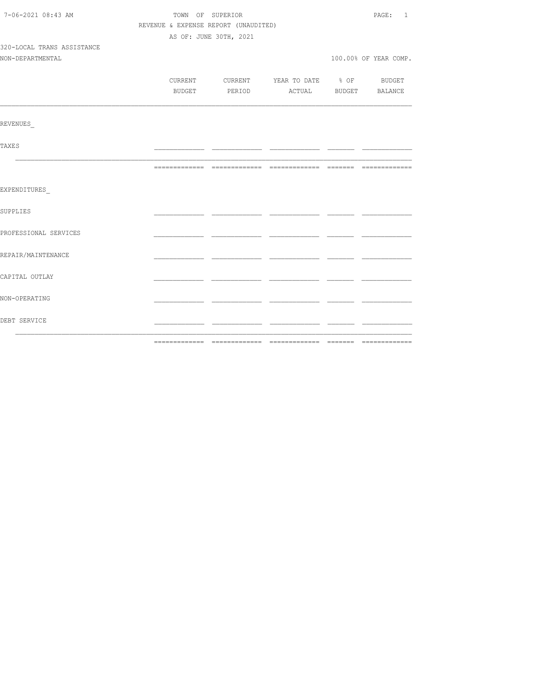| 7-06-2021 08:43 AM         | TOWN OF SUPERIOR                     | PAGE: 1                |                                          |  |                       |
|----------------------------|--------------------------------------|------------------------|------------------------------------------|--|-----------------------|
|                            | REVENUE & EXPENSE REPORT (UNAUDITED) |                        |                                          |  |                       |
|                            |                                      | AS OF: JUNE 30TH, 2021 |                                          |  |                       |
| 320-LOCAL TRANS ASSISTANCE |                                      |                        |                                          |  |                       |
| NON-DEPARTMENTAL           |                                      |                        |                                          |  | 100.00% OF YEAR COMP. |
|                            |                                      |                        |                                          |  |                       |
|                            |                                      |                        | CURRENT CURRENT YEAR TO DATE % OF BUDGET |  |                       |
|                            |                                      |                        | BUDGET PERIOD ACTUAL BUDGET BALANCE      |  |                       |
|                            |                                      |                        |                                          |  |                       |
| REVENUES                   |                                      |                        |                                          |  |                       |
| <b>TAXES</b>               |                                      |                        |                                          |  |                       |
|                            |                                      |                        |                                          |  |                       |
| EXPENDITURES               |                                      |                        |                                          |  |                       |
| SUPPLIES                   |                                      |                        |                                          |  |                       |
| PROFESSIONAL SERVICES      |                                      |                        |                                          |  |                       |
| REPAIR/MAINTENANCE         |                                      |                        |                                          |  |                       |
| CAPITAL OUTLAY             |                                      |                        |                                          |  |                       |
| NON-OPERATING              |                                      |                        |                                          |  |                       |
| DEBT SERVICE               |                                      |                        |                                          |  |                       |
|                            |                                      |                        |                                          |  |                       |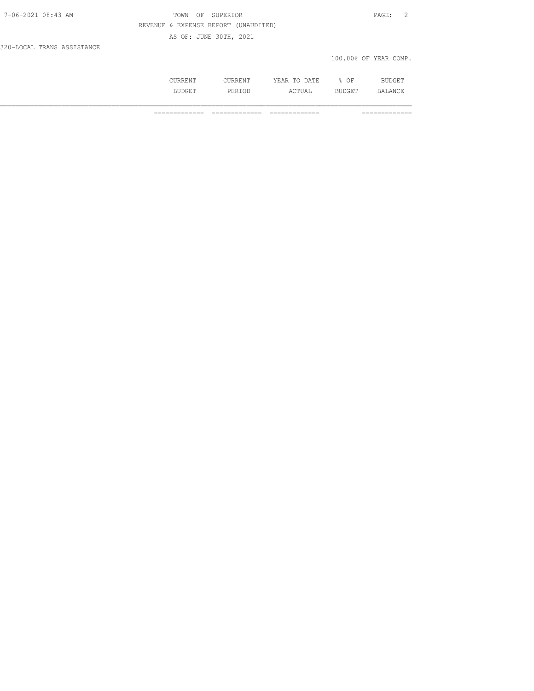| 7-06-2021 08:43 AM         | TOWN OF SUPERIOR                     | PAGE: 2               |
|----------------------------|--------------------------------------|-----------------------|
|                            | REVENUE & EXPENSE REPORT (UNAUDITED) |                       |
|                            | AS OF: JUNE 30TH, 2021               |                       |
| 320-LOCAL TRANS ASSISTANCE |                                      |                       |
|                            |                                      | 100.00% OF YEAR COMP. |

| \*\ <del>`</del> `** | 23. mm<br>-----<br>-----<br><b>Contract Contract Contract Contract</b> | ΟF<br>∽.<br>- | RT.<br>--- |
|----------------------|------------------------------------------------------------------------|---------------|------------|
| ם כו                 | .                                                                      |               | N          |

============= ============= ============= =============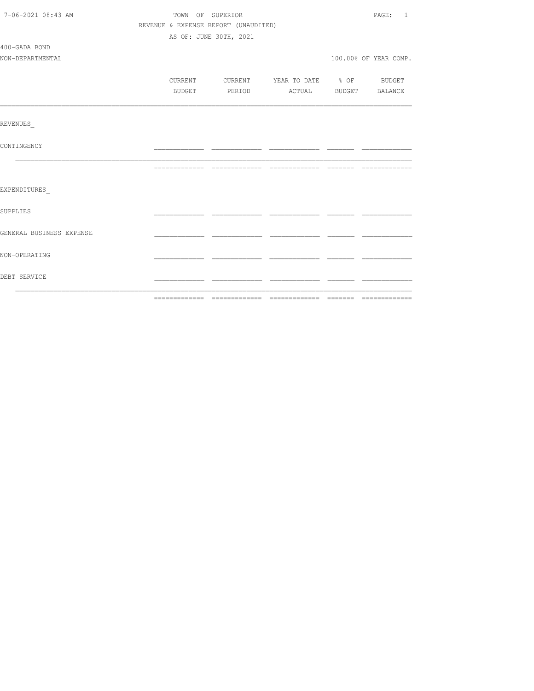| 7-06-2021 08:43 AM       | TOWN OF SUPERIOR |        |                                      |                          |  | PAGE: 1               |
|--------------------------|------------------|--------|--------------------------------------|--------------------------|--|-----------------------|
|                          |                  |        | REVENUE & EXPENSE REPORT (UNAUDITED) |                          |  |                       |
|                          |                  |        | AS OF: JUNE 30TH, 2021               |                          |  |                       |
| 400-GADA BOND            |                  |        |                                      |                          |  |                       |
| NON-DEPARTMENTAL         |                  |        |                                      |                          |  | 100.00% OF YEAR COMP. |
|                          |                  |        |                                      |                          |  |                       |
|                          | CURRENT          |        | CURRENT                              | YEAR TO DATE % OF BUDGET |  |                       |
|                          |                  | BUDGET | PERIOD                               |                          |  | ACTUAL BUDGET BALANCE |
|                          |                  |        |                                      |                          |  |                       |
| REVENUES                 |                  |        |                                      |                          |  |                       |
| CONTINGENCY              |                  |        |                                      |                          |  |                       |
|                          |                  |        |                                      |                          |  |                       |
| EXPENDITURES             |                  |        |                                      |                          |  |                       |
| <b>SUPPLIES</b>          |                  |        |                                      |                          |  |                       |
| GENERAL BUSINESS EXPENSE |                  |        |                                      |                          |  |                       |
| NON-OPERATING            |                  |        |                                      |                          |  |                       |
| DEBT SERVICE             |                  |        |                                      |                          |  |                       |
|                          |                  |        |                                      |                          |  |                       |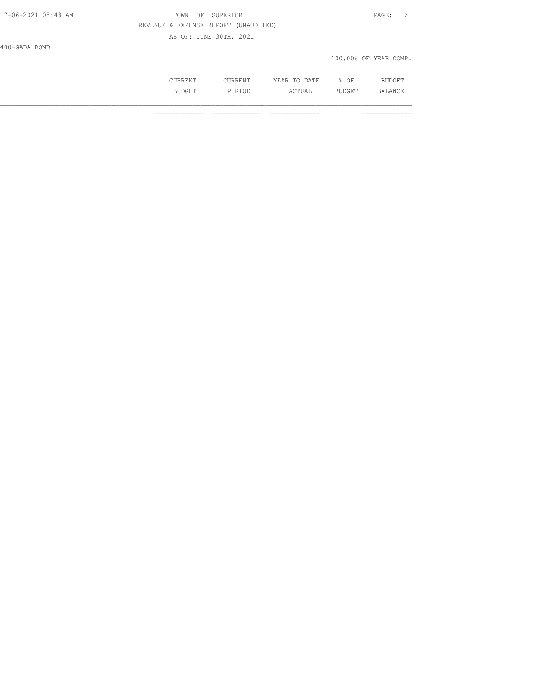# TOWN OF SUPERIOR **PAGE:** 2 REVENUE & EXPENSE REPORT (UNAUDITED) AS OF: JUNE 30TH, 2021

400-GADA BOND

#### 100.00% OF YEAR COMP.

|   | , mm | ΟF<br>$\sim$ |                              |
|---|------|--------------|------------------------------|
| . | سدين | ---          | → NIC 1<br>-∠ /<br><u>UI</u> |

============= ============= ============= =============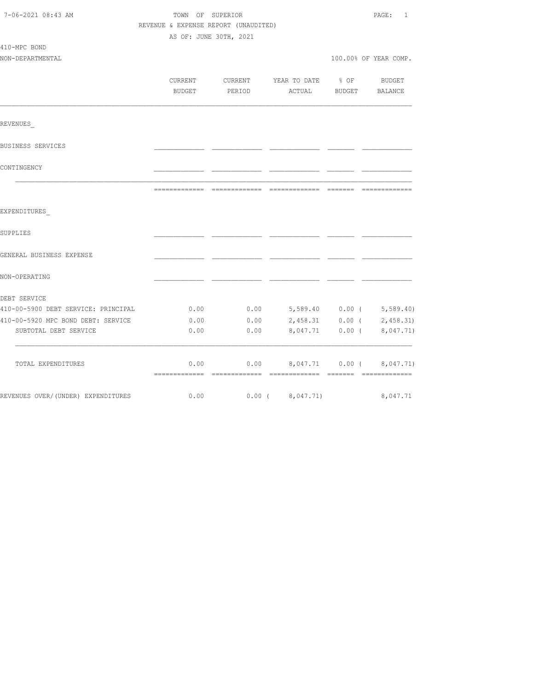| 7-06-2021 08:43 AM                  | TOWN OF SUPERIOR<br>REVENUE & EXPENSE REPORT (UNAUDITED) | 1<br>PAGE: |                          |          |                       |
|-------------------------------------|----------------------------------------------------------|------------|--------------------------|----------|-----------------------|
|                                     | AS OF: JUNE 30TH, 2021                                   |            |                          |          |                       |
| 410-MPC BOND                        |                                                          |            |                          |          |                       |
| NON-DEPARTMENTAL                    |                                                          |            |                          |          | 100.00% OF YEAR COMP. |
|                                     |                                                          |            |                          |          |                       |
|                                     | CURRENT                                                  | CURRENT    | YEAR TO DATE             | $8$ OF   | BUDGET                |
|                                     | BUDGET                                                   | PERIOD     | ACTUAL                   | BUDGET   | BALANCE               |
| REVENUES                            |                                                          |            |                          |          |                       |
| BUSINESS SERVICES                   |                                                          |            |                          |          |                       |
| CONTINGENCY                         |                                                          |            |                          |          |                       |
|                                     |                                                          |            |                          |          | -------------         |
| EXPENDITURES                        |                                                          |            |                          |          |                       |
| SUPPLIES                            |                                                          |            |                          |          |                       |
| GENERAL BUSINESS EXPENSE            |                                                          |            |                          |          |                       |
| NON-OPERATING                       |                                                          |            |                          |          |                       |
| DEBT SERVICE                        |                                                          |            |                          |          |                       |
| 410-00-5900 DEBT SERVICE: PRINCIPAL | 0.00                                                     | 0.00       | 5,589.40 0.00 (5,589.40) |          |                       |
| 410-00-5920 MPC BOND DEBT: SERVICE  | 0.00                                                     | 0.00       | 2,458.31                 |          | $0.00$ ( $2,458.31$ ) |
| SUBTOTAL DEBT SERVICE               | 0.00                                                     | 0.00       | 8,047.71                 | $0.00$ ( | 8,047.71)             |
| TOTAL EXPENDITURES                  | 0.00                                                     | 0.00       | 8,047.71                 | $0.00$ ( | 8,047.71)             |
| REVENUES OVER/ (UNDER) EXPENDITURES | 0.00                                                     |            | $0.00$ ( $8,047.71$ )    |          | 8,047.71              |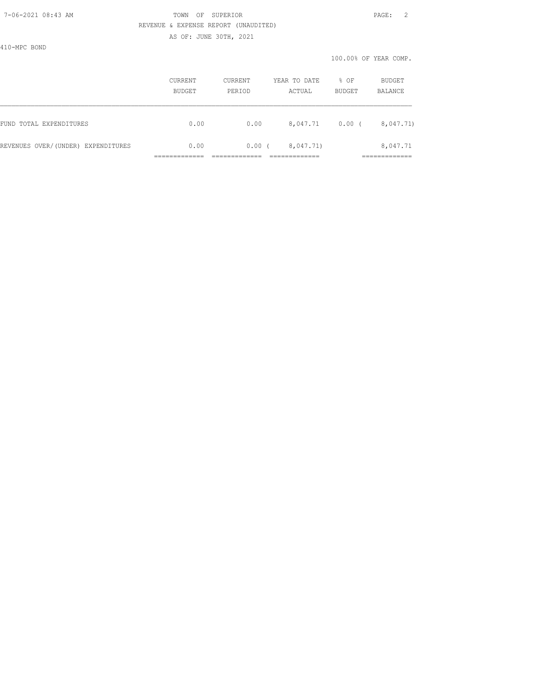AS OF: JUNE 30TH, 2021

410-MPC BOND

|                                    | <b>CURRENT</b><br>BUDGET | <b>CURRENT</b><br>PERIOD | YEAR TO DATE<br>ACTUAL | % OF<br>BUDGET | BUDGET<br>BALANCE        |
|------------------------------------|--------------------------|--------------------------|------------------------|----------------|--------------------------|
| FUND TOTAL EXPENDITURES            | 0.00                     | 0.00                     | 8,047.71               | 0.00(          | 8,047.71)                |
| REVENUES OVER/(UNDER) EXPENDITURES | 0.00                     | 0.00(                    | 8,047.71)              |                | 8,047.71<br>____________ |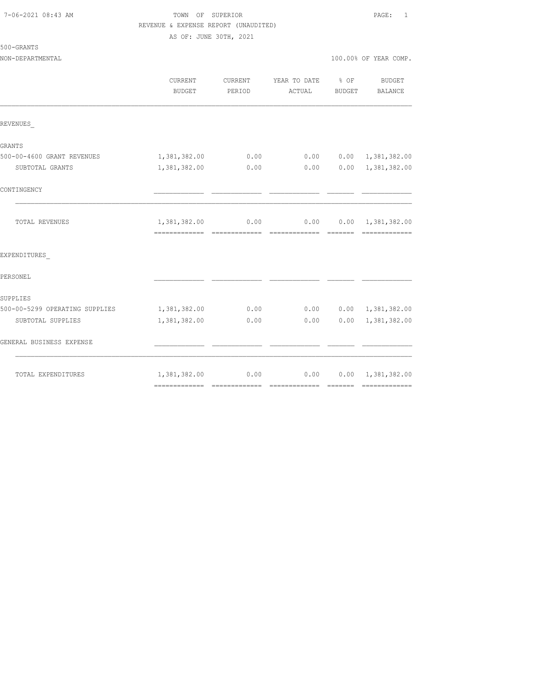| 7-06-2021 08:43 AM |  |
|--------------------|--|
|                    |  |

# TOWN OF SUPERIOR **PAGE:** 1 REVENUE & EXPENSE REPORT (UNAUDITED)

100.00% OF YEAR COMP.

 $0.0000000001,381,382.00$  $0.00$   $0.00$   $1,381,382.00$ 

YEAR TO DATE % OF BUDGET ACTUAL BUDGET BALANCE

CONTINGENCY \_\_\_\_\_\_\_\_\_\_\_\_\_ \_\_\_\_\_\_\_\_\_\_\_\_\_ \_\_\_\_\_\_\_\_\_\_\_\_\_ \_\_\_\_\_\_\_ \_\_\_\_\_\_\_\_\_\_\_\_\_

AS OF: JUNE 30TH, 2021

| <b>CURRENT</b> | <b>CURRENT</b> |
|----------------|----------------|
| <b>BUDGET</b>  | PERIOD         |
|                |                |
|                |                |
|                |                |
| 1,381,382.00   | 0.00           |
| 1,381,382.00   | 0.00           |
|                |                |
|                | 0.00           |
|                | 1,381,382.00   |

| TOTAL REVENUES                 | 1,381,382.00 | 0.00 | 0.00 | 0.00 | 1,381,382.00 |
|--------------------------------|--------------|------|------|------|--------------|
|                                |              |      |      |      |              |
| EXPENDITURES                   |              |      |      |      |              |
| PERSONEL                       |              |      |      |      |              |
| SUPPLIES                       |              |      |      |      |              |
| 500-00-5299 OPERATING SUPPLIES | 1,381,382.00 | 0.00 | 0.00 | 0.00 | 1,381,382.00 |
| SUBTOTAL SUPPLIES              | 1,381,382.00 | 0.00 | 0.00 | 0.00 | 1,381,382.00 |
| GENERAL BUSINESS EXPENSE       |              |      |      |      |              |
| TOTAL EXPENDITURES             | 1,381,382.00 | 0.00 | 0.00 | 0.00 | 1,381,382.00 |

============= ============= ============= ======= =============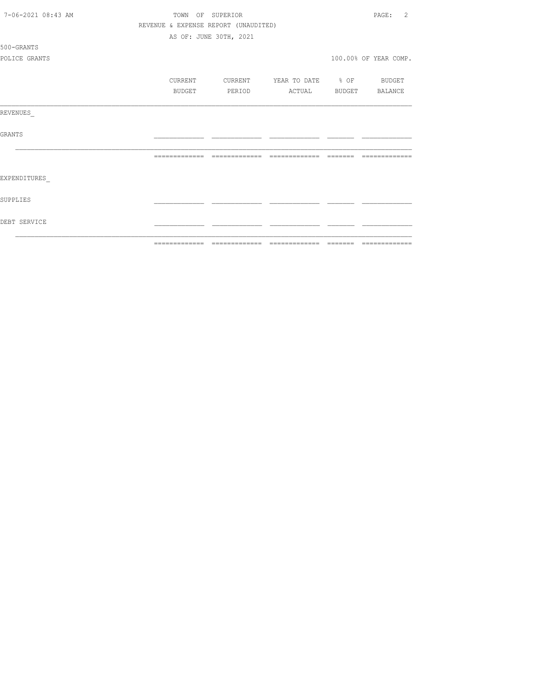| 7-06-2021 08:43 AM |                                      | TOWN OF SUPERIOR       |                          | 2<br>PAGE:            |
|--------------------|--------------------------------------|------------------------|--------------------------|-----------------------|
|                    | REVENUE & EXPENSE REPORT (UNAUDITED) |                        |                          |                       |
|                    |                                      | AS OF: JUNE 30TH, 2021 |                          |                       |
| 500-GRANTS         |                                      |                        |                          |                       |
| POLICE GRANTS      |                                      |                        |                          | 100.00% OF YEAR COMP. |
|                    | CURRENT                              | CURRENT                | YEAR TO DATE % OF BUDGET |                       |
|                    | <b>BUDGET</b>                        | PERIOD                 | ACTUAL                   | BUDGET BALANCE        |
| REVENUES           |                                      |                        |                          |                       |
| GRANTS             |                                      |                        |                          |                       |
|                    |                                      |                        |                          | --------------        |
| EXPENDITURES       |                                      |                        |                          |                       |
| SUPPLIES           |                                      |                        |                          |                       |
| DEBT SERVICE       |                                      |                        |                          |                       |
|                    |                                      |                        |                          |                       |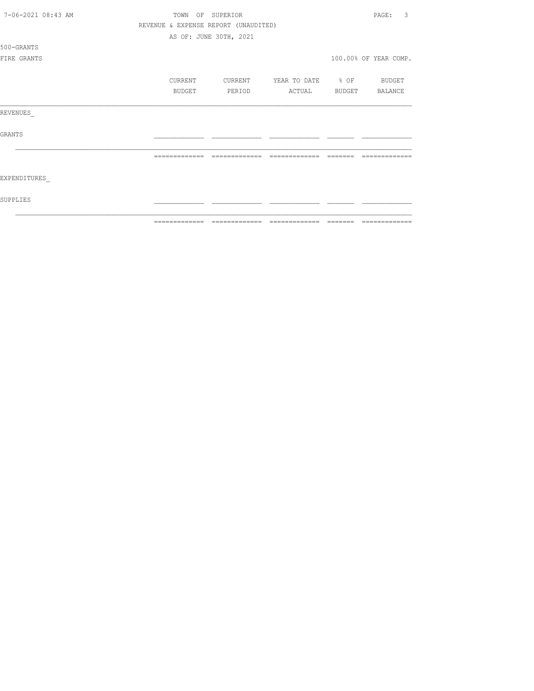| 7-06-2021 08:43 AM | OF SUPERIOR<br>TOWN | 3<br>PAGE:                           |                   |          |                       |
|--------------------|---------------------|--------------------------------------|-------------------|----------|-----------------------|
|                    |                     | REVENUE & EXPENSE REPORT (UNAUDITED) |                   |          |                       |
|                    |                     | AS OF: JUNE 30TH, 2021               |                   |          |                       |
| 500-GRANTS         |                     |                                      |                   |          |                       |
| FIRE GRANTS        |                     |                                      |                   |          | 100.00% OF YEAR COMP. |
|                    |                     |                                      |                   |          |                       |
|                    | CURRENT             | CURRENT                              | YEAR TO DATE % OF |          | BUDGET                |
|                    | BUDGET              | PERIOD                               | ACTUAL            |          | BUDGET BALANCE        |
| REVENUES           |                     |                                      |                   |          |                       |
| <b>GRANTS</b>      |                     |                                      |                   |          |                       |
|                    | --------------      | -------------                        | =======<br>______ |          |                       |
| EXPENDITURES       |                     |                                      |                   |          |                       |
| SUPPLIES           |                     |                                      |                   |          |                       |
|                    | --------------      |                                      | -------------     | -------- | --------------        |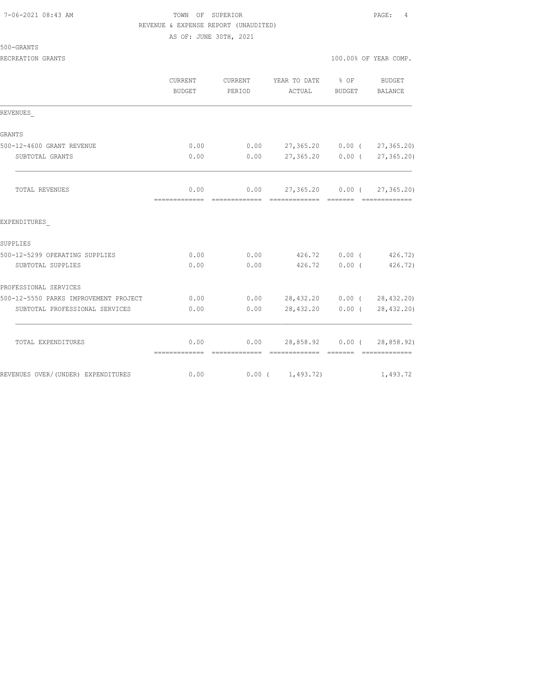|  | 500-GRANTS |  |  |  |
|--|------------|--|--|--|
|  |            |  |  |  |

| RECREATION GRANTS | 100.00% OF YEAR COMP. |
|-------------------|-----------------------|
|                   |                       |

|                                       | <b>CURRENT</b><br><b>BUDGET</b> | <b>CURRENT</b><br>YEAR TO DATE % OF<br>PERIOD<br>ACTUAL |                                    | BUDGET        | <b>BUDGET</b><br><b>BALANCE</b> |
|---------------------------------------|---------------------------------|---------------------------------------------------------|------------------------------------|---------------|---------------------------------|
| REVENUES                              |                                 |                                                         |                                    |               |                                 |
| GRANTS                                |                                 |                                                         |                                    |               |                                 |
| 500-12-4600 GRANT REVENUE             | 0.00                            |                                                         | $0.00$ 27,365.20 0.00 ( 27,365.20) |               |                                 |
| SUBTOTAL GRANTS                       | 0.00                            | 0.00                                                    | 27,365.20                          |               | $0.00$ ( $27,365.20$ )          |
| <b>TOTAL REVENUES</b>                 | 0.00                            |                                                         | $0.00$ 27,365.20 0.00 ( 27,365.20) |               |                                 |
| EXPENDITURES                          |                                 |                                                         |                                    |               |                                 |
| SUPPLIES                              |                                 |                                                         |                                    |               |                                 |
| 500-12-5299 OPERATING SUPPLIES        | 0.00                            |                                                         | $0.00$ $426.72$ $0.00$ (           |               | 426.72)                         |
| SUBTOTAL SUPPLIES                     | 0.00                            | 0.00                                                    |                                    | 426.72 0.00 ( | 426.72)                         |
| PROFESSIONAL SERVICES                 |                                 |                                                         |                                    |               |                                 |
| 500-12-5550 PARKS IMPROVEMENT PROJECT | 0.00                            |                                                         | $0.00$ 28,432.20 0.00 ( 28,432.20) |               |                                 |
| SUBTOTAL PROFESSIONAL SERVICES        | 0.00                            | 0.00                                                    | 28,432.20 0.00 (                   |               | 28, 432.20)                     |
| TOTAL EXPENDITURES                    | 0.00                            |                                                         | $0.00$ 28,858.92 0.00 ( 28,858.92) |               |                                 |
| REVENUES OVER/(UNDER) EXPENDITURES    | 0.00                            |                                                         | $0.00$ ( $1,493.72$ )              |               | 1,493.72                        |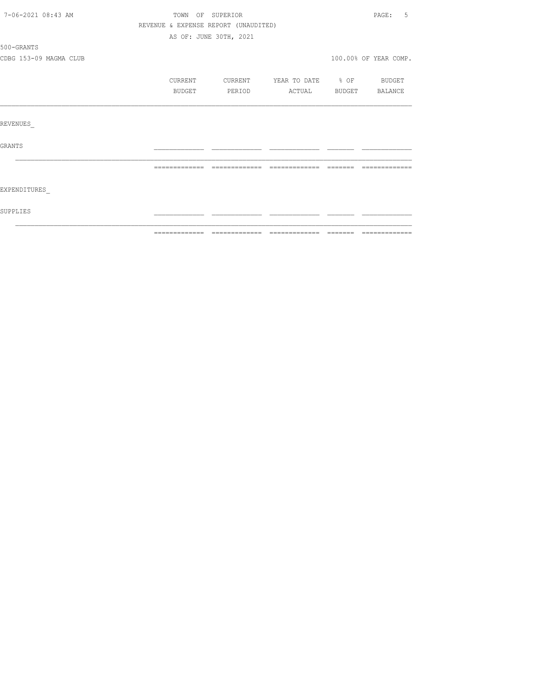| 7-06-2021 08:43 AM     | TOWN OF SUPERIOR<br>PAGE: 5<br>REVENUE & EXPENSE REPORT (UNAUDITED) |                        |                          |               |                       |
|------------------------|---------------------------------------------------------------------|------------------------|--------------------------|---------------|-----------------------|
|                        |                                                                     |                        |                          |               |                       |
|                        |                                                                     | AS OF: JUNE 30TH, 2021 |                          |               |                       |
| 500-GRANTS             |                                                                     |                        |                          |               |                       |
| CDBG 153-09 MAGMA CLUB |                                                                     |                        |                          |               | 100.00% OF YEAR COMP. |
|                        | CURRENT                                                             | CURRENT                | YEAR TO DATE % OF BUDGET |               |                       |
|                        | BUDGET                                                              | PERIOD                 | ACTUAL                   | <b>BUDGET</b> | BALANCE               |
|                        |                                                                     |                        |                          |               |                       |
| REVENUES               |                                                                     |                        |                          |               |                       |
| <b>GRANTS</b>          |                                                                     |                        |                          |               |                       |
|                        |                                                                     |                        |                          |               |                       |
| EXPENDITURES           |                                                                     |                        |                          |               |                       |
| SUPPLIES               |                                                                     |                        |                          |               |                       |
|                        |                                                                     |                        |                          |               |                       |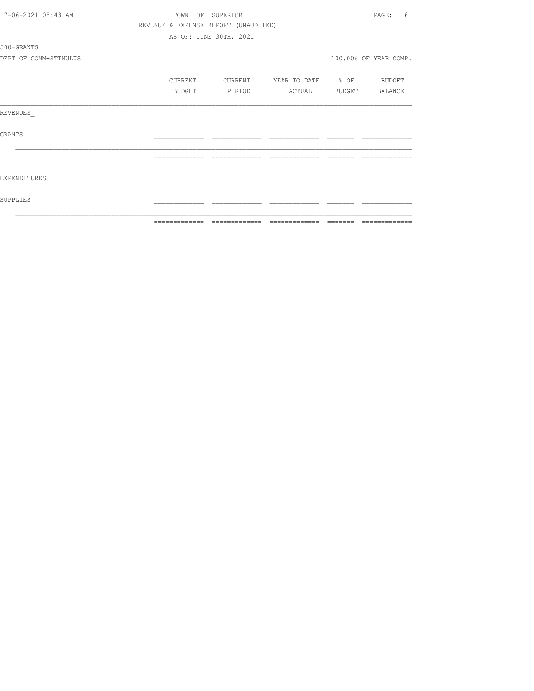| 7-06-2021 08:43 AM    |               |         | TOWN OF SUPERIOR                     |                          |                                                                                                                                                                                                                                                                                                                                                                                                                                                                                            | PAGE:<br>6                                                                                                                                                                                                                                                                                                                                                                                                                                                                    |
|-----------------------|---------------|---------|--------------------------------------|--------------------------|--------------------------------------------------------------------------------------------------------------------------------------------------------------------------------------------------------------------------------------------------------------------------------------------------------------------------------------------------------------------------------------------------------------------------------------------------------------------------------------------|-------------------------------------------------------------------------------------------------------------------------------------------------------------------------------------------------------------------------------------------------------------------------------------------------------------------------------------------------------------------------------------------------------------------------------------------------------------------------------|
|                       |               |         | REVENUE & EXPENSE REPORT (UNAUDITED) |                          |                                                                                                                                                                                                                                                                                                                                                                                                                                                                                            |                                                                                                                                                                                                                                                                                                                                                                                                                                                                               |
|                       |               |         | AS OF: JUNE 30TH, 2021               |                          |                                                                                                                                                                                                                                                                                                                                                                                                                                                                                            |                                                                                                                                                                                                                                                                                                                                                                                                                                                                               |
| 500-GRANTS            |               |         |                                      |                          |                                                                                                                                                                                                                                                                                                                                                                                                                                                                                            |                                                                                                                                                                                                                                                                                                                                                                                                                                                                               |
| DEPT OF COMM-STIMULUS |               |         |                                      |                          |                                                                                                                                                                                                                                                                                                                                                                                                                                                                                            | 100.00% OF YEAR COMP.                                                                                                                                                                                                                                                                                                                                                                                                                                                         |
|                       |               | CURRENT | CURRENT                              | YEAR TO DATE % OF BUDGET |                                                                                                                                                                                                                                                                                                                                                                                                                                                                                            |                                                                                                                                                                                                                                                                                                                                                                                                                                                                               |
|                       |               | BUDGET  | PERIOD                               | ACTUAL                   |                                                                                                                                                                                                                                                                                                                                                                                                                                                                                            | BUDGET BALANCE                                                                                                                                                                                                                                                                                                                                                                                                                                                                |
| REVENUES              |               |         |                                      |                          |                                                                                                                                                                                                                                                                                                                                                                                                                                                                                            |                                                                                                                                                                                                                                                                                                                                                                                                                                                                               |
| GRANTS                |               |         |                                      |                          |                                                                                                                                                                                                                                                                                                                                                                                                                                                                                            |                                                                                                                                                                                                                                                                                                                                                                                                                                                                               |
|                       | ============= |         | =============                        | =============            | $\qquad \qquad \qquad =\qquad \qquad =\qquad \qquad =\qquad \qquad =\qquad \qquad =\qquad \qquad =\qquad \qquad =\qquad \qquad =\qquad \qquad =\qquad \qquad =\qquad \qquad =\qquad \qquad =\qquad \qquad =\qquad \qquad =\qquad \qquad =\qquad \qquad =\qquad \qquad =\qquad \qquad =\qquad \qquad =\qquad \qquad =\qquad \qquad =\qquad \qquad =\qquad \qquad =\qquad \qquad =\qquad \qquad =\qquad \qquad =\qquad \qquad =\qquad \qquad =\qquad \qquad =\qquad \qquad =\qquad \qquad =$ | -------------                                                                                                                                                                                                                                                                                                                                                                                                                                                                 |
| EXPENDITURES          |               |         |                                      |                          |                                                                                                                                                                                                                                                                                                                                                                                                                                                                                            |                                                                                                                                                                                                                                                                                                                                                                                                                                                                               |
| SUPPLIES              |               |         |                                      |                          |                                                                                                                                                                                                                                                                                                                                                                                                                                                                                            |                                                                                                                                                                                                                                                                                                                                                                                                                                                                               |
|                       |               |         |                                      |                          |                                                                                                                                                                                                                                                                                                                                                                                                                                                                                            | $\begin{array}{c} \multicolumn{2}{c} {\textbf 1} & \multicolumn{2}{c} {\textbf 2} & \multicolumn{2}{c} {\textbf 3} & \multicolumn{2}{c} {\textbf 4} & \multicolumn{2}{c} {\textbf 5} & \multicolumn{2}{c} {\textbf 6} & \multicolumn{2}{c} {\textbf 7} & \multicolumn{2}{c} {\textbf 8} & \multicolumn{2}{c} {\textbf 9} & \multicolumn{2}{c} {\textbf 1} & \multicolumn{2}{c} {\textbf 1} & \multicolumn{2}{c} {\textbf 1} & \multicolumn{2}{c} {\textbf 1} & \multicolumn{$ |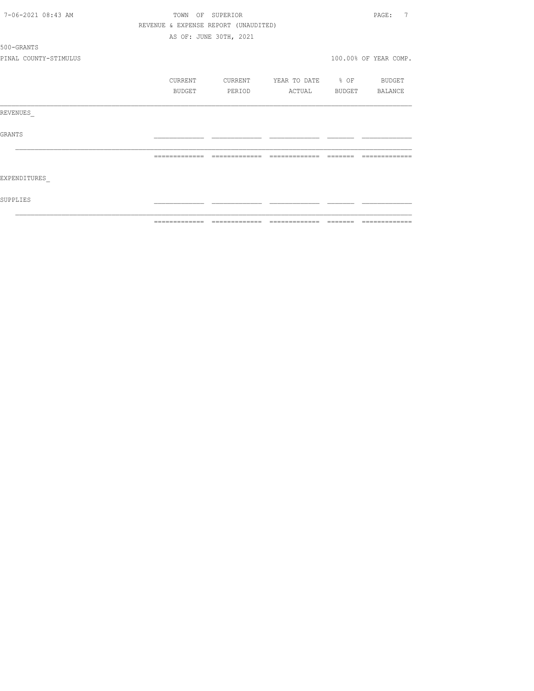| 7-06-2021 08:43 AM    |         | TOWN OF SUPERIOR                     |                          | 7<br>PAGE:            |
|-----------------------|---------|--------------------------------------|--------------------------|-----------------------|
|                       |         | REVENUE & EXPENSE REPORT (UNAUDITED) |                          |                       |
|                       |         | AS OF: JUNE 30TH, 2021               |                          |                       |
| 500-GRANTS            |         |                                      |                          |                       |
| PINAL COUNTY-STIMULUS |         |                                      |                          | 100.00% OF YEAR COMP. |
|                       | CURRENT | CURRENT                              | YEAR TO DATE % OF BUDGET |                       |
|                       | BUDGET  | PERIOD                               | ACTUAL                   | BUDGET BALANCE        |
| REVENUES              |         |                                      |                          |                       |
| GRANTS                |         |                                      |                          |                       |
|                       |         |                                      |                          |                       |
| EXPENDITURES          |         |                                      |                          |                       |
| SUPPLIES              |         |                                      |                          |                       |
|                       |         |                                      |                          |                       |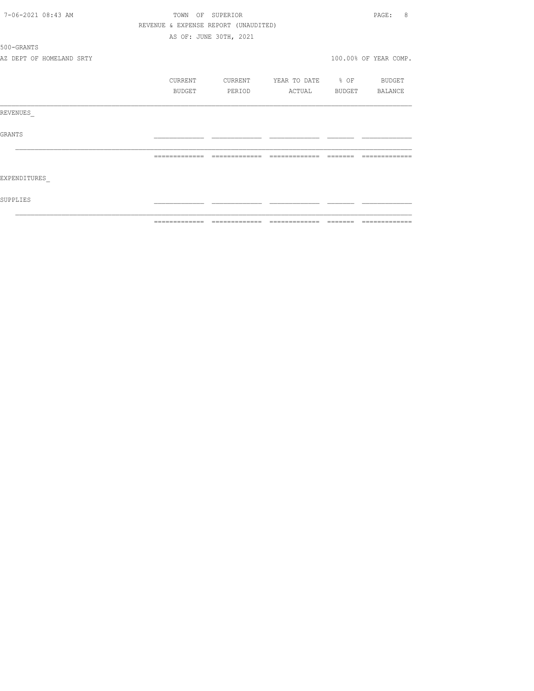| 7-06-2021 08:43 AM |                          | TOWN OF SUPERIOR                     |                        |                          |          | 8<br>PAGE:                                                                                                                                                                                                                                                                                                                                                                                                                                                                             |
|--------------------|--------------------------|--------------------------------------|------------------------|--------------------------|----------|----------------------------------------------------------------------------------------------------------------------------------------------------------------------------------------------------------------------------------------------------------------------------------------------------------------------------------------------------------------------------------------------------------------------------------------------------------------------------------------|
|                    |                          | REVENUE & EXPENSE REPORT (UNAUDITED) |                        |                          |          |                                                                                                                                                                                                                                                                                                                                                                                                                                                                                        |
|                    |                          |                                      | AS OF: JUNE 30TH, 2021 |                          |          |                                                                                                                                                                                                                                                                                                                                                                                                                                                                                        |
| 500-GRANTS         |                          |                                      |                        |                          |          |                                                                                                                                                                                                                                                                                                                                                                                                                                                                                        |
|                    | AZ DEPT OF HOMELAND SRTY |                                      |                        |                          |          | 100.00% OF YEAR COMP.                                                                                                                                                                                                                                                                                                                                                                                                                                                                  |
|                    |                          | CURRENT                              | CURRENT                | YEAR TO DATE % OF BUDGET |          |                                                                                                                                                                                                                                                                                                                                                                                                                                                                                        |
|                    |                          | BUDGET                               | PERIOD                 | ACTUAL BUDGET BALANCE    |          |                                                                                                                                                                                                                                                                                                                                                                                                                                                                                        |
| REVENUES           |                          |                                      |                        |                          |          |                                                                                                                                                                                                                                                                                                                                                                                                                                                                                        |
| GRANTS             |                          |                                      |                        |                          |          |                                                                                                                                                                                                                                                                                                                                                                                                                                                                                        |
|                    |                          | =============                        | =============          | =============            | -------- |                                                                                                                                                                                                                                                                                                                                                                                                                                                                                        |
| EXPENDITURES       |                          |                                      |                        |                          |          |                                                                                                                                                                                                                                                                                                                                                                                                                                                                                        |
| SUPPLIES           |                          |                                      |                        |                          |          |                                                                                                                                                                                                                                                                                                                                                                                                                                                                                        |
|                    |                          |                                      |                        |                          |          | $\begin{array}{cccccccccc} \multicolumn{2}{c}{} & \multicolumn{2}{c}{} & \multicolumn{2}{c}{} & \multicolumn{2}{c}{} & \multicolumn{2}{c}{} & \multicolumn{2}{c}{} & \multicolumn{2}{c}{} & \multicolumn{2}{c}{} & \multicolumn{2}{c}{} & \multicolumn{2}{c}{} & \multicolumn{2}{c}{} & \multicolumn{2}{c}{} & \multicolumn{2}{c}{} & \multicolumn{2}{c}{} & \multicolumn{2}{c}{} & \multicolumn{2}{c}{} & \multicolumn{2}{c}{} & \multicolumn{2}{c}{} & \multicolumn{2}{c}{} & \mult$ |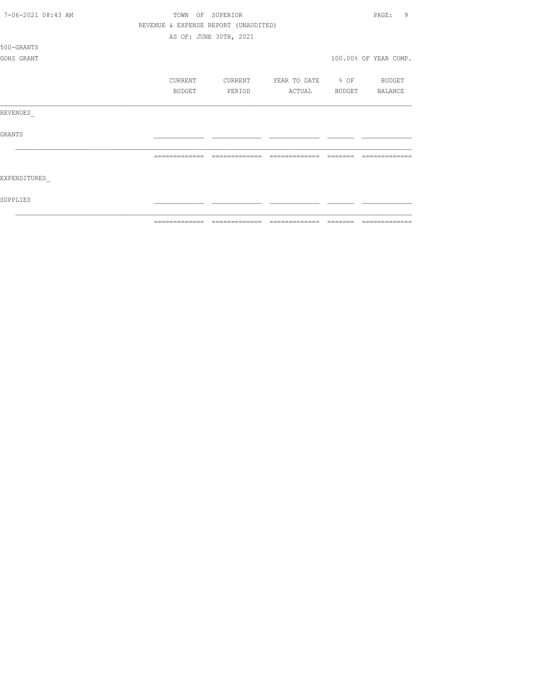|                    | =============                        | ======                 | =======           |        |                       |
|--------------------|--------------------------------------|------------------------|-------------------|--------|-----------------------|
| SUPPLIES           |                                      |                        |                   |        |                       |
| EXPENDITURES       |                                      |                        |                   |        |                       |
|                    |                                      |                        |                   |        |                       |
| <b>GRANTS</b>      |                                      |                        |                   |        |                       |
| REVENUES           |                                      |                        |                   |        |                       |
|                    | BUDGET                               | PERIOD                 | ACTUAL            | BUDGET | BALANCE               |
|                    | CURRENT                              | CURRENT                | YEAR TO DATE % OF |        | BUDGET                |
| GOHS GRANT         |                                      |                        |                   |        | 100.00% OF YEAR COMP. |
| 500-GRANTS         |                                      |                        |                   |        |                       |
|                    |                                      | AS OF: JUNE 30TH, 2021 |                   |        |                       |
|                    | REVENUE & EXPENSE REPORT (UNAUDITED) |                        |                   |        |                       |
| 7-06-2021 08:43 AM | TOWN                                 | OF SUPERIOR            |                   |        | 9<br>PAGE:            |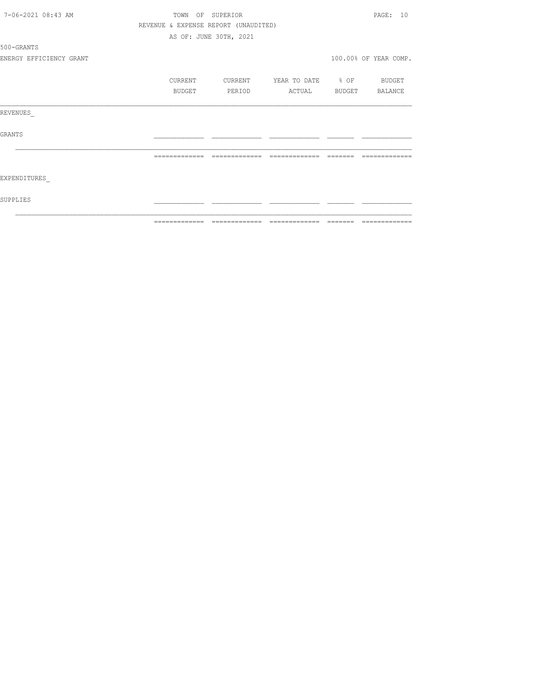|                         | ============= | $\begin{array}{c} \multicolumn{2}{c} {\textbf{2.4}} & \multicolumn{2}{c} {\textbf{2.5}} & \multicolumn{2}{c} {\textbf{2.6}} \\ \multicolumn{2}{c} {\textbf{2.6}} & \multicolumn{2}{c} {\textbf{2.6}} & \multicolumn{2}{c} {\textbf{2.6}} \\ \multicolumn{2}{c} {\textbf{2.6}} & \multicolumn{2}{c} {\textbf{2.6}} & \multicolumn{2}{c} {\textbf{2.6}} \\ \multicolumn{2}{c} {\textbf{2.6}} & \multicolumn{2}{c} {\textbf{2.6}} & \multicolumn{2}{c} {\textbf{2.$ | $\begin{array}{c} \multicolumn{2}{c} {\textbf{2.4}} & \multicolumn{2}{c} {\textbf{2.5}} & \multicolumn{2}{c} {\textbf{2.6}} \\ \multicolumn{2}{c} {\textbf{2.6}} & \multicolumn{2}{c} {\textbf{2.6}} & \multicolumn{2}{c} {\textbf{2.6}} \\ \multicolumn{2}{c} {\textbf{2.6}} & \multicolumn{2}{c} {\textbf{2.6}} & \multicolumn{2}{c} {\textbf{2.6}} \\ \multicolumn{2}{c} {\textbf{2.6}} & \multicolumn{2}{c} {\textbf{2.6}} & \multicolumn{2}{c} {\textbf{2.$ | -------- | =============         |
|-------------------------|---------------|------------------------------------------------------------------------------------------------------------------------------------------------------------------------------------------------------------------------------------------------------------------------------------------------------------------------------------------------------------------------------------------------------------------------------------------------------------------|------------------------------------------------------------------------------------------------------------------------------------------------------------------------------------------------------------------------------------------------------------------------------------------------------------------------------------------------------------------------------------------------------------------------------------------------------------------|----------|-----------------------|
| SUPPLIES                |               |                                                                                                                                                                                                                                                                                                                                                                                                                                                                  |                                                                                                                                                                                                                                                                                                                                                                                                                                                                  |          |                       |
| EXPENDITURES            |               |                                                                                                                                                                                                                                                                                                                                                                                                                                                                  |                                                                                                                                                                                                                                                                                                                                                                                                                                                                  |          |                       |
|                         |               | -------------                                                                                                                                                                                                                                                                                                                                                                                                                                                    | -------------                                                                                                                                                                                                                                                                                                                                                                                                                                                    |          |                       |
| GRANTS                  |               |                                                                                                                                                                                                                                                                                                                                                                                                                                                                  |                                                                                                                                                                                                                                                                                                                                                                                                                                                                  |          |                       |
| REVENUES                |               |                                                                                                                                                                                                                                                                                                                                                                                                                                                                  |                                                                                                                                                                                                                                                                                                                                                                                                                                                                  |          |                       |
|                         | BUDGET        | PERIOD                                                                                                                                                                                                                                                                                                                                                                                                                                                           | ACTUAL                                                                                                                                                                                                                                                                                                                                                                                                                                                           |          | BUDGET BALANCE        |
|                         | CURRENT       | CURRENT                                                                                                                                                                                                                                                                                                                                                                                                                                                          | YEAR TO DATE % OF BUDGET                                                                                                                                                                                                                                                                                                                                                                                                                                         |          |                       |
| ENERGY EFFICIENCY GRANT |               |                                                                                                                                                                                                                                                                                                                                                                                                                                                                  |                                                                                                                                                                                                                                                                                                                                                                                                                                                                  |          | 100.00% OF YEAR COMP. |
| 500-GRANTS              |               |                                                                                                                                                                                                                                                                                                                                                                                                                                                                  |                                                                                                                                                                                                                                                                                                                                                                                                                                                                  |          |                       |
|                         |               | AS OF: JUNE 30TH, 2021                                                                                                                                                                                                                                                                                                                                                                                                                                           |                                                                                                                                                                                                                                                                                                                                                                                                                                                                  |          |                       |
|                         |               | REVENUE & EXPENSE REPORT (UNAUDITED)                                                                                                                                                                                                                                                                                                                                                                                                                             |                                                                                                                                                                                                                                                                                                                                                                                                                                                                  |          |                       |
| 7-06-2021 08:43 AM      |               | TOWN OF SUPERIOR                                                                                                                                                                                                                                                                                                                                                                                                                                                 |                                                                                                                                                                                                                                                                                                                                                                                                                                                                  |          | PAGE: 10              |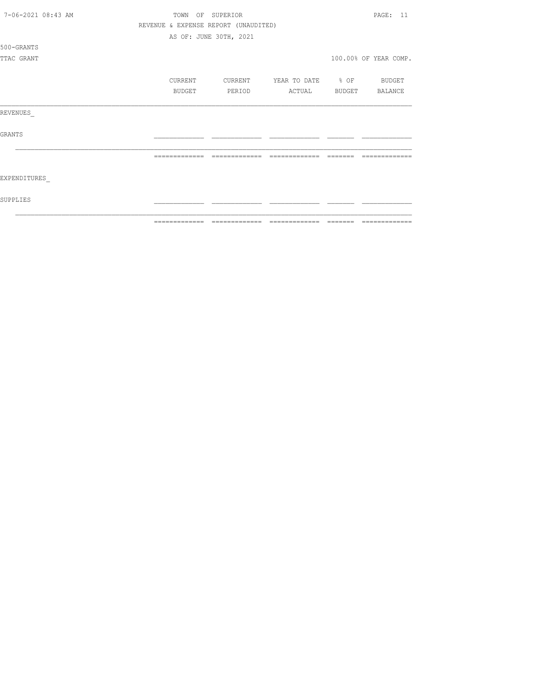| 7-06-2021 08:43 AM | TOWN                                 | OF SUPERIOR            |                   |                 | PAGE: 11              |
|--------------------|--------------------------------------|------------------------|-------------------|-----------------|-----------------------|
|                    | REVENUE & EXPENSE REPORT (UNAUDITED) |                        |                   |                 |                       |
|                    |                                      | AS OF: JUNE 30TH, 2021 |                   |                 |                       |
| 500-GRANTS         |                                      |                        |                   |                 |                       |
| TTAC GRANT         |                                      |                        |                   |                 | 100.00% OF YEAR COMP. |
|                    | CURRENT                              | CURRENT                | YEAR TO DATE % OF |                 | BUDGET                |
|                    | BUDGET                               | PERIOD                 | ACTUAL            | BUDGET BALANCE  |                       |
| REVENUES           |                                      |                        |                   |                 |                       |
| <b>GRANTS</b>      |                                      |                        |                   |                 |                       |
|                    | =============                        | -------------          | =============     | --------        |                       |
| EXPENDITURES       |                                      |                        |                   |                 |                       |
| SUPPLIES           |                                      |                        |                   |                 |                       |
|                    | --------------                       | -------------          | -------------     | $- - - - - - -$ | --------------        |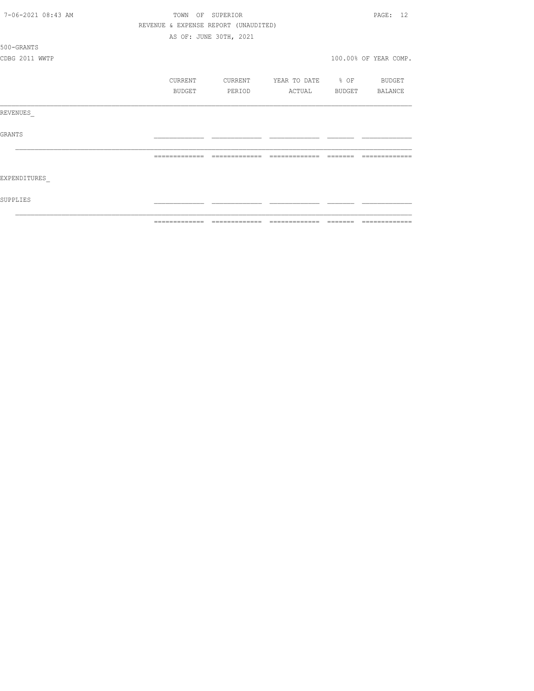| 7-06-2021 08:43 AM | TOWN<br>OF    | SUPERIOR                             |                                  |         | PAGE: 12              |
|--------------------|---------------|--------------------------------------|----------------------------------|---------|-----------------------|
|                    |               | REVENUE & EXPENSE REPORT (UNAUDITED) |                                  |         |                       |
|                    |               | AS OF: JUNE 30TH, 2021               |                                  |         |                       |
| 500-GRANTS         |               |                                      |                                  |         |                       |
| CDBG 2011 WWTP     |               |                                      |                                  |         | 100.00% OF YEAR COMP. |
|                    | CURRENT       | CURRENT                              | YEAR TO DATE % OF                |         | BUDGET                |
|                    | BUDGET        | PERIOD                               | ACTUAL                           | BUDGET  | BALANCE               |
| REVENUES           |               |                                      |                                  |         |                       |
| <b>GRANTS</b>      |               |                                      |                                  |         |                       |
|                    |               |                                      |                                  |         |                       |
| EXPENDITURES       |               |                                      |                                  |         |                       |
| SUPPLIES           |               |                                      |                                  |         |                       |
|                    | ============= |                                      | ================================ | ======= | =============         |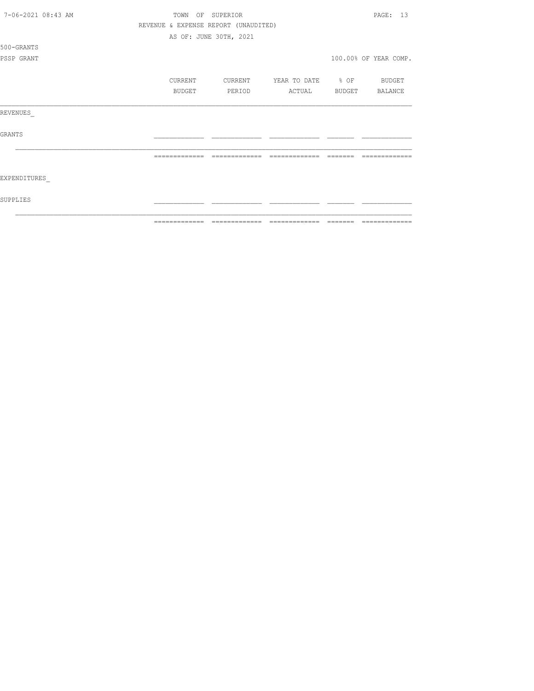| 7-06-2021 08:43 AM | TOWN<br>OF                           | SUPERIOR               |                   |                 | PAGE: 13              |
|--------------------|--------------------------------------|------------------------|-------------------|-----------------|-----------------------|
|                    | REVENUE & EXPENSE REPORT (UNAUDITED) |                        |                   |                 |                       |
|                    |                                      | AS OF: JUNE 30TH, 2021 |                   |                 |                       |
| 500-GRANTS         |                                      |                        |                   |                 |                       |
| PSSP GRANT         |                                      |                        |                   |                 | 100.00% OF YEAR COMP. |
|                    | CURRENT                              | CURRENT                | YEAR TO DATE % OF |                 | BUDGET                |
|                    | BUDGET                               | PERIOD                 | ACTUAL            |                 | BUDGET BALANCE        |
| REVENUES           |                                      |                        |                   |                 |                       |
| <b>GRANTS</b>      |                                      |                        |                   |                 |                       |
|                    | =============                        | -------------          | =============     |                 |                       |
| EXPENDITURES       |                                      |                        |                   |                 |                       |
| SUPPLIES           |                                      |                        |                   |                 |                       |
|                    | --------------                       | -------------          | -------------     | $- - - - - - -$ | --------------        |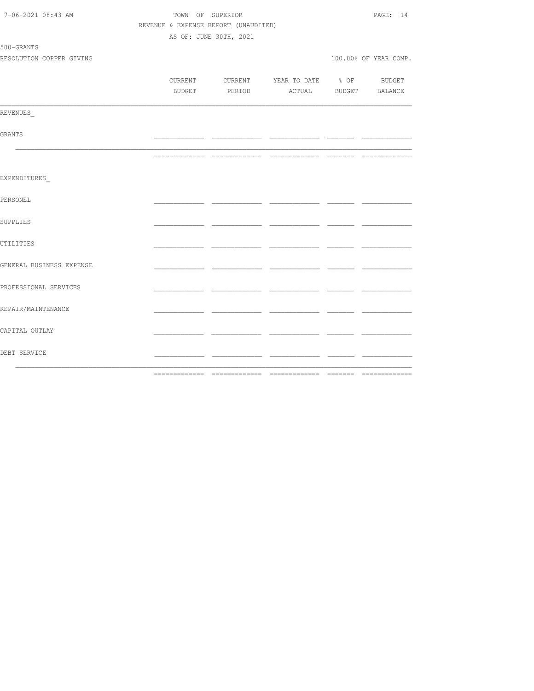| 7-06-2021 08:43 AM       |                                      | TOWN OF SUPERIOR       |                                          |      | PAGE: 14              |
|--------------------------|--------------------------------------|------------------------|------------------------------------------|------|-----------------------|
|                          | REVENUE & EXPENSE REPORT (UNAUDITED) |                        |                                          |      |                       |
|                          |                                      | AS OF: JUNE 30TH, 2021 |                                          |      |                       |
| 500-GRANTS               |                                      |                        |                                          |      |                       |
| RESOLUTION COPPER GIVING |                                      |                        |                                          |      | 100.00% OF YEAR COMP. |
|                          |                                      |                        |                                          |      |                       |
|                          |                                      |                        | CURRENT CURRENT YEAR TO DATE % OF BUDGET |      |                       |
|                          |                                      |                        | BUDGET PERIOD ACTUAL BUDGET BALANCE      |      |                       |
|                          |                                      |                        |                                          |      |                       |
| REVENUES                 |                                      |                        |                                          |      |                       |
|                          |                                      |                        |                                          |      |                       |
| GRANTS                   |                                      |                        |                                          | ___  |                       |
|                          |                                      |                        |                                          |      |                       |
|                          |                                      |                        |                                          |      |                       |
|                          |                                      |                        |                                          |      |                       |
| EXPENDITURES             |                                      |                        |                                          |      |                       |
|                          |                                      |                        |                                          |      |                       |
| PERSONEL                 |                                      |                        |                                          |      |                       |
|                          |                                      |                        |                                          |      |                       |
| SUPPLIES                 |                                      |                        |                                          |      |                       |
|                          |                                      |                        |                                          |      |                       |
| UTILITIES                |                                      |                        |                                          |      |                       |
|                          |                                      |                        |                                          |      |                       |
| GENERAL BUSINESS EXPENSE |                                      |                        |                                          | - -  |                       |
|                          |                                      |                        |                                          |      |                       |
| PROFESSIONAL SERVICES    |                                      |                        |                                          |      |                       |
|                          |                                      |                        |                                          |      |                       |
| REPAIR/MAINTENANCE       |                                      |                        |                                          |      |                       |
|                          |                                      |                        |                                          |      |                       |
| CAPITAL OUTLAY           |                                      |                        |                                          |      |                       |
|                          |                                      |                        |                                          |      |                       |
| DEBT SERVICE             |                                      |                        |                                          | - -- |                       |
|                          |                                      |                        |                                          |      |                       |
|                          |                                      |                        |                                          |      |                       |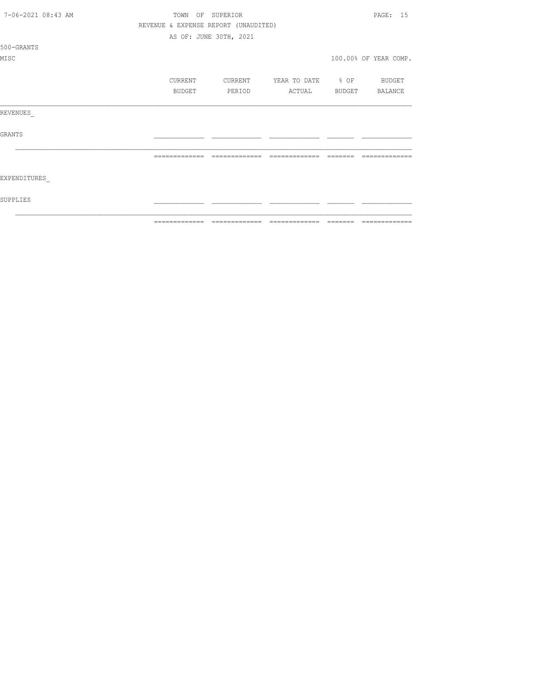| 7-06-2021 08:43 AM | TOWN          | OF SUPERIOR                          |                                  |         | PAGE: 15              |
|--------------------|---------------|--------------------------------------|----------------------------------|---------|-----------------------|
|                    |               | REVENUE & EXPENSE REPORT (UNAUDITED) |                                  |         |                       |
|                    |               | AS OF: JUNE 30TH, 2021               |                                  |         |                       |
| 500-GRANTS         |               |                                      |                                  |         |                       |
| MISC               |               |                                      |                                  |         | 100.00% OF YEAR COMP. |
|                    |               |                                      |                                  |         |                       |
|                    | CURRENT       |                                      | CURRENT YEAR TO DATE % OF BUDGET |         |                       |
|                    | BUDGET        | PERIOD                               | ACTUAL BUDGET BALANCE            |         |                       |
|                    |               |                                      |                                  |         |                       |
| REVENUES           |               |                                      |                                  |         |                       |
|                    |               |                                      |                                  |         |                       |
| <b>GRANTS</b>      |               |                                      |                                  |         |                       |
|                    |               |                                      |                                  |         |                       |
|                    | ============= | =============                        | =============                    | ------- |                       |
|                    |               |                                      |                                  |         |                       |
| EXPENDITURES       |               |                                      |                                  |         |                       |
|                    |               |                                      |                                  |         |                       |
| SUPPLIES           |               |                                      |                                  |         |                       |
|                    |               |                                      |                                  |         |                       |
|                    | ------------- | -------------                        |                                  |         | --------------        |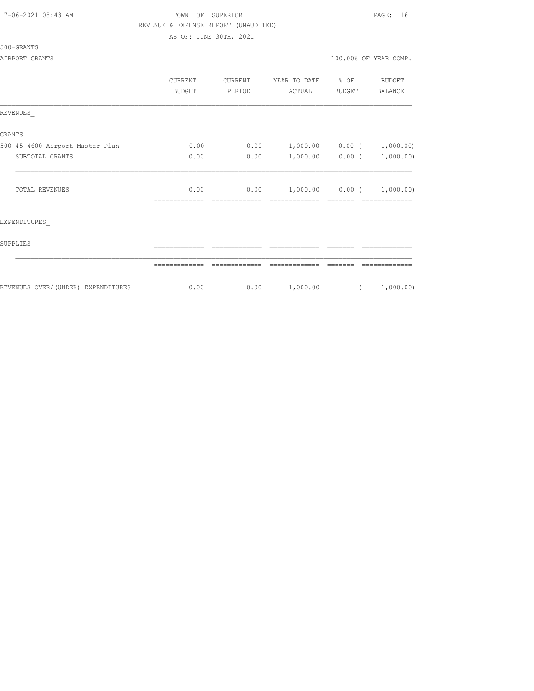| 7-06-2021 08:43 AM |  |
|--------------------|--|
|                    |  |

# TOWN OF SUPERIOR **Example 2018** PAGE: 16 REVENUE & EXPENSE REPORT (UNAUDITED)

AS OF: JUNE 30TH, 2021

### 500-GRANTS

|                                    | CURRENT<br><b>BUDGET</b> | CURRENT<br>PERIOD | YEAR TO DATE<br>ACTUAL      | $\div$ OF<br>BUDGET | <b>BUDGET</b><br>BALANCE |
|------------------------------------|--------------------------|-------------------|-----------------------------|---------------------|--------------------------|
| REVENUES                           |                          |                   |                             |                     |                          |
| <b>GRANTS</b>                      |                          |                   |                             |                     |                          |
| 500-45-4600 Airport Master Plan    | 0.00                     | 0.00              | $1,000.00$ 0.00 ( 1,000.00) |                     |                          |
| SUBTOTAL GRANTS                    | 0.00                     | 0.00              |                             | $1,000.00$ 0.00 (   | 1,000.00)                |
| TOTAL REVENUES                     | 0.00                     | 0.00              | $1,000.00$ 0.00 (           |                     | 1,000.00)                |
| EXPENDITURES                       |                          |                   |                             |                     |                          |
| SUPPLIES                           |                          |                   |                             |                     |                          |
|                                    |                          |                   |                             |                     |                          |
| REVENUES OVER/(UNDER) EXPENDITURES | 0.00                     | 0.00              | 1,000.00                    | $\sqrt{2}$          | 1,000.00)                |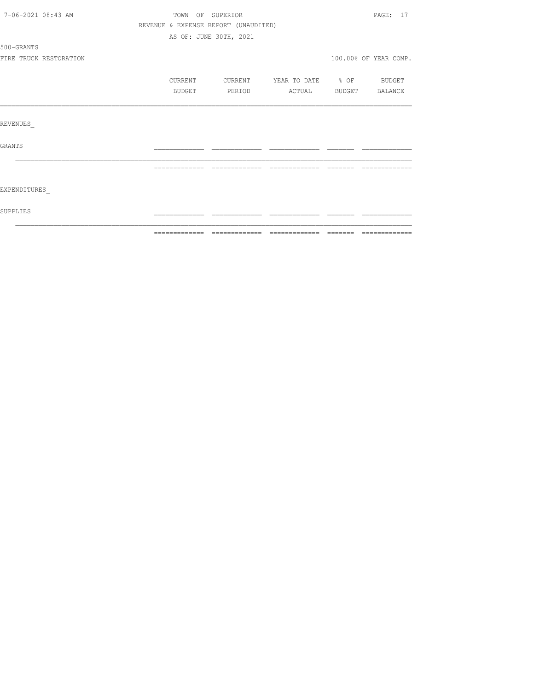| 7-06-2021 08:43 AM |                        | TOWN OF SUPERIOR |                                      |                   |        | PAGE: 17              |
|--------------------|------------------------|------------------|--------------------------------------|-------------------|--------|-----------------------|
|                    |                        |                  | REVENUE & EXPENSE REPORT (UNAUDITED) |                   |        |                       |
|                    |                        |                  | AS OF: JUNE 30TH, 2021               |                   |        |                       |
| 500-GRANTS         |                        |                  |                                      |                   |        |                       |
|                    | FIRE TRUCK RESTORATION |                  |                                      |                   |        | 100.00% OF YEAR COMP. |
|                    |                        | CURRENT          | CURRENT                              | YEAR TO DATE % OF |        | <b>BUDGET</b>         |
|                    |                        | BUDGET           | PERIOD                               | ACTUAL            | BUDGET | BALANCE               |
|                    |                        |                  |                                      |                   |        |                       |
| REVENUES           |                        |                  |                                      |                   |        |                       |
| GRANTS             |                        |                  |                                      |                   |        |                       |
|                    |                        |                  |                                      |                   |        |                       |
| EXPENDITURES       |                        |                  |                                      |                   |        |                       |
| SUPPLIES           |                        |                  |                                      |                   |        |                       |
|                    |                        |                  |                                      |                   |        |                       |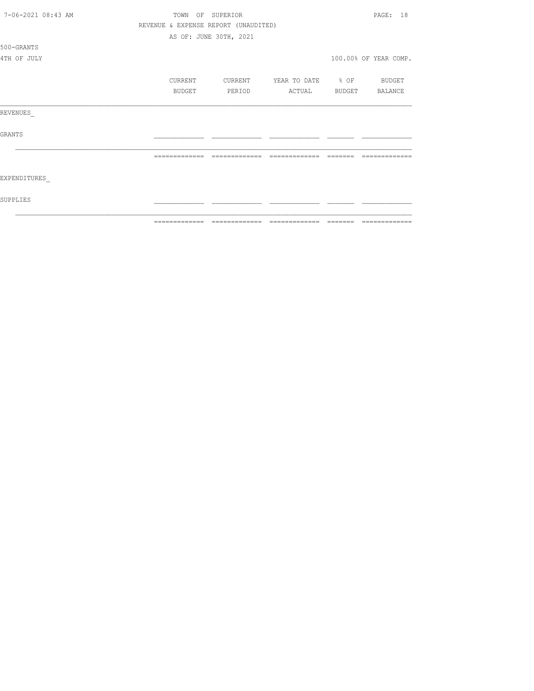| 7-06-2021 08:43 AM |               | TOWN OF SUPERIOR                     |                          |          | PAGE: 18              |
|--------------------|---------------|--------------------------------------|--------------------------|----------|-----------------------|
|                    |               | REVENUE & EXPENSE REPORT (UNAUDITED) |                          |          |                       |
|                    |               | AS OF: JUNE 30TH, 2021               |                          |          |                       |
| 500-GRANTS         |               |                                      |                          |          |                       |
| 4TH OF JULY        |               |                                      |                          |          | 100.00% OF YEAR COMP. |
|                    | CURRENT       | CURRENT                              | YEAR TO DATE % OF BUDGET |          |                       |
|                    | BUDGET        | PERIOD                               | ACTUAL                   |          | BUDGET BALANCE        |
| REVENUES           |               |                                      |                          |          |                       |
| GRANTS             |               |                                      |                          |          |                       |
|                    | ============= | =============                        |                          | -------- |                       |
| EXPENDITURES       |               |                                      |                          |          |                       |
| SUPPLIES           |               |                                      |                          |          |                       |
|                    | ------------- | -------------                        | --------------           | ________ | -------------         |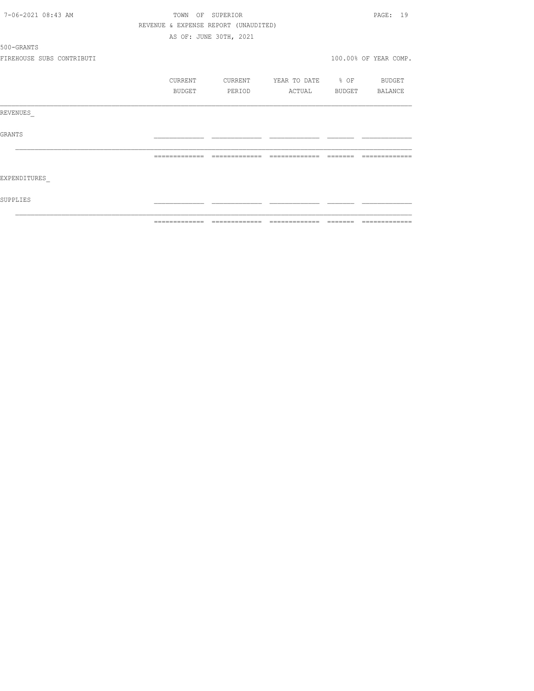| 7-06-2021 08:43 AM        |               | TOWN OF SUPERIOR                     |                   |         | PAGE: 19              |
|---------------------------|---------------|--------------------------------------|-------------------|---------|-----------------------|
|                           |               | REVENUE & EXPENSE REPORT (UNAUDITED) |                   |         |                       |
|                           |               | AS OF: JUNE 30TH, 2021               |                   |         |                       |
| 500-GRANTS                |               |                                      |                   |         |                       |
| FIREHOUSE SUBS CONTRIBUTI |               |                                      |                   |         | 100.00% OF YEAR COMP. |
|                           | CURRENT       | CURRENT                              | YEAR TO DATE % OF |         | BUDGET                |
|                           | BUDGET        | PERIOD                               | ACTUAL            |         | BUDGET BALANCE        |
| REVENUES                  |               |                                      |                   |         |                       |
| GRANTS                    |               |                                      |                   |         |                       |
|                           |               |                                      |                   |         |                       |
| EXPENDITURES              |               |                                      |                   |         |                       |
| SUPPLIES                  |               |                                      |                   |         |                       |
|                           | ============= | =============                        | --------------    | ======= | =============         |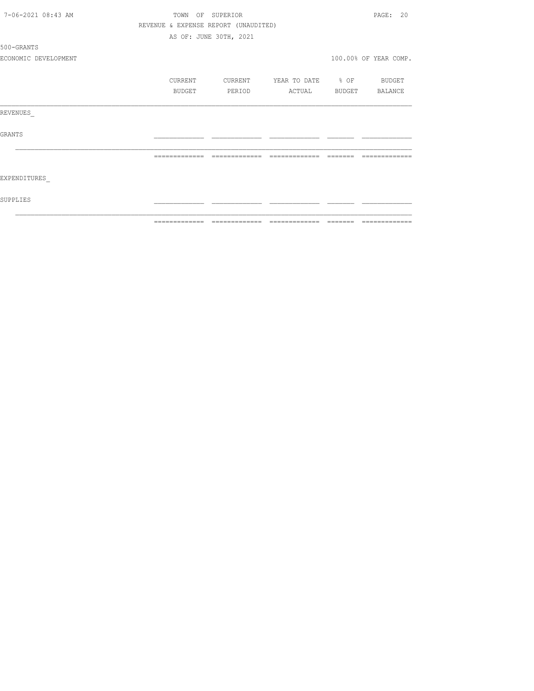|                      | =============  | --------------                       |                          | --------------        |
|----------------------|----------------|--------------------------------------|--------------------------|-----------------------|
| SUPPLIES             |                |                                      |                          |                       |
| EXPENDITURES         |                |                                      |                          |                       |
|                      | -------------- | --------------                       | =============            |                       |
| GRANTS               |                |                                      |                          |                       |
| REVENUES             |                |                                      |                          |                       |
|                      | BUDGET         | PERIOD                               | ACTUAL                   | BUDGET BALANCE        |
|                      | CURRENT        | CURRENT                              | YEAR TO DATE % OF BUDGET |                       |
| ECONOMIC DEVELOPMENT |                |                                      |                          | 100.00% OF YEAR COMP. |
| 500-GRANTS           |                |                                      |                          |                       |
|                      |                | AS OF: JUNE 30TH, 2021               |                          |                       |
|                      |                | REVENUE & EXPENSE REPORT (UNAUDITED) |                          |                       |
| 7-06-2021 08:43 AM   |                | TOWN OF SUPERIOR                     |                          | PAGE: 20              |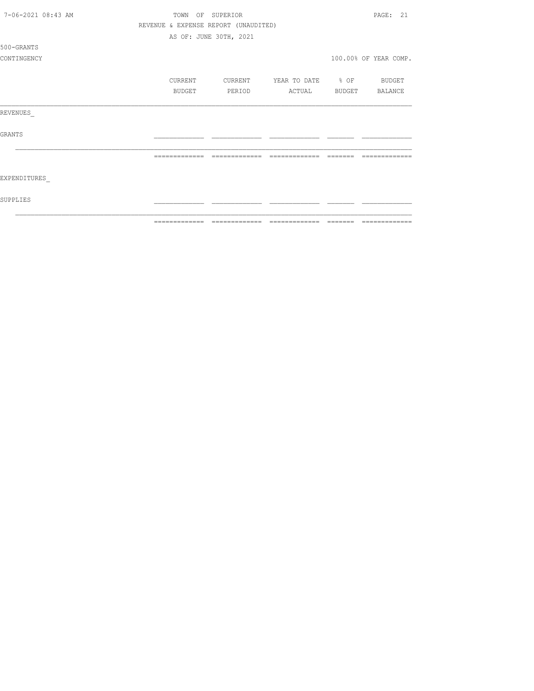| 7-06-2021 08:43 AM |               | TOWN OF SUPERIOR                     |                          | PAGE: 21              |
|--------------------|---------------|--------------------------------------|--------------------------|-----------------------|
|                    |               | REVENUE & EXPENSE REPORT (UNAUDITED) |                          |                       |
|                    |               | AS OF: JUNE 30TH, 2021               |                          |                       |
| 500-GRANTS         |               |                                      |                          |                       |
| CONTINGENCY        |               |                                      |                          | 100.00% OF YEAR COMP. |
|                    | CURRENT       | CURRENT                              | YEAR TO DATE % OF BUDGET |                       |
|                    | BUDGET        | PERIOD                               | ACTUAL                   | BUDGET BALANCE        |
| REVENUES           |               |                                      |                          |                       |
| GRANTS             |               |                                      |                          |                       |
|                    |               |                                      |                          |                       |
| EXPENDITURES       |               |                                      |                          |                       |
| SUPPLIES           |               |                                      |                          |                       |
|                    | ------------- | ------------                         | --------------           |                       |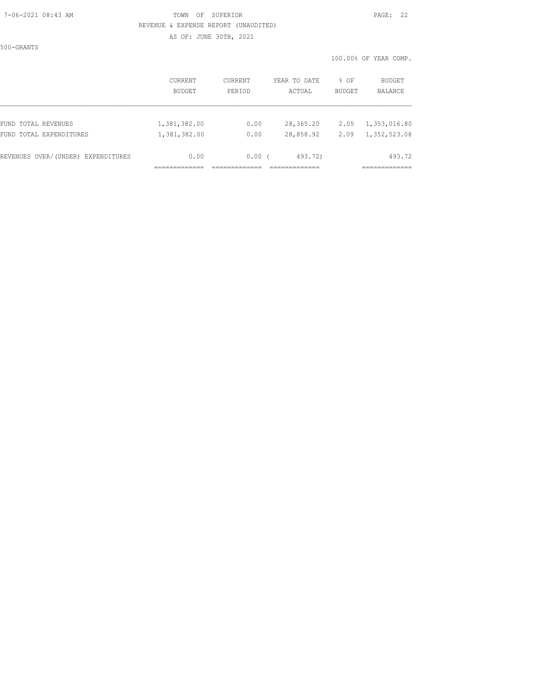#### 7-06-2021 08:43 AM TOWN OF SUPERIOR PAGE: 22 REVENUE & EXPENSE REPORT (UNAUDITED)

AS OF: JUNE 30TH, 2021

500-GRANTS

|                                    | <b>CURRENT</b> | <b>CURRENT</b> | YEAR TO DATE | % OF          | <b>BUDGET</b> |
|------------------------------------|----------------|----------------|--------------|---------------|---------------|
|                                    | <b>BUDGET</b>  | PERTOD         | ACTUAL       | <b>BUDGET</b> | BALANCE       |
| FUND TOTAL REVENUES                | 1,381,382.00   | 0.00           | 28,365.20    | 2.05          | 1,353,016.80  |
| FUND TOTAL EXPENDITURES            | 1,381,382.00   | 0.00           | 28,858.92    | 2.09          | 1,352,523.08  |
| REVENUES OVER/(UNDER) EXPENDITURES | 0.00           | 0.00(          | 493.72)      |               | 493.72        |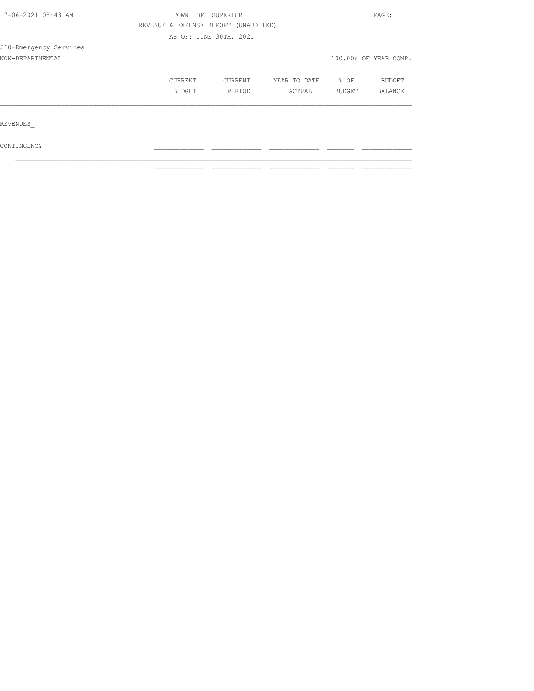| 7-06-2021 08:43 AM     | TOWN<br>OF                           | SUPERIOR               |              |        | PAGE:                 |  |
|------------------------|--------------------------------------|------------------------|--------------|--------|-----------------------|--|
|                        | REVENUE & EXPENSE REPORT (UNAUDITED) |                        |              |        |                       |  |
|                        |                                      | AS OF: JUNE 30TH, 2021 |              |        |                       |  |
| 510-Emergency Services |                                      |                        |              |        |                       |  |
| NON-DEPARTMENTAL       |                                      |                        |              |        | 100.00% OF YEAR COMP. |  |
|                        | CURRENT                              | CURRENT                | YEAR TO DATE | % OF   | BUDGET                |  |
|                        | BUDGET                               | PERIOD                 | ACTUAL       | BUDGET | BALANCE               |  |
|                        |                                      |                        |              |        |                       |  |
| REVENUES               |                                      |                        |              |        |                       |  |
|                        |                                      |                        |              |        |                       |  |

 $\texttt{CONTINGENCY}$  $\mathcal{L}_\text{max}$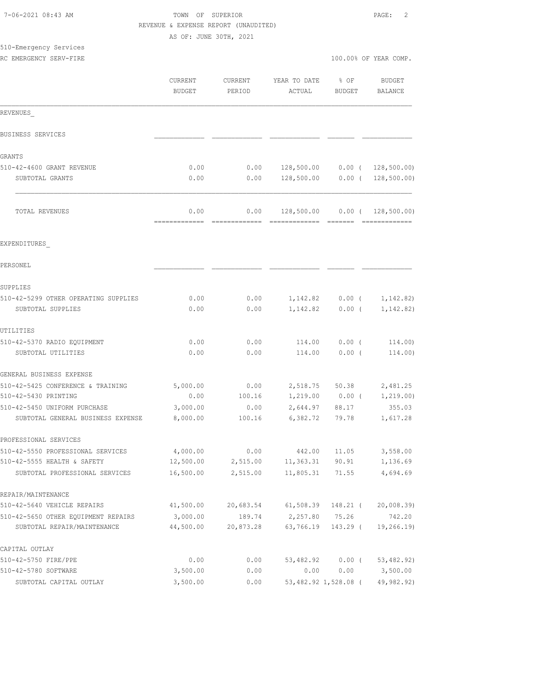|                                      | REVENUE & EXPENSE REPORT (UNAUDITED) |           |                                 |                   |                         |
|--------------------------------------|--------------------------------------|-----------|---------------------------------|-------------------|-------------------------|
|                                      | AS OF: JUNE 30TH, 2021               |           |                                 |                   |                         |
| 510-Emergency Services               |                                      |           |                                 |                   |                         |
| RC EMERGENCY SERV-FIRE               |                                      |           |                                 |                   | 100.00% OF YEAR COMP.   |
|                                      | CURRENT                              | CURRENT   | YEAR TO DATE                    | $\frac{1}{2}$ OF  | BUDGET                  |
|                                      | <b>BUDGET</b>                        | PERIOD    | ACTUAL                          | <b>BUDGET</b>     | BALANCE                 |
| REVENUES                             |                                      |           |                                 |                   |                         |
| BUSINESS SERVICES                    |                                      |           |                                 |                   |                         |
| GRANTS                               |                                      |           |                                 |                   |                         |
| 510-42-4600 GRANT REVENUE            | 0.00                                 | 0.00      | 128,500.00  0.00  ( 128,500.00) |                   |                         |
| SUBTOTAL GRANTS                      | 0.00                                 | 0.00      | 128,500.00                      |                   | $0.00$ ( 128,500.00)    |
| TOTAL REVENUES                       | 0.00                                 | 0.00      |                                 |                   |                         |
| EXPENDITURES                         |                                      |           |                                 |                   |                         |
| PERSONEL                             |                                      |           |                                 |                   |                         |
| SUPPLIES                             |                                      |           |                                 |                   |                         |
| 510-42-5299 OTHER OPERATING SUPPLIES | 0.00                                 | 0.00      |                                 | $1,142.82$ 0.00 ( | 1,142.82)               |
| SUBTOTAL SUPPLIES                    | 0.00                                 | 0.00      |                                 | $1,142.82$ 0.00 ( | 1,142.82)               |
| UTILITIES                            |                                      |           |                                 |                   |                         |
| 510-42-5370 RADIO EQUIPMENT          | 0.00                                 | 0.00      | 114.00                          | $0.00$ (          | 114.00)                 |
| SUBTOTAL UTILITIES                   | 0.00                                 | 0.00      | 114.00                          | $0.00$ (          | 114.00)                 |
| GENERAL BUSINESS EXPENSE             |                                      |           |                                 |                   |                         |
| 510-42-5425 CONFERENCE & TRAINING    | 5,000.00                             | 0.00      |                                 |                   | 2,518.75 50.38 2,481.25 |
| 510-42-5430 PRINTING                 | 0.00                                 | 100.16    |                                 | $1,219.00$ 0.00 ( | 1,219.00)               |
| 510-42-5450 UNIFORM PURCHASE         | 3,000.00                             | 0.00      | 2,644.97                        | 88.17             | 355.03                  |
| SUBTOTAL GENERAL BUSINESS EXPENSE    | 8,000.00                             | 100.16    | 6,382.72                        | 79.78             | 1,617.28                |
| PROFESSIONAL SERVICES                |                                      |           |                                 |                   |                         |
| 510-42-5550 PROFESSIONAL SERVICES    | 4,000.00                             | 0.00      | 442.00                          | 11.05             | 3,558.00                |
| 510-42-5555 HEALTH & SAFETY          | 12,500.00                            | 2,515.00  | 11,363.31                       | 90.91             | 1,136.69                |
| SUBTOTAL PROFESSIONAL SERVICES       | 16,500.00                            | 2,515.00  | 11,805.31                       | 71.55             | 4,694.69                |
| REPAIR/MAINTENANCE                   |                                      |           |                                 |                   |                         |
| 510-42-5640 VEHICLE REPAIRS          | 41,500.00                            | 20,683.54 | 61,508.39                       | 148.21 (          | 20,008.39)              |
| 510-42-5650 OTHER EQUIPMENT REPAIRS  | 3,000.00                             | 189.74    | 2,257.80                        | 75.26             | 742.20                  |

7-06-2021 08:43 AM TOWN OF SUPERIOR PAGE: 2

| SUBTOTAL REPAIR/MAINTENANCE | 44,500.00 | 20,873.28 | 63,766.19 143.29     |       | 19,266.19) |
|-----------------------------|-----------|-----------|----------------------|-------|------------|
| CAPITAL OUTLAY              |           |           |                      |       |            |
| 510-42-5750 FIRE/PPE        | 0.00      | 0.00      | 53,482.92            | 0.00( | 53,482.92) |
| 510-42-5780 SOFTWARE        | 3,500.00  | 0.00      | 0.00                 | 0.00  | 3,500.00   |
| SUBTOTAL CAPITAL OUTLAY     | 3,500.00  | 0.00      | 53,482.92 1,528.08 ( |       | 49,982,92) |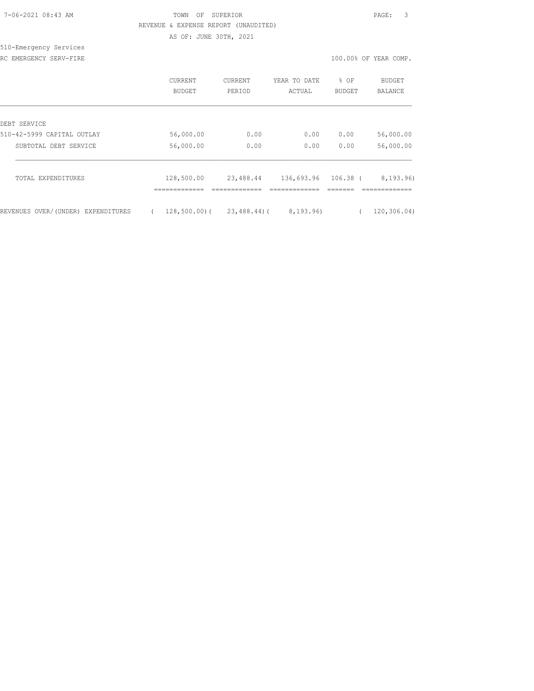| 7-06-2021 08:43 AM |  |
|--------------------|--|
|                    |  |

## TOWN OF SUPERIOR **PAGE:** 3 REVENUE & EXPENSE REPORT (UNAUDITED)

AS OF: JUNE 30TH, 2021

#### 510-Emergency Services RC EMERGENCY SERV-FIRE **100.00%** OF YEAR COMP.

|                                       | CURRENT<br><b>BUDGET</b> | <b>CURRENT</b><br>PERIOD | YEAR TO DATE<br>ACTUAL | % OF<br><b>BUDGET</b> | <b>BUDGET</b><br>BALANCE |
|---------------------------------------|--------------------------|--------------------------|------------------------|-----------------------|--------------------------|
| DEBT SERVICE                          |                          |                          |                        |                       |                          |
| 510-42-5999 CAPITAL OUTLAY            | 56,000.00                | 0.00                     | 0.00                   | 0.00                  | 56,000.00                |
| SUBTOTAL DEBT SERVICE                 | 56,000.00                | 0.00                     | 0.00                   | 0.00                  | 56,000.00                |
| TOTAL EXPENDITURES                    | 128,500.00               | 23,488.44                | 136,693.96             | $106.38$ (            | 8,193.96)                |
| REVENUES OVER/(UNDER)<br>EXPENDITURES | $128,500.00)$ (          | $23,488,44)$ (           | 8,193.96)              |                       | 120, 306.04)             |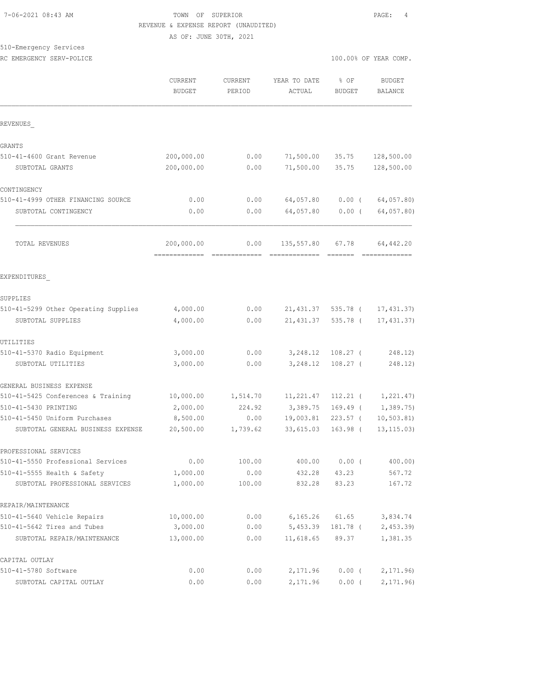#### 7-06-2021 08:43 AM TOWN OF SUPERIOR PAGE: 4 REVENUE & EXPENSE REPORT (UNAUDITED) AS OF: JUNE 30TH, 2021

510-Emergency Services

RC EMERGENCY SERV-POLICE **100.000 CF** YEAR COMP.

|                                      | CURRENT<br><b>BUDGET</b> | CURRENT<br>PERIOD | YEAR TO DATE<br>ACTUAL | % OF<br><b>BUDGET</b> | <b>BUDGET</b><br><b>BALANCE</b> |
|--------------------------------------|--------------------------|-------------------|------------------------|-----------------------|---------------------------------|
| REVENUES                             |                          |                   |                        |                       |                                 |
| <b>GRANTS</b>                        |                          |                   |                        |                       |                                 |
| 510-41-4600 Grant Revenue            | 200,000.00               | 0.00              | 71,500.00              | 35.75                 | 128,500.00                      |
| SUBTOTAL GRANTS                      | 200,000.00               | 0.00              | 71,500.00              | 35.75                 | 128,500.00                      |
| CONTINGENCY                          |                          |                   |                        |                       |                                 |
| 510-41-4999 OTHER FINANCING SOURCE   | 0.00                     | 0.00              | 64,057.80              | $0.00$ (              | 64,057.80)                      |
| SUBTOTAL CONTINGENCY                 | 0.00                     | 0.00              | 64,057.80              | $0.00$ (              | 64,057.80)                      |
| TOTAL REVENUES                       | 200,000.00               | 0.00              | 135,557.80             | 67.78                 | 64, 442.20                      |
|                                      | =============            |                   |                        |                       |                                 |
| EXPENDITURES                         |                          |                   |                        |                       |                                 |
| SUPPLIES                             |                          |                   |                        |                       |                                 |
| 510-41-5299 Other Operating Supplies | 4,000.00                 | 0.00              |                        | 21,431.37 535.78 (    | 17,431.37)                      |
| SUBTOTAL SUPPLIES                    | 4,000.00                 | 0.00              | 21, 431.37             | 535.78 (              | 17,431.37                       |
| UTILITIES                            |                          |                   |                        |                       |                                 |
| 510-41-5370 Radio Equipment          | 3,000.00                 | 0.00              | 3,248.12               | $108.27$ (            | 248.12)                         |
| SUBTOTAL UTILITIES                   | 3,000.00                 | 0.00              | 3,248.12               | $108.27$ (            | 248.12)                         |
| GENERAL BUSINESS EXPENSE             |                          |                   |                        |                       |                                 |
| 510-41-5425 Conferences & Training   | 10,000.00                | 1,514.70          | 11,221.47              | 112.21 (              | 1,221.47)                       |
| 510-41-5430 PRINTING                 | 2,000.00                 | 224.92            | 3,389.75               | 169.49 (              | 1,389.75)                       |
| 510-41-5450 Uniform Purchases        | 8,500.00                 | 0.00              | 19,003.81              | $223.57$ (            | 10, 503.81                      |
| SUBTOTAL GENERAL BUSINESS EXPENSE    | 20,500.00                | 1,739.62          | 33,615.03              | 163.98 (              | 13, 115.03)                     |
| PROFESSIONAL SERVICES                |                          |                   |                        |                       |                                 |
| 510-41-5550 Professional Services    | 0.00                     | 100.00            | 400.00                 | $0.00$ (              | 400.00)                         |
| 510-41-5555 Health & Safety          | 1,000.00                 | 0.00              | 432.28                 | 43.23                 | 567.72                          |
| SUBTOTAL PROFESSIONAL SERVICES       | 1,000.00                 | 100.00            | 832.28                 | 83.23                 | 167.72                          |
| REPAIR/MAINTENANCE                   |                          |                   |                        |                       |                                 |
| 510-41-5640 Vehicle Repairs          | 10,000.00                | 0.00              | 6, 165.26              | 61.65                 | 3,834.74                        |
| 510-41-5642 Tires and Tubes          | 3,000.00                 | 0.00              | 5,453.39               | 181.78 (              | 2,453.39                        |
| SUBTOTAL REPAIR/MAINTENANCE          | 13,000.00                | 0.00              | 11,618.65              | 89.37                 | 1,381.35                        |
| CAPITAL OUTLAY                       |                          |                   |                        |                       |                                 |
| 510-41-5780 Software                 | 0.00                     | 0.00              | 2,171.96               | $0.00$ (              | 2,171.96                        |
| SUBTOTAL CAPITAL OUTLAY              | 0.00                     | 0.00              | 2,171.96               | $0.00$ (              | 2,171.96)                       |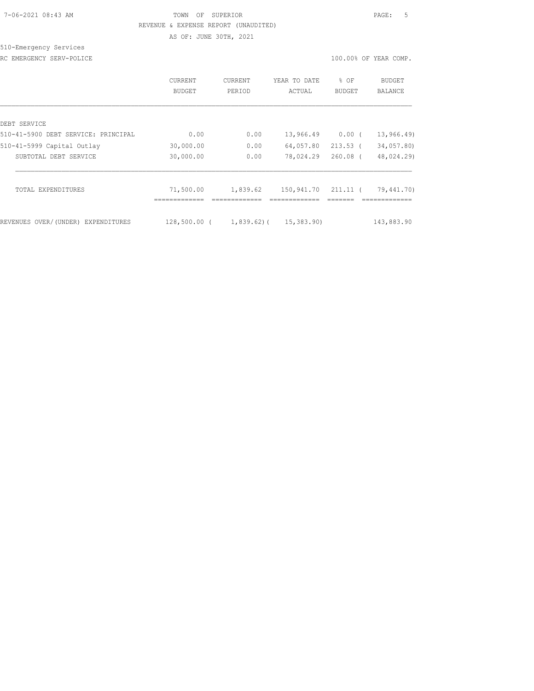#### 7-06-2021 08:43 AM TOWN OF SUPERIOR PAGE: 5 REVENUE & EXPENSE REPORT (UNAUDITED) AS OF: JUNE 30TH, 2021

510-Emergency Services

RC EMERGENCY SERV-POLICE **EXECUTE:** 100.00% OF YEAR COMP.

|                                     | CURRENT<br>BUDGET | <b>CURRENT</b><br>PERIOD | YEAR TO DATE<br>ACTUAL | % OF<br><b>BUDGET</b> | BUDGET<br>BALANCE |
|-------------------------------------|-------------------|--------------------------|------------------------|-----------------------|-------------------|
| DEBT SERVICE                        |                   |                          |                        |                       |                   |
| 510-41-5900 DEBT SERVICE: PRINCIPAL | 0.00              | 0.00                     | 13,966.49              | 0.00(                 | 13,966.49         |
| 510-41-5999 Capital Outlay          | 30,000.00         | 0.00                     | 64,057.80              | $213.53$ (            | 34,057.80)        |
| SUBTOTAL DEBT SERVICE               | 30,000.00         | 0.00                     | 78,024.29              | $260.08$ (            | 48,024.29)        |
| TOTAL EXPENDITURES                  | 71,500.00         | 1,839.62                 | 150,941.70             | 211.11 (              | 79,441.70)        |
| REVENUES OVER/(UNDER) EXPENDITURES  | 128,500.00 (      |                          | 1,839.62)( 15,383.90)  |                       | 143,883.90        |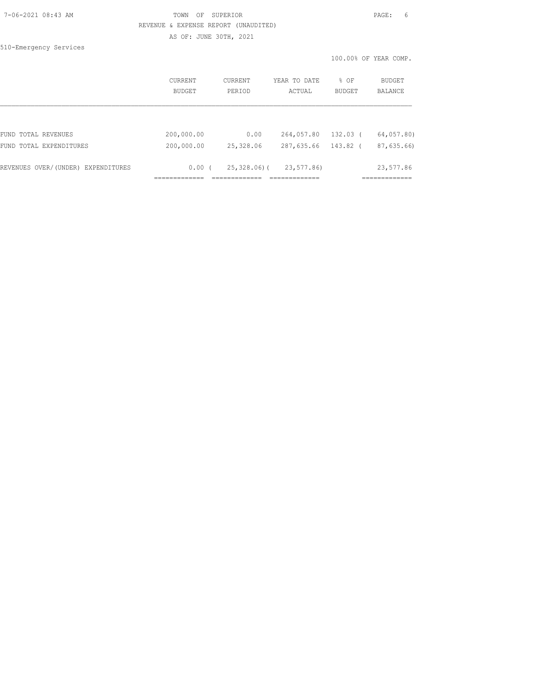| 7-06-2021 08:43 AM |  |
|--------------------|--|
|                    |  |

#### TOWN OF SUPERIOR **PAGE:** 6 REVENUE & EXPENSE REPORT (UNAUDITED) AS OF: JUNE 30TH, 2021

510-Emergency Services

|                                    | CURRENT<br>BUDGET | CURRENT<br>PERIOD | YEAR TO DATE<br>ACTUAL | % OF<br>BUDGET | <b>BUDGET</b><br>BALANCE |
|------------------------------------|-------------------|-------------------|------------------------|----------------|--------------------------|
|                                    |                   |                   |                        |                |                          |
| FUND TOTAL REVENUES                | 200,000.00        | 0.00              | 264,057.80             | 132.03 (       | 64,057.80)               |
| FUND TOTAL EXPENDITURES            | 200,000.00        | 25,328.06         | 287,635.66             | 143.82 (       | 87,635.66)               |
| REVENUES OVER/(UNDER) EXPENDITURES | $0.00$ (          | 25,328.06)(       | 23,577.86)             |                | 23,577.86                |
|                                    |                   |                   |                        |                |                          |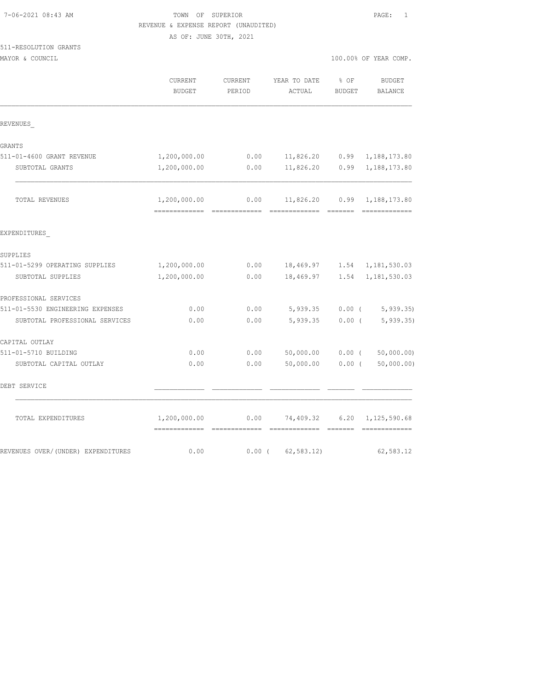| 7-06-2021 08:43 AM |  |
|--------------------|--|
|                    |  |

## TOWN OF SUPERIOR **PAGE:** 1 REVENUE & EXPENSE REPORT (UNAUDITED)

AS OF: JUNE 30TH, 2021

## 511-RESOLUTION GRANTS

|  | MAYOR & COUNCIL |  |
|--|-----------------|--|
|  |                 |  |

| 100.00% OF YEAR COMP.<br>MAYOR & COUNCIL |
|------------------------------------------|
|------------------------------------------|

|                                    | CURRENT<br><b>BUDGET</b>       | <b>CURRENT</b><br>PERIOD | YEAR TO DATE<br>ACTUAL                                                                                                                                                                                                                                                                                                                                                                                                                                                                        | % OF<br><b>BUDGET</b> | <b>BUDGET</b><br><b>BALANCE</b> |
|------------------------------------|--------------------------------|--------------------------|-----------------------------------------------------------------------------------------------------------------------------------------------------------------------------------------------------------------------------------------------------------------------------------------------------------------------------------------------------------------------------------------------------------------------------------------------------------------------------------------------|-----------------------|---------------------------------|
| REVENUES                           |                                |                          |                                                                                                                                                                                                                                                                                                                                                                                                                                                                                               |                       |                                 |
| GRANTS                             |                                |                          |                                                                                                                                                                                                                                                                                                                                                                                                                                                                                               |                       |                                 |
| 511-01-4600 GRANT REVENUE          | 1,200,000.00                   | 0.00                     | 11,826.20 0.99                                                                                                                                                                                                                                                                                                                                                                                                                                                                                |                       | 1,188,173.80                    |
| SUBTOTAL GRANTS                    | 1,200,000.00                   | 0.00                     | 11,826.20                                                                                                                                                                                                                                                                                                                                                                                                                                                                                     | 0.99                  | 1,188,173.80                    |
| TOTAL REVENUES                     | 1,200,000.00                   | 0.00                     | 11,826.20                                                                                                                                                                                                                                                                                                                                                                                                                                                                                     | 0.99                  | 1,188,173.80                    |
| EXPENDITURES                       | ============================== |                          | $\begin{tabular}{lllllllllllll} \multicolumn{3}{l}{{\color{red}\textbf{a}}}&\multicolumn{3}{l}{\color{blue}\textbf{a}}&\multicolumn{3}{l}{\color{blue}\textbf{a}}&\multicolumn{3}{l}{\color{blue}\textbf{a}}&\multicolumn{3}{l}{\color{blue}\textbf{a}}&\multicolumn{3}{l}{\color{blue}\textbf{a}}&\multicolumn{3}{l}{\color{blue}\textbf{a}}&\multicolumn{3}{l}{\color{blue}\textbf{a}}&\multicolumn{3}{l}{\color{blue}\textbf{a}}&\multicolumn{3}{l}{\color{blue}\textbf{a}}&\multicolumn{$ |                       | =============                   |
| SUPPLIES                           |                                |                          |                                                                                                                                                                                                                                                                                                                                                                                                                                                                                               |                       |                                 |
| 511-01-5299 OPERATING SUPPLIES     | 1,200,000.00                   | 0.00                     | 18,469.97 1.54                                                                                                                                                                                                                                                                                                                                                                                                                                                                                |                       | 1,181,530.03                    |
| SUBTOTAL SUPPLIES                  | 1,200,000.00                   | 0.00                     | 18,469.97                                                                                                                                                                                                                                                                                                                                                                                                                                                                                     | 1.54                  | 1,181,530.03                    |
| PROFESSIONAL SERVICES              |                                |                          |                                                                                                                                                                                                                                                                                                                                                                                                                                                                                               |                       |                                 |
| 511-01-5530 ENGINEERING EXPENSES   | 0.00                           | 0.00                     | 5,939.35                                                                                                                                                                                                                                                                                                                                                                                                                                                                                      |                       | $0.00$ ( 5,939.35)              |
| SUBTOTAL PROFESSIONAL SERVICES     | 0.00                           | 0.00                     | 5,939.35                                                                                                                                                                                                                                                                                                                                                                                                                                                                                      | 0.00(                 | 5, 939.35                       |
| CAPITAL OUTLAY                     |                                |                          |                                                                                                                                                                                                                                                                                                                                                                                                                                                                                               |                       |                                 |
| 511-01-5710 BUILDING               | 0.00                           | 0.00                     | 50,000.00                                                                                                                                                                                                                                                                                                                                                                                                                                                                                     | $0.00$ (              | 50,000.00)                      |
| SUBTOTAL CAPITAL OUTLAY            | 0.00                           | 0.00                     | 50,000.00                                                                                                                                                                                                                                                                                                                                                                                                                                                                                     | $0.00$ (              | 50,000.00)                      |
| DEBT SERVICE                       |                                |                          |                                                                                                                                                                                                                                                                                                                                                                                                                                                                                               |                       |                                 |
| TOTAL EXPENDITURES                 | 1,200,000.00<br>=============  | 0.00                     | 74,409.32                                                                                                                                                                                                                                                                                                                                                                                                                                                                                     | 6.20                  | 1,125,590.68                    |
| REVENUES OVER/(UNDER) EXPENDITURES | 0.00                           |                          | $0.00$ ( $62,583.12$ )                                                                                                                                                                                                                                                                                                                                                                                                                                                                        |                       | 62,583.12                       |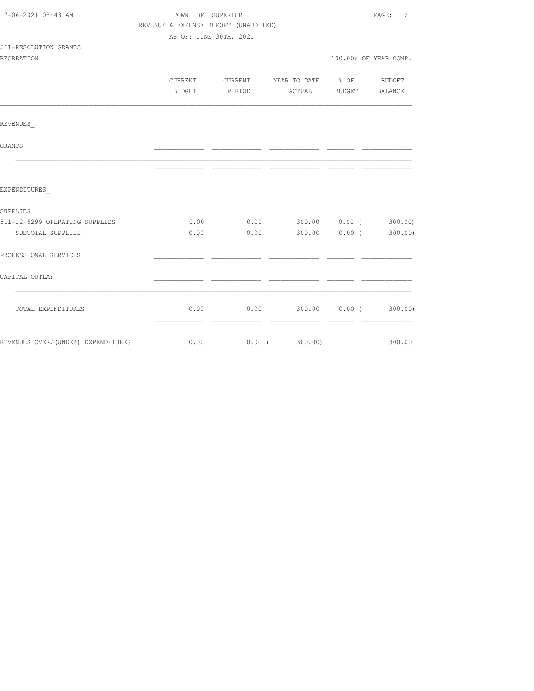| 7-06-2021 08:43 AM                  | TOWN OF SUPERIOR                     |               |                                             | PAGE: 2               |
|-------------------------------------|--------------------------------------|---------------|---------------------------------------------|-----------------------|
|                                     | REVENUE & EXPENSE REPORT (UNAUDITED) |               |                                             |                       |
|                                     | AS OF: JUNE 30TH, 2021               |               |                                             |                       |
| 511-RESOLUTION GRANTS               |                                      |               |                                             |                       |
| RECREATION                          |                                      |               |                                             | 100.00% OF YEAR COMP. |
|                                     |                                      |               | CURRENT CURRENT YEAR TO DATE % OF BUDGET    |                       |
|                                     |                                      | BUDGET PERIOD | ACTUAL BUDGET BALANCE                       |                       |
| REVENUES                            |                                      |               |                                             |                       |
|                                     |                                      |               |                                             |                       |
| GRANTS                              |                                      |               |                                             |                       |
|                                     |                                      |               |                                             |                       |
| EXPENDITURES                        |                                      |               |                                             |                       |
| SUPPLIES                            |                                      |               |                                             |                       |
| 511-12-5299 OPERATING SUPPLIES      |                                      |               | $0.00$ 0.00 300.00 0.00 (300.00)            |                       |
| SUBTOTAL SUPPLIES                   | 0.00                                 |               | $0.00$ 300.00 0.00 (300.00)                 |                       |
| PROFESSIONAL SERVICES               |                                      |               |                                             |                       |
| CAPITAL OUTLAY                      |                                      |               |                                             |                       |
|                                     |                                      |               |                                             |                       |
| TOTAL EXPENDITURES                  |                                      |               | $0.00$ $0.00$ $300.00$ $0.00$ $($ $300.00)$ |                       |
| REVENUES OVER/ (UNDER) EXPENDITURES |                                      |               | $0.00$ $0.00$ ( $300.00$ )                  | 300.00                |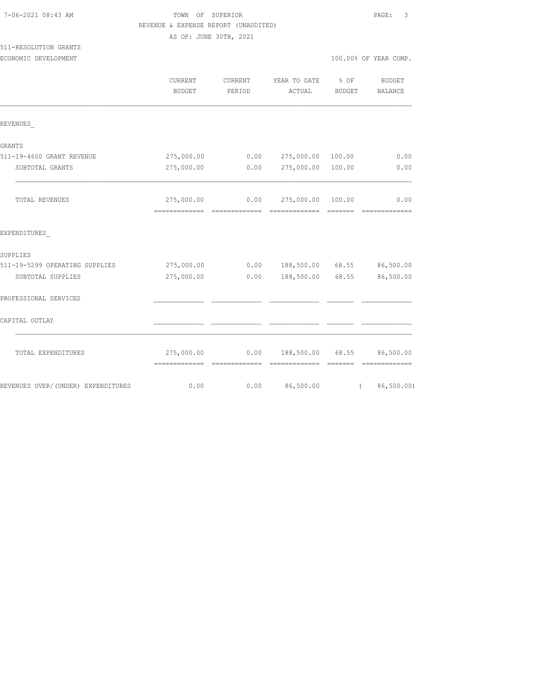| 7-06-2021 08:43 AM |  |
|--------------------|--|
|                    |  |

## TOWN OF SUPERIOR **Example 2018** PAGE: 3 REVENUE & EXPENSE REPORT (UNAUDITED)

AS OF: JUNE 30TH, 2021

## 511-RESOLUTION GRANTS

| ECONOMIC DEVELOPMENT |
|----------------------|
|                      |

|                                    | <b>CURRENT</b><br><b>BUDGET</b> | <b>CURRENT</b><br>PERIOD | YEAR TO DATE<br>ACTUAL                                                                                                                                                                                                                                                                                                                                                                                                                                                                                     | % OF<br><b>BUDGET</b>       | <b>BUDGET</b><br>BALANCE                                                                                                                                                                                                                                                                                                                                                                                                                                                                           |
|------------------------------------|---------------------------------|--------------------------|------------------------------------------------------------------------------------------------------------------------------------------------------------------------------------------------------------------------------------------------------------------------------------------------------------------------------------------------------------------------------------------------------------------------------------------------------------------------------------------------------------|-----------------------------|----------------------------------------------------------------------------------------------------------------------------------------------------------------------------------------------------------------------------------------------------------------------------------------------------------------------------------------------------------------------------------------------------------------------------------------------------------------------------------------------------|
| REVENUES                           |                                 |                          |                                                                                                                                                                                                                                                                                                                                                                                                                                                                                                            |                             |                                                                                                                                                                                                                                                                                                                                                                                                                                                                                                    |
| GRANTS                             |                                 |                          |                                                                                                                                                                                                                                                                                                                                                                                                                                                                                                            |                             |                                                                                                                                                                                                                                                                                                                                                                                                                                                                                                    |
| 511-19-4600 GRANT REVENUE          | 275,000.00                      | 0.00                     | 275,000.00                                                                                                                                                                                                                                                                                                                                                                                                                                                                                                 | 100.00                      | 0.00                                                                                                                                                                                                                                                                                                                                                                                                                                                                                               |
| SUBTOTAL GRANTS                    | 275,000.00                      | 0.00                     | 275,000.00 100.00                                                                                                                                                                                                                                                                                                                                                                                                                                                                                          |                             | 0.00                                                                                                                                                                                                                                                                                                                                                                                                                                                                                               |
| TOTAL REVENUES                     | 275,000.00                      |                          | $0.00$ 275,000.00 100.00                                                                                                                                                                                                                                                                                                                                                                                                                                                                                   |                             | 0.00<br>$\begin{minipage}{0.9\linewidth} \begin{tabular}{l} \multicolumn{2}{l}{} & \multicolumn{2}{l}{} & \multicolumn{2}{l}{} \\ \multicolumn{2}{l}{} & \multicolumn{2}{l}{} & \multicolumn{2}{l}{} \\ \multicolumn{2}{l}{} & \multicolumn{2}{l}{} & \multicolumn{2}{l}{} \\ \multicolumn{2}{l}{} & \multicolumn{2}{l}{} & \multicolumn{2}{l}{} \\ \multicolumn{2}{l}{} & \multicolumn{2}{l}{} & \multicolumn{2}{l}{} \\ \multicolumn{2}{l}{} & \multicolumn{2}{l}{} & \multicolumn{2}{l}{} \\ \$ |
| EXPENDITURES                       |                                 |                          |                                                                                                                                                                                                                                                                                                                                                                                                                                                                                                            |                             |                                                                                                                                                                                                                                                                                                                                                                                                                                                                                                    |
| SUPPLIES                           |                                 |                          |                                                                                                                                                                                                                                                                                                                                                                                                                                                                                                            |                             |                                                                                                                                                                                                                                                                                                                                                                                                                                                                                                    |
| 511-19-5299 OPERATING SUPPLIES     | 275,000.00                      | 0.00                     | 188,500.00 68.55                                                                                                                                                                                                                                                                                                                                                                                                                                                                                           |                             | 86,500.00                                                                                                                                                                                                                                                                                                                                                                                                                                                                                          |
| SUBTOTAL SUPPLIES                  | 275,000.00                      | 0.00                     | 188,500.00 68.55                                                                                                                                                                                                                                                                                                                                                                                                                                                                                           |                             | 86,500.00                                                                                                                                                                                                                                                                                                                                                                                                                                                                                          |
| PROFESSIONAL SERVICES              |                                 |                          |                                                                                                                                                                                                                                                                                                                                                                                                                                                                                                            |                             |                                                                                                                                                                                                                                                                                                                                                                                                                                                                                                    |
| CAPITAL OUTLAY                     |                                 |                          |                                                                                                                                                                                                                                                                                                                                                                                                                                                                                                            |                             |                                                                                                                                                                                                                                                                                                                                                                                                                                                                                                    |
| TOTAL EXPENDITURES                 | 275,000.00<br>-------------     | 0.00<br>--------------   | 188,500.00 68.55<br>$\begin{array}{cccccccccccccc} \multicolumn{2}{c}{} & \multicolumn{2}{c}{} & \multicolumn{2}{c}{} & \multicolumn{2}{c}{} & \multicolumn{2}{c}{} & \multicolumn{2}{c}{} & \multicolumn{2}{c}{} & \multicolumn{2}{c}{} & \multicolumn{2}{c}{} & \multicolumn{2}{c}{} & \multicolumn{2}{c}{} & \multicolumn{2}{c}{} & \multicolumn{2}{c}{} & \multicolumn{2}{c}{} & \multicolumn{2}{c}{} & \multicolumn{2}{c}{} & \multicolumn{2}{c}{} & \multicolumn{2}{c}{} & \multicolumn{2}{c}{} & \$ | $=$ $=$ $=$ $=$ $=$ $=$ $=$ | 86,500.00<br>=============                                                                                                                                                                                                                                                                                                                                                                                                                                                                         |
| REVENUES OVER/(UNDER) EXPENDITURES | 0.00                            | 0.00                     | 86,500.00                                                                                                                                                                                                                                                                                                                                                                                                                                                                                                  | $\left($                    | 86, 500.00)                                                                                                                                                                                                                                                                                                                                                                                                                                                                                        |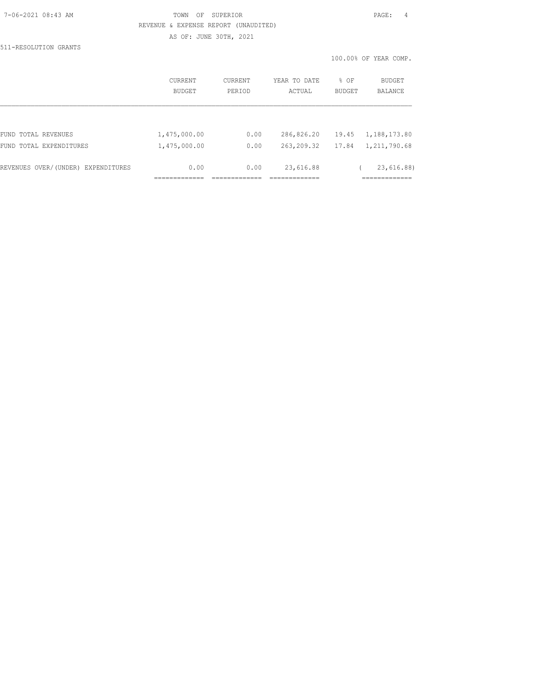| 7-06-2021 08:43 AM |  |
|--------------------|--|
|                    |  |

#### TOWN OF SUPERIOR **PAGE:** 4 REVENUE & EXPENSE REPORT (UNAUDITED) AS OF: JUNE 30TH, 2021

511-RESOLUTION GRANTS

|                                    | CURRENT<br>BUDGET | <b>CURRENT</b><br>PERIOD | YEAR TO DATE<br>ACTUAL | % OF<br><b>BUDGET</b> | BUDGET<br><b>BALANCE</b> |
|------------------------------------|-------------------|--------------------------|------------------------|-----------------------|--------------------------|
|                                    |                   |                          |                        |                       |                          |
| FUND TOTAL REVENUES                | 1,475,000.00      | 0.00                     | 286,826.20             | 19.45                 | 1,188,173.80             |
| FUND TOTAL EXPENDITURES            | 1,475,000.00      | 0.00                     | 263,209.32             | 17.84                 | 1,211,790.68             |
| REVENUES OVER/(UNDER) EXPENDITURES | 0.00              | 0.00                     | 23,616.88              |                       | 23,616.88)               |
|                                    |                   |                          |                        |                       |                          |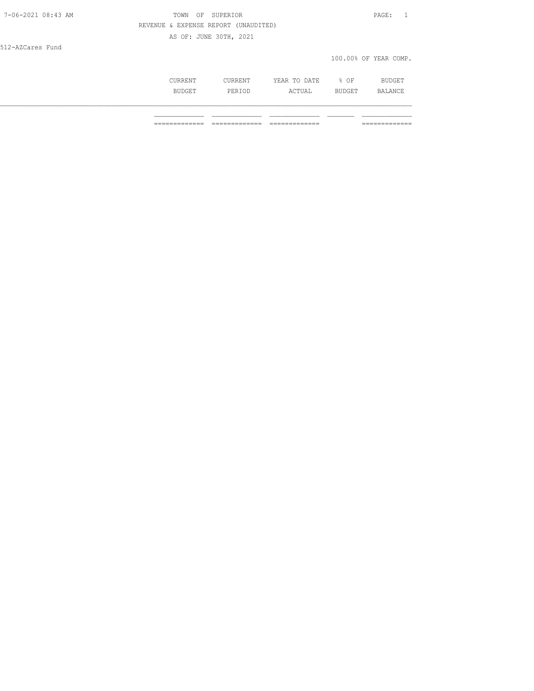| 7-06-2021 08:43 AM | TOWN<br>OF<br>SUPERIOR               | PAGE:                 |
|--------------------|--------------------------------------|-----------------------|
|                    | REVENUE & EXPENSE REPORT (UNAUDITED) |                       |
|                    | AS OF: JUNE 30TH, 2021               |                       |
| 512-AZCares Fund   |                                      |                       |
|                    |                                      | 100.00% OF YEAR COMP. |
|                    |                                      |                       |

| CURRENT       | CURRENT | YEAR TO DATE | % OF   | BUDGET  |
|---------------|---------|--------------|--------|---------|
| <b>BUDGET</b> | PERIOD  | ACTUAL       | BUDGET | BALANCE |
|               |         |              |        |         |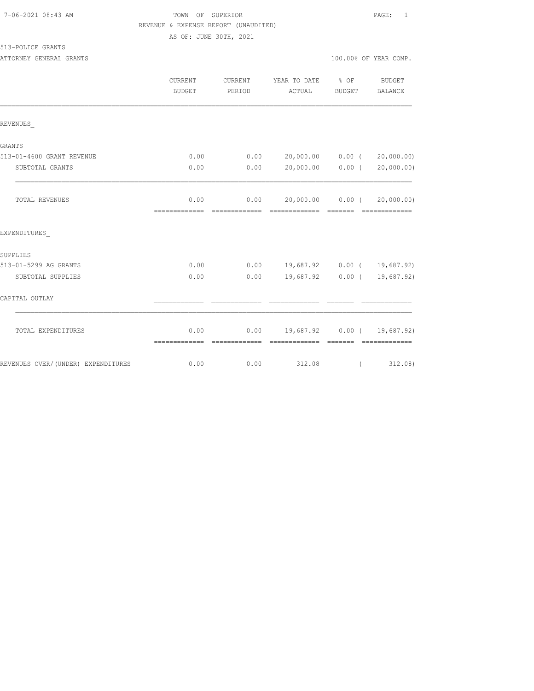| 7-06-2021 08:43 AM |  |
|--------------------|--|
|                    |  |

### TOWN OF SUPERIOR **PAGE:** 1 REVENUE & EXPENSE REPORT (UNAUDITED)

AS OF: JUNE 30TH, 2021

513-POLICE GRANTS

ATTORNEY GENERAL GRANTS **ATTORY OF A SEXUAL SERVITS** 100.00% OF YEAR COMP.

|                                    | <b>CURRENT</b><br><b>BUDGET</b> | CURRENT<br>PERIOD | YEAR TO DATE % OF<br>ACTUAL        | BUDGET   | BUDGET<br>BALANCE                 |
|------------------------------------|---------------------------------|-------------------|------------------------------------|----------|-----------------------------------|
| REVENUES                           |                                 |                   |                                    |          |                                   |
| GRANTS                             |                                 |                   |                                    |          |                                   |
| 513-01-4600 GRANT REVENUE          | 0.00                            | 0.00              |                                    |          | 20,000.00   0.00   (   20,000.00) |
| SUBTOTAL GRANTS                    | 0.00                            | 0.00              | 20,000.00 0.00 (                   |          | 20,000.00)                        |
| TOTAL REVENUES                     | 0.00                            |                   | $0.00$ 20,000.00 0.00 (            |          | 20,000.00)                        |
| EXPENDITURES                       |                                 |                   |                                    |          |                                   |
| SUPPLIES                           |                                 |                   |                                    |          |                                   |
| 513-01-5299 AG GRANTS              | 0.00                            |                   | $0.00$ 19,687.92 0.00 ( 19,687.92) |          |                                   |
| SUBTOTAL SUPPLIES                  | 0.00                            | 0.00              |                                    |          | 19,687.92 0.00 ( 19,687.92)       |
| CAPITAL OUTLAY                     |                                 |                   |                                    |          |                                   |
| TOTAL EXPENDITURES                 | 0.00<br>=============           |                   | $0.00$ 19,687.92 0.00 ( 19,687.92) |          |                                   |
| REVENUES OVER/(UNDER) EXPENDITURES | 0.00                            | 0.00              | 312.08                             | $\left($ | 312.08)                           |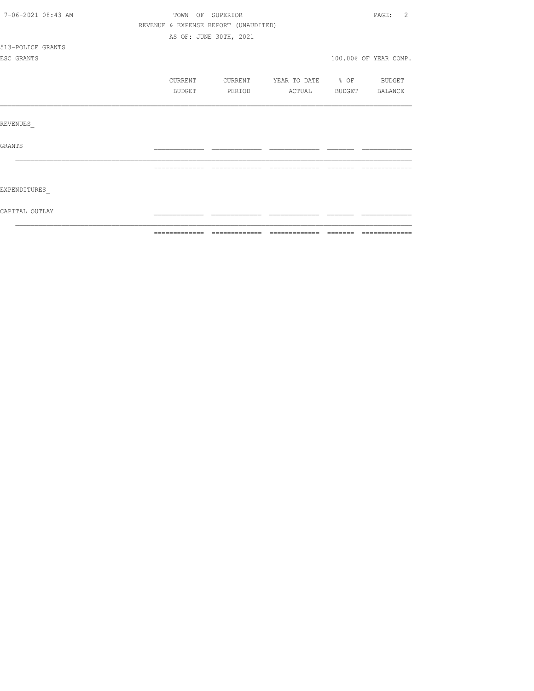| 7-06-2021 08:43 AM | TOWN OF SUPERIOR |                                      |                       |          | PAGE:<br>-2           |
|--------------------|------------------|--------------------------------------|-----------------------|----------|-----------------------|
|                    |                  | REVENUE & EXPENSE REPORT (UNAUDITED) |                       |          |                       |
|                    |                  | AS OF: JUNE 30TH, 2021               |                       |          |                       |
| 513-POLICE GRANTS  |                  |                                      |                       |          |                       |
| ESC GRANTS         |                  |                                      |                       |          | 100.00% OF YEAR COMP. |
|                    | CURRENT          | CURRENT                              | YEAR TO DATE % OF     |          | BUDGET                |
|                    | BUDGET           | PERIOD                               | ACTUAL BUDGET BALANCE |          |                       |
|                    |                  |                                      |                       |          |                       |
| REVENUES           |                  |                                      |                       |          |                       |
| GRANTS             |                  |                                      |                       |          |                       |
|                    |                  |                                      |                       |          |                       |
|                    | =============    | =============                        | =============         | -------- |                       |
| EXPENDITURES       |                  |                                      |                       |          |                       |
| CAPITAL OUTLAY     |                  |                                      |                       |          |                       |
|                    |                  |                                      |                       |          |                       |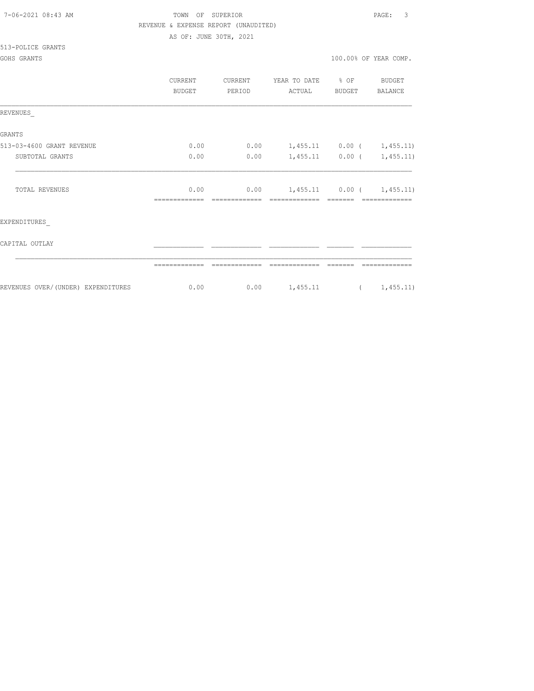| 7-06-2021 08:43 AM |  |
|--------------------|--|
|                    |  |

## TOWN OF SUPERIOR **PAGE:** 3 REVENUE & EXPENSE REPORT (UNAUDITED)

AS OF: JUNE 30TH, 2021

#### 513-POLICE GRANTS

|                                    | CURRENT<br><b>BUDGET</b> | CURRENT<br>PERIOD | YEAR TO DATE<br>ACTUAL      | $\frac{1}{2}$ OF<br>BUDGET | BUDGET<br>BALANCE           |
|------------------------------------|--------------------------|-------------------|-----------------------------|----------------------------|-----------------------------|
| REVENUES                           |                          |                   |                             |                            |                             |
| <b>GRANTS</b>                      |                          |                   |                             |                            |                             |
| 513-03-4600 GRANT REVENUE          | 0.00                     | 0.00              | $1,455.11$ 0.00 ( 1,455.11) |                            |                             |
| SUBTOTAL GRANTS                    | 0.00                     | 0.00              |                             | $1,455.11$ 0.00 (          | 1,455.11)                   |
| TOTAL REVENUES                     | 0.00                     | 0.00              |                             |                            | $1,455.11$ 0.00 ( 1,455.11) |
| EXPENDITURES                       |                          |                   |                             |                            |                             |
| CAPITAL OUTLAY                     |                          |                   |                             |                            |                             |
|                                    |                          |                   |                             |                            |                             |
| REVENUES OVER/(UNDER) EXPENDITURES | 0.00                     | 0.00              | 1,455.11                    | $\sqrt{2}$                 | 1,455.11)                   |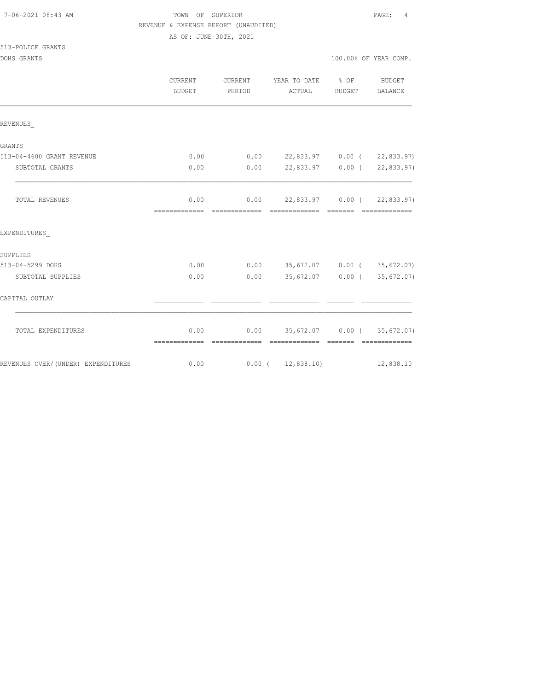| 7-06-2021 08:43 AM |  |
|--------------------|--|
|                    |  |

### TOWN OF SUPERIOR **PAGE:** 4 REVENUE & EXPENSE REPORT (UNAUDITED)

AS OF: JUNE 30TH, 2021

| 513-POLICE GRANTS |  |
|-------------------|--|
|-------------------|--|

|                                    | <b>CURRENT</b><br><b>BUDGET</b> | CURRENT<br>PERIOD | YEAR TO DATE<br>ACTUAL              | $8$ OF<br>BUDGET | BUDGET<br><b>BALANCE</b> |
|------------------------------------|---------------------------------|-------------------|-------------------------------------|------------------|--------------------------|
| REVENUES                           |                                 |                   |                                     |                  |                          |
| GRANTS                             |                                 |                   |                                     |                  |                          |
| 513-04-4600 GRANT REVENUE          | 0.00                            |                   | $0.00$ 22,833.97 0.00 ( 22,833.97)  |                  |                          |
| SUBTOTAL GRANTS                    | 0.00                            | 0.00              | 22,833.97 0.00 (22,833.97)          |                  |                          |
| TOTAL REVENUES                     | 0.00                            |                   | $0.00$ 22,833.97 0.00 ( 22,833.97)  |                  |                          |
| EXPENDITURES                       |                                 |                   |                                     |                  |                          |
| SUPPLIES                           |                                 |                   |                                     |                  |                          |
| 513-04-5299 DOHS                   | 0.00                            | 0.00              | 35,672.07 0.00 (35,672.07)          |                  |                          |
| SUBTOTAL SUPPLIES                  | 0.00                            | 0.00              | 35,672.07 0.00 (35,672.07)          |                  |                          |
| CAPITAL OUTLAY                     |                                 |                   |                                     |                  |                          |
| TOTAL EXPENDITURES                 | 0.00<br>=============           | -------------     | $0.00$ 35, 672.07 0.00 (35, 672.07) |                  | =============            |
| REVENUES OVER/(UNDER) EXPENDITURES | 0.00                            |                   | $0.00$ ( $12,838.10$ )              |                  | 12,838.10                |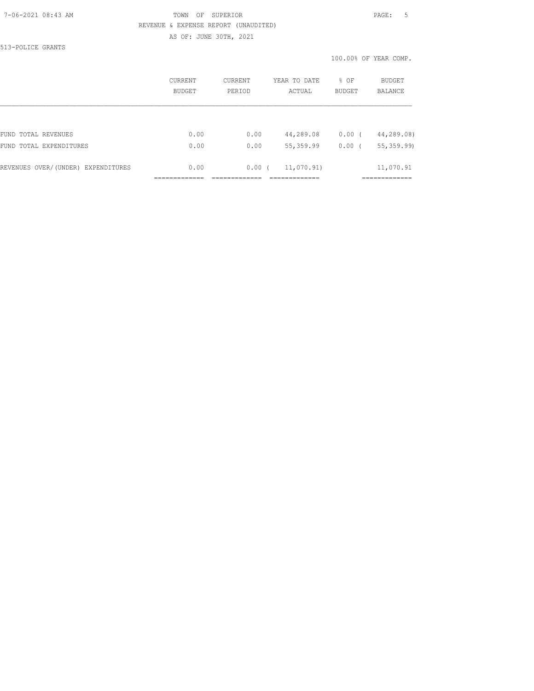#### 7-06-2021 08:43 AM TOWN OF SUPERIOR PAGE: 5 REVENUE & EXPENSE REPORT (UNAUDITED)

AS OF: JUNE 30TH, 2021

513-POLICE GRANTS

|                                    | <b>CURRENT</b><br>BUDGET | <b>CURRENT</b><br>PERIOD | YEAR TO DATE<br>ACTUAL | % OF<br><b>BUDGET</b> | BUDGET<br><b>BALANCE</b> |
|------------------------------------|--------------------------|--------------------------|------------------------|-----------------------|--------------------------|
|                                    |                          |                          |                        |                       |                          |
| FUND TOTAL REVENUES                | 0.00                     | 0.00                     | 44,289.08              | $0.00$ (              | 44,289.08)               |
| FUND TOTAL EXPENDITURES            | 0.00                     | 0.00                     | 55, 359.99             | 0.00                  | 55, 359.99)              |
| REVENUES OVER/(UNDER) EXPENDITURES | 0.00                     | 0.00(                    | 11,070.91)             |                       | 11,070.91                |
|                                    |                          |                          |                        |                       |                          |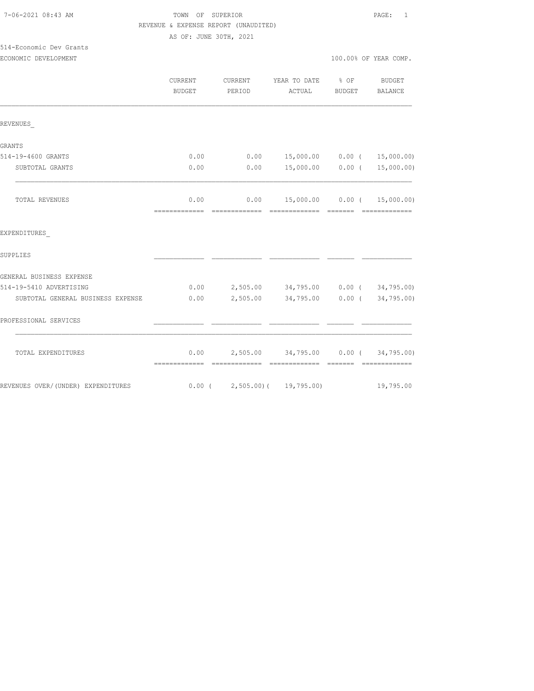| 7-06-2021 08:43 AM |  |
|--------------------|--|
|                    |  |

## TOWN OF SUPERIOR **PAGE:** 1 REVENUE & EXPENSE REPORT (UNAUDITED)

AS OF: JUNE 30TH, 2021

# 514-Economic Dev Grants

| ECONOMIC DEVELOPMENT | 100.00% OF YEAR COMP. |
|----------------------|-----------------------|
|                      |                       |

|                                    | <b>CURRENT</b><br><b>BUDGET</b> | CURRENT<br>PERIOD             | YEAR TO DATE % OF<br>ACTUAL                | BUDGET   | <b>BUDGET</b><br>BALANCE |
|------------------------------------|---------------------------------|-------------------------------|--------------------------------------------|----------|--------------------------|
| REVENUES                           |                                 |                               |                                            |          |                          |
| GRANTS                             |                                 |                               |                                            |          |                          |
| 514-19-4600 GRANTS                 | 0.00                            |                               | $0.00$ 15,000.00 0.00 ( 15,000.00)         |          |                          |
| SUBTOTAL GRANTS                    | 0.00                            | 0.00                          | 15,000.00 0.00 (                           |          | 15,000.00)               |
| TOTAL REVENUES                     | 0.00<br>=============           | -------------- -------------- | $0.00$ 15,000.00 0.00 ( 15,000.00)         | -------- | =============            |
| EXPENDITURES                       |                                 |                               |                                            |          |                          |
| SUPPLIES                           |                                 |                               |                                            |          |                          |
| GENERAL BUSINESS EXPENSE           |                                 |                               |                                            |          |                          |
| 514-19-5410 ADVERTISING            |                                 |                               | $0.00$ 2,505.00 34,795.00 0.00 (34,795.00) |          |                          |
| SUBTOTAL GENERAL BUSINESS EXPENSE  | 0.00                            |                               | 2,505.00 34,795.00 0.00 (34,795.00)        |          |                          |
| PROFESSIONAL SERVICES              |                                 |                               |                                            |          |                          |
| TOTAL EXPENDITURES                 | -------------                   |                               | $0.00$ 2,505.00 34,795.00 0.00 (34,795.00) |          |                          |
| REVENUES OVER/(UNDER) EXPENDITURES |                                 |                               | $0.00$ ( 2,505.00) ( 19,795.00)            |          | 19,795.00                |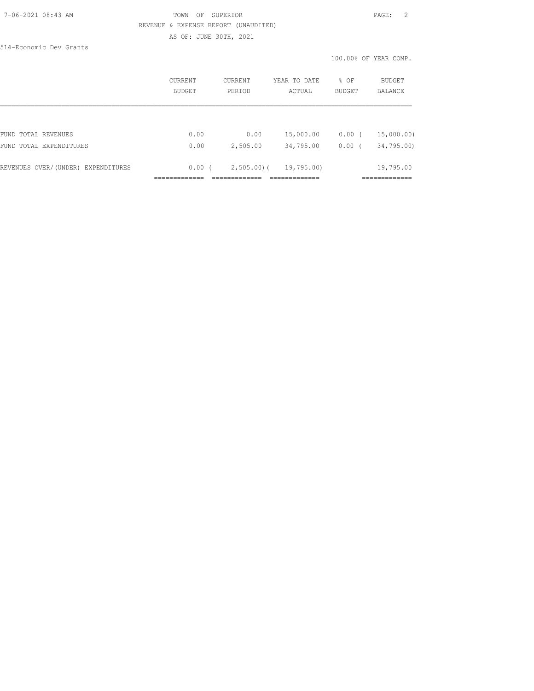#### 7-06-2021 08:43 AM TOWN OF SUPERIOR PAGE: 2 REVENUE & EXPENSE REPORT (UNAUDITED) AS OF: JUNE 30TH, 2021

514-Economic Dev Grants

|                                    | CURRENT<br><b>BUDGET</b> | CURRENT<br>PERIOD | YEAR TO DATE<br>ACTUAL | % OF<br><b>BUDGET</b> | <b>BUDGET</b><br><b>BALANCE</b> |
|------------------------------------|--------------------------|-------------------|------------------------|-----------------------|---------------------------------|
| FUND TOTAL REVENUES                | 0.00                     | 0.00              | 15,000.00              | $0.00$ (              | 15,000.00)                      |
| FUND TOTAL EXPENDITURES            | 0.00                     | 2,505.00          | 34,795.00              | $0.00$ (              | 34,795.00)                      |
| REVENUES OVER/(UNDER) EXPENDITURES | 0.00(                    | $2,505.00$ (      | 19,795.00)             |                       | 19,795.00                       |
|                                    |                          |                   |                        |                       |                                 |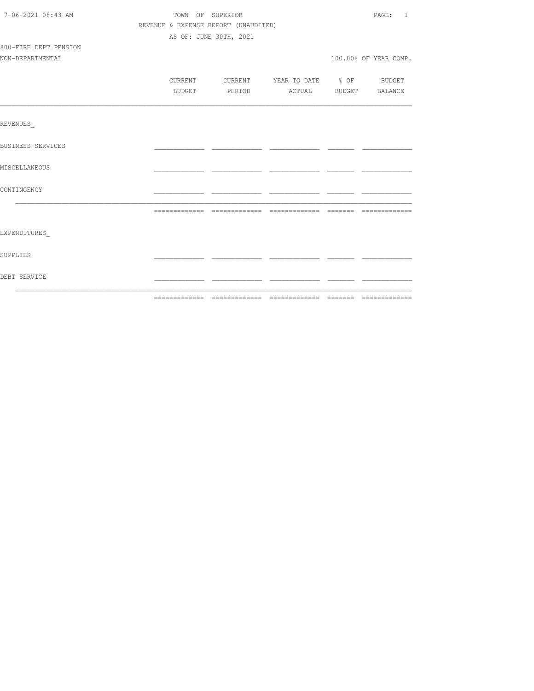| 7-06-2021 08:43 AM    | TOWN OF SUPERIOR |        | PAGE: 1                              |                                          |  |                       |
|-----------------------|------------------|--------|--------------------------------------|------------------------------------------|--|-----------------------|
|                       |                  |        | REVENUE & EXPENSE REPORT (UNAUDITED) |                                          |  |                       |
|                       |                  |        | AS OF: JUNE 30TH, 2021               |                                          |  |                       |
| 800-FIRE DEPT PENSION |                  |        |                                      |                                          |  |                       |
| NON-DEPARTMENTAL      |                  |        |                                      |                                          |  | 100.00% OF YEAR COMP. |
|                       |                  |        |                                      | CURRENT CURRENT YEAR TO DATE % OF BUDGET |  |                       |
|                       |                  | BUDGET |                                      | PERIOD ACTUAL BUDGET BALANCE             |  |                       |
|                       |                  |        |                                      |                                          |  |                       |
| REVENUES              |                  |        |                                      |                                          |  |                       |
| BUSINESS SERVICES     |                  |        |                                      |                                          |  |                       |
| MISCELLANEOUS         |                  |        |                                      |                                          |  |                       |
| CONTINGENCY           |                  |        |                                      |                                          |  |                       |
|                       |                  |        |                                      |                                          |  |                       |
| EXPENDITURES          |                  |        |                                      |                                          |  |                       |
| SUPPLIES              |                  |        |                                      |                                          |  |                       |
| DEBT SERVICE          |                  |        |                                      |                                          |  |                       |
|                       |                  |        |                                      |                                          |  |                       |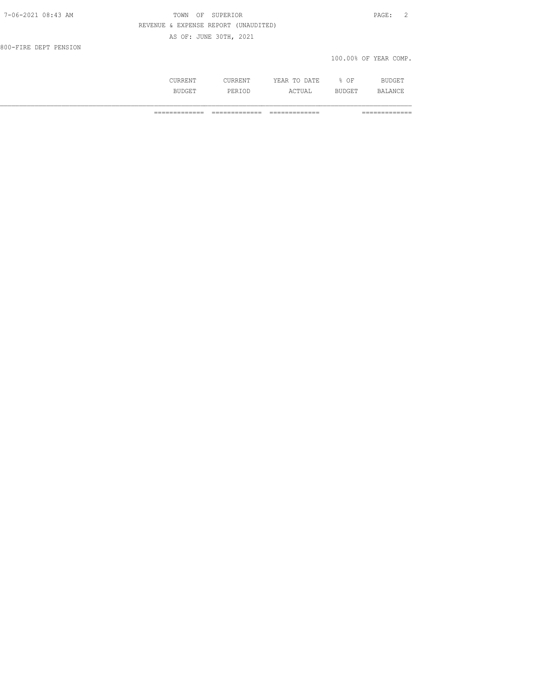| $7 - 06 - 2021$ 08:43 AM | SUPERIOR<br>TOWN<br>OF               | $\texttt{PAGE}$ :     |
|--------------------------|--------------------------------------|-----------------------|
|                          | REVENUE & EXPENSE REPORT (UNAUDITED) |                       |
|                          | AS OF: JUNE 30TH, 2021               |                       |
| 800-FIRE DEPT PENSION    |                                      |                       |
|                          |                                      | 100.00% OF YEAR COMP. |
|                          |                                      |                       |

 CURRENT CURRENT YEAR TO DATE % OF BUDGET BUDGET PERIOD ACTUAL BUDGET BALANCE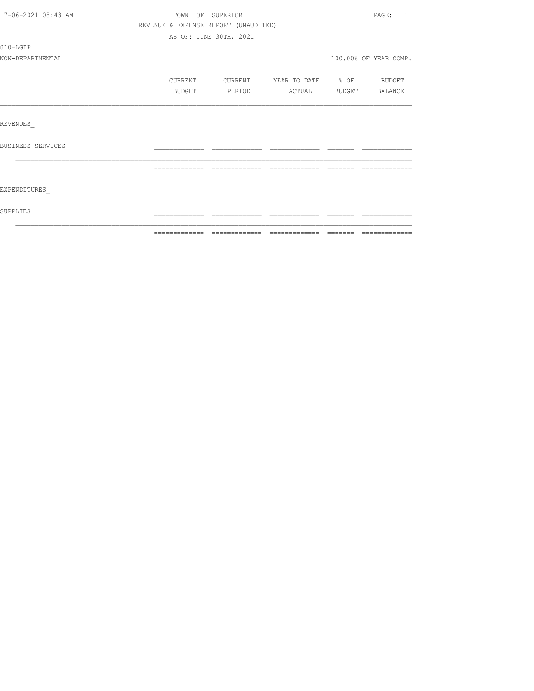| 7-06-2021 08:43 AM | TOWN OF SUPERIOR                     |                        |                          |        | PAGE: 1               |
|--------------------|--------------------------------------|------------------------|--------------------------|--------|-----------------------|
|                    | REVENUE & EXPENSE REPORT (UNAUDITED) |                        |                          |        |                       |
|                    |                                      | AS OF: JUNE 30TH, 2021 |                          |        |                       |
| 810-LGIP           |                                      |                        |                          |        |                       |
| NON-DEPARTMENTAL   |                                      |                        |                          |        | 100.00% OF YEAR COMP. |
|                    | CURRENT                              | CURRENT                | YEAR TO DATE % OF BUDGET |        |                       |
|                    | BUDGET                               | PERIOD                 | ACTUAL                   | BUDGET | BALANCE               |
|                    |                                      |                        |                          |        |                       |
| REVENUES           |                                      |                        |                          |        |                       |
| BUSINESS SERVICES  |                                      |                        |                          |        |                       |
|                    |                                      |                        |                          |        |                       |
| EXPENDITURES       |                                      |                        |                          |        |                       |
| SUPPLIES           |                                      |                        |                          |        |                       |
|                    |                                      |                        |                          |        |                       |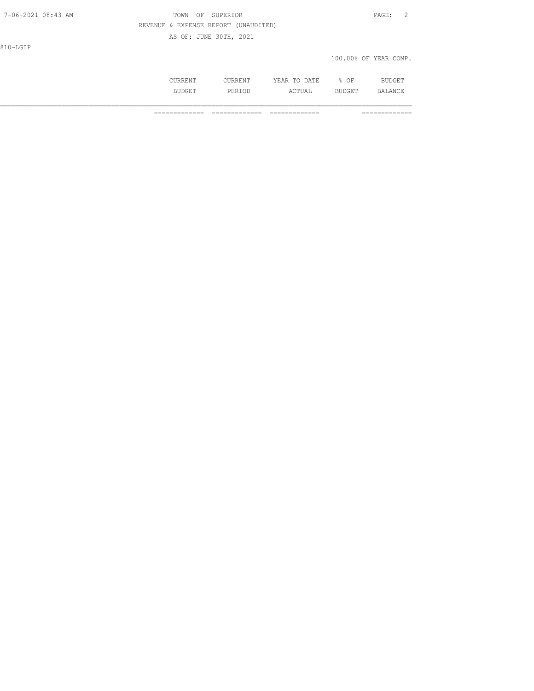| 7-06-2021 08:43 AM | TOWN OF SUPERIOR                     | $\texttt{PAGE}$ :<br>$\overline{2}$ |
|--------------------|--------------------------------------|-------------------------------------|
|                    | REVENUE & EXPENSE REPORT (UNAUDITED) |                                     |
|                    | AS OF: JUNE 30TH, 2021               |                                     |
| 810-LGIP           |                                      |                                     |
|                    |                                      | 100.00% OF YEAR COMP.               |
|                    |                                      |                                     |

| UUNNEIVI. | _____<br>UUNNEIVI    | . A T F<br>VF<br>m <sub>c</sub><br>-----<br>----- | $\cap$<br>UF | <b>BUDGE1</b>     |
|-----------|----------------------|---------------------------------------------------|--------------|-------------------|
| ידד ה     | . טיבונ<br>T EIZT OD | <b>TUAL</b><br>AU                                 | . רחר        | .ANC <sup>+</sup> |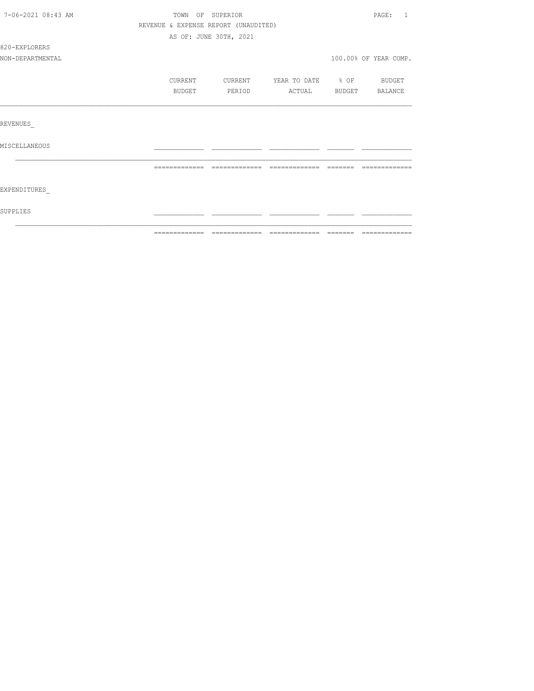| 7-06-2021 08:43 AM | TOWN OF SUPERIOR                     |                        |                          |           | PAGE:<br>$\overline{1}$ |
|--------------------|--------------------------------------|------------------------|--------------------------|-----------|-------------------------|
|                    | REVENUE & EXPENSE REPORT (UNAUDITED) |                        |                          |           |                         |
|                    |                                      | AS OF: JUNE 30TH, 2021 |                          |           |                         |
| 820-EXPLORERS      |                                      |                        |                          |           |                         |
| NON-DEPARTMENTAL   |                                      |                        |                          |           | 100.00% OF YEAR COMP.   |
|                    | CURRENT                              | CURRENT                | YEAR TO DATE % OF BUDGET |           |                         |
|                    | BUDGET                               | PERIOD                 | ACTUAL                   | BUDGET    | BALANCE                 |
|                    |                                      |                        |                          |           |                         |
| REVENUES           |                                      |                        |                          |           |                         |
| MISCELLANEOUS      |                                      |                        |                          |           |                         |
|                    | =============                        | - ==============       | --------------           | - ======= |                         |
| EXPENDITURES       |                                      |                        |                          |           |                         |
| SUPPLIES           |                                      |                        |                          |           |                         |
|                    |                                      |                        |                          |           |                         |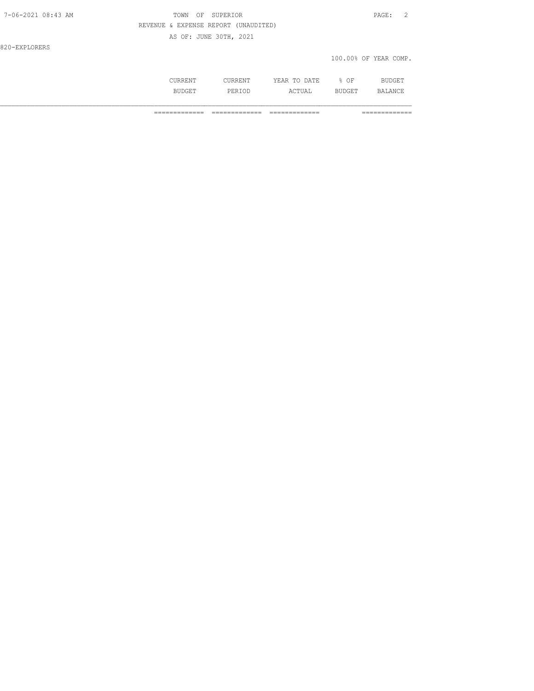|--|

#### TOWN OF SUPERIOR **PAGE:** 2 REVENUE & EXPENSE REPORT (UNAUDITED) AS OF: JUNE 30TH, 2021

820-EXPLORERS

#### 100.00% OF YEAR COMP.

|         | ת היה תרו<br>---- | ΟF | ĸ          |
|---------|-------------------|----|------------|
| - 31-11 | ◡▵                |    | '\NI<br>н. |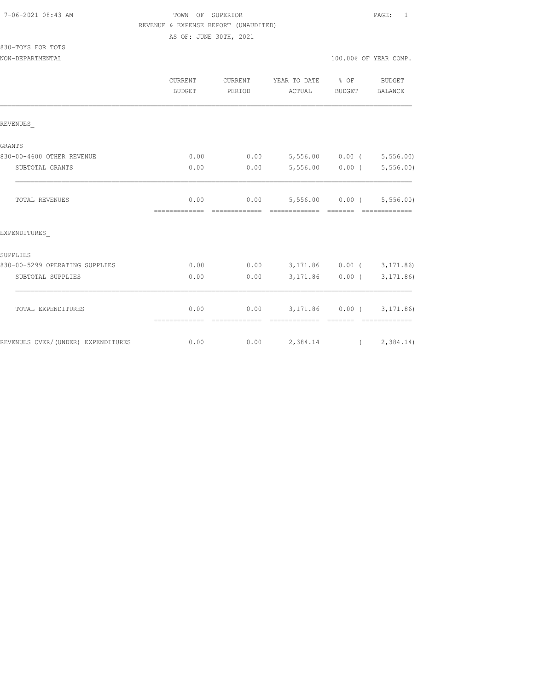## TOWN OF SUPERIOR **Example 2018** PAGE: 1 REVENUE & EXPENSE REPORT (UNAUDITED)

AS OF: JUNE 30TH, 2021

| 830-TOYS FOR TOTS |  |  |
|-------------------|--|--|
|                   |  |  |

|                                    | <b>CURRENT</b><br>BUDGET | CURRENT<br>PERIOD      | YEAR TO DATE % OF<br>ACTUAL                 | BUDGET                                                                                                                                                                                                                                                                                                                                                                                                                                                                               | <b>BUDGET</b><br><b>BALANCE</b> |
|------------------------------------|--------------------------|------------------------|---------------------------------------------|--------------------------------------------------------------------------------------------------------------------------------------------------------------------------------------------------------------------------------------------------------------------------------------------------------------------------------------------------------------------------------------------------------------------------------------------------------------------------------------|---------------------------------|
| REVENUES                           |                          |                        |                                             |                                                                                                                                                                                                                                                                                                                                                                                                                                                                                      |                                 |
| <b>GRANTS</b>                      |                          |                        |                                             |                                                                                                                                                                                                                                                                                                                                                                                                                                                                                      |                                 |
| 830-00-4600 OTHER REVENUE          | 0.00                     | 0.00                   | 5,556.00 0.00 ( 5,556.00)                   |                                                                                                                                                                                                                                                                                                                                                                                                                                                                                      |                                 |
| SUBTOTAL GRANTS                    | 0.00                     | 0.00                   |                                             |                                                                                                                                                                                                                                                                                                                                                                                                                                                                                      | $5,556.00$ 0.00 ( 5,556.00)     |
| <b>TOTAL REVENUES</b>              | 0.00<br>=============    | 0.00                   | 5,556.00 0.00 (5,556.00)<br>=============   |                                                                                                                                                                                                                                                                                                                                                                                                                                                                                      |                                 |
| EXPENDITURES                       |                          |                        |                                             |                                                                                                                                                                                                                                                                                                                                                                                                                                                                                      |                                 |
| SUPPLIES                           |                          |                        |                                             |                                                                                                                                                                                                                                                                                                                                                                                                                                                                                      |                                 |
| 830-00-5299 OPERATING SUPPLIES     | 0.00                     | 0.00                   | 3,171.86 0.00 (3,171.86)                    |                                                                                                                                                                                                                                                                                                                                                                                                                                                                                      |                                 |
| SUBTOTAL SUPPLIES                  | 0.00                     | 0.00                   |                                             | $3,171.86$ 0.00 (                                                                                                                                                                                                                                                                                                                                                                                                                                                                    | 3, 171.86)                      |
| TOTAL EXPENDITURES                 | 0.00<br>=============    | 0.00<br>-------------- | 3, 171.86 0.00 (3, 171.86)<br>============= | $\begin{array}{cccccc} \multicolumn{2}{c}{} & \multicolumn{2}{c}{} & \multicolumn{2}{c}{} & \multicolumn{2}{c}{} & \multicolumn{2}{c}{} & \multicolumn{2}{c}{} & \multicolumn{2}{c}{} & \multicolumn{2}{c}{} & \multicolumn{2}{c}{} & \multicolumn{2}{c}{} & \multicolumn{2}{c}{} & \multicolumn{2}{c}{} & \multicolumn{2}{c}{} & \multicolumn{2}{c}{} & \multicolumn{2}{c}{} & \multicolumn{2}{c}{} & \multicolumn{2}{c}{} & \multicolumn{2}{c}{} & \multicolumn{2}{c}{} & \multic$ | - cocococococo                  |
| REVENUES OVER/(UNDER) EXPENDITURES | 0.00                     |                        | $0.00$ 2, 384.14 (2, 384.14)                |                                                                                                                                                                                                                                                                                                                                                                                                                                                                                      |                                 |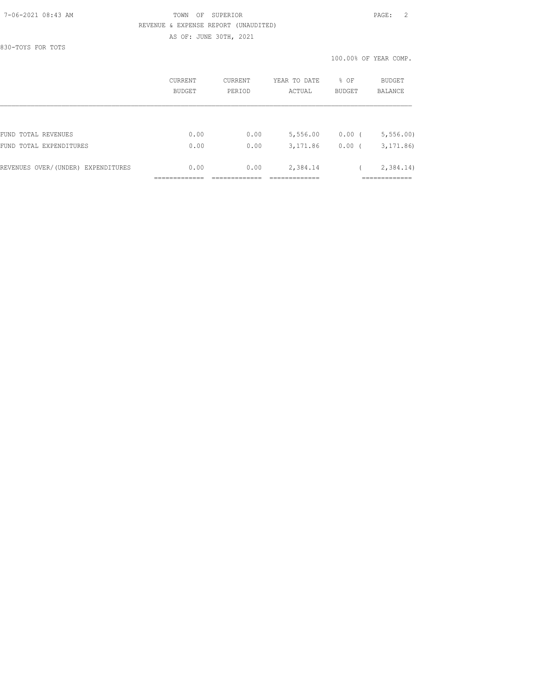#### 7-06-2021 08:43 AM TOWN OF SUPERIOR PAGE: 2 REVENUE & EXPENSE REPORT (UNAUDITED) AS OF: JUNE 30TH, 2021

830-TOYS FOR TOTS

|                                    | CURRENT<br>BUDGET | CURRENT<br>PERIOD | % OF<br>YEAR TO DATE<br><b>BUDGET</b><br>ACTUAL |          | <b>BUDGET</b><br>BALANCE |  |
|------------------------------------|-------------------|-------------------|-------------------------------------------------|----------|--------------------------|--|
|                                    |                   |                   |                                                 |          |                          |  |
| FUND TOTAL REVENUES                | 0.00              | 0.00              | 5,556.00                                        | $0.00$ ( | 5, 556.00                |  |
| FUND TOTAL EXPENDITURES            | 0.00              | 0.00              | 3,171.86                                        | 0.00(    | 3, 171, 86               |  |
| REVENUES OVER/(UNDER) EXPENDITURES | 0.00              | 0.00              | 2,384.14                                        |          | 2,384.14)                |  |
|                                    |                   |                   |                                                 |          |                          |  |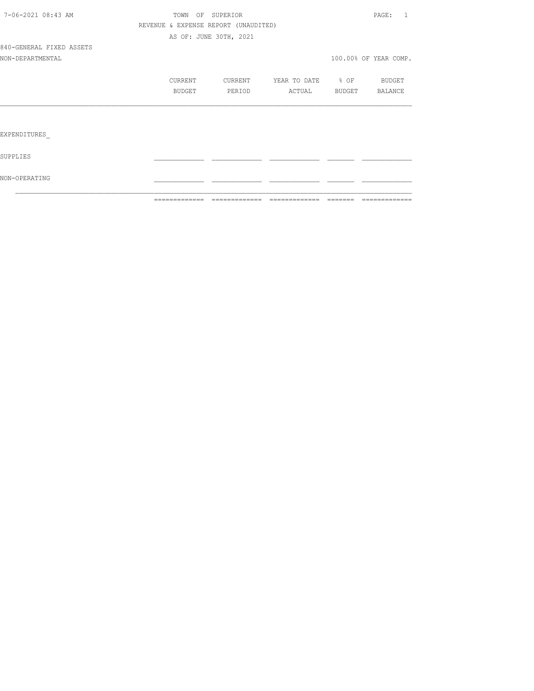|                          | =============                        | =============          | =============            | $=$ $=$ $=$ $=$ $=$ $=$ | =============         |
|--------------------------|--------------------------------------|------------------------|--------------------------|-------------------------|-----------------------|
| NON-OPERATING            |                                      |                        |                          |                         |                       |
| SUPPLIES                 |                                      |                        |                          |                         |                       |
| EXPENDITURES             |                                      |                        |                          |                         |                       |
|                          |                                      |                        |                          |                         |                       |
|                          | BUDGET                               | PERIOD                 | ACTUAL BUDGET BALANCE    |                         |                       |
|                          | CURRENT                              | CURRENT                | YEAR TO DATE 8 OF BUDGET |                         |                       |
| NON-DEPARTMENTAL         |                                      |                        |                          |                         | 100.00% OF YEAR COMP. |
| 840-GENERAL FIXED ASSETS |                                      |                        |                          |                         |                       |
|                          |                                      | AS OF: JUNE 30TH, 2021 |                          |                         |                       |
|                          | REVENUE & EXPENSE REPORT (UNAUDITED) |                        |                          |                         |                       |
| 7-06-2021 08:43 AM       |                                      | TOWN OF SUPERIOR       |                          |                         | PAGE: 1               |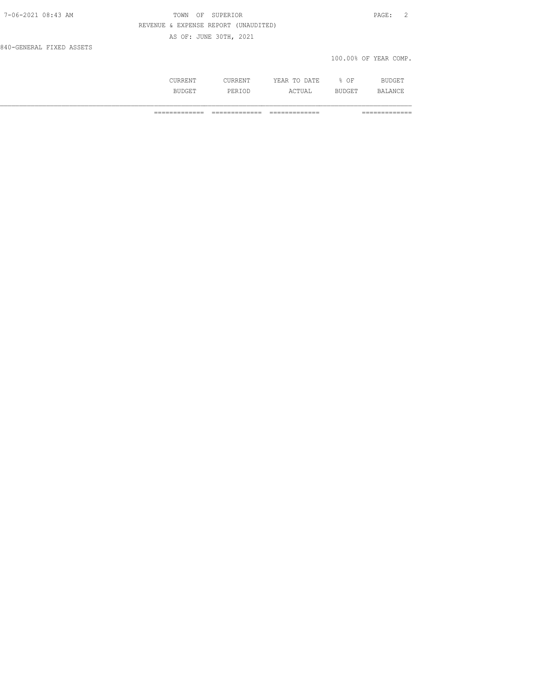| 7-06-2021 08:43 AM       | OF SUPERIOR<br>TOWN                  | PAGE: 2               |
|--------------------------|--------------------------------------|-----------------------|
|                          | REVENUE & EXPENSE REPORT (UNAUDITED) |                       |
|                          | AS OF: JUNE 30TH, 2021               |                       |
| 840-GENERAL FIXED ASSETS |                                      |                       |
|                          |                                      | 100.00% OF YEAR COMP. |

| , , , , , , , , , ,  | KKLN 1                | ) A T F<br>πr<br>-----<br>----- | ΟF<br>-              | DIT<br>nar I.<br>` |
|----------------------|-----------------------|---------------------------------|----------------------|--------------------|
| D.T.<br>.<br>DUDGE 1 | التالان<br>◟<br>- - - | $\sim$ m<br>L'UAL               | חתי<br>- - - - - - - | . V<br>C           |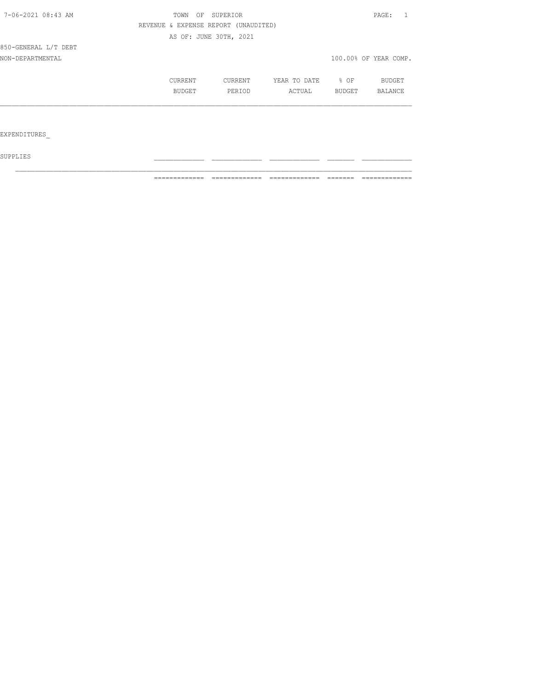| 7-06-2021 08:43 AM   | TOWN OF SUPERIOR       |                                      |              | PAGE:  |                       |  |
|----------------------|------------------------|--------------------------------------|--------------|--------|-----------------------|--|
|                      |                        | REVENUE & EXPENSE REPORT (UNAUDITED) |              |        |                       |  |
|                      | AS OF: JUNE 30TH, 2021 |                                      |              |        |                       |  |
| 850-GENERAL L/T DEBT |                        |                                      |              |        |                       |  |
| NON-DEPARTMENTAL     |                        |                                      |              |        | 100.00% OF YEAR COMP. |  |
|                      | CURRENT                | CURRENT                              | YEAR TO DATE | $8$ OF | BUDGET                |  |
|                      | BUDGET                 | PERIOD                               | ACTUAL       | BUDGET | BALANCE               |  |
|                      |                        |                                      |              |        |                       |  |
|                      |                        |                                      |              |        |                       |  |
| EXPENDITURES         |                        |                                      |              |        |                       |  |

 ${\tt SUPPLIES}$